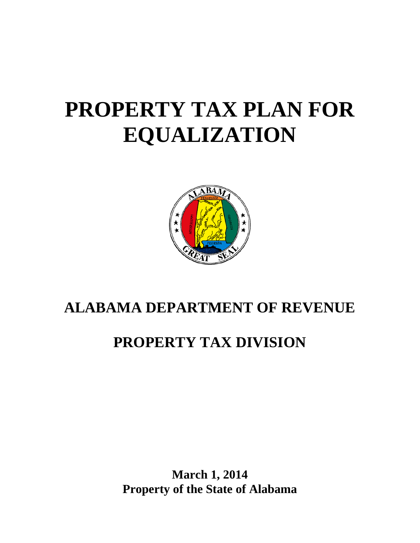# **PROPERTY TAX PLAN FOR EQUALIZATION**



# **ALABAMA DEPARTMENT OF REVENUE**

# **PROPERTY TAX DIVISION**

**March 1, 2014 Property of the State of Alabama**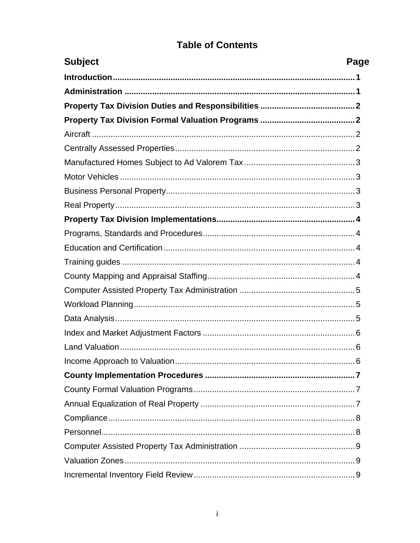| <b>Subject</b><br>Page |  |
|------------------------|--|
|                        |  |
|                        |  |
|                        |  |
|                        |  |
|                        |  |
|                        |  |
|                        |  |
|                        |  |
|                        |  |
|                        |  |
|                        |  |
|                        |  |
|                        |  |
|                        |  |
|                        |  |
|                        |  |
|                        |  |
|                        |  |
|                        |  |
|                        |  |
| 6                      |  |
|                        |  |
|                        |  |
|                        |  |
|                        |  |
|                        |  |
|                        |  |
|                        |  |
|                        |  |

# **Table of Contents**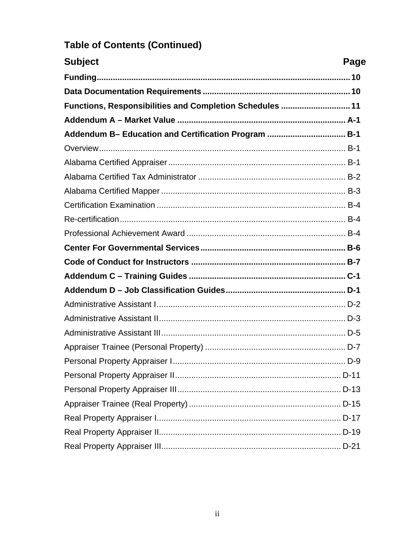| <b>Subject</b>                                           | Page |
|----------------------------------------------------------|------|
|                                                          |      |
|                                                          |      |
| Functions, Responsibilities and Completion Schedules  11 |      |
|                                                          |      |
| Addendum B- Education and Certification Program  B-1     |      |
|                                                          |      |
|                                                          |      |
|                                                          |      |
|                                                          |      |
|                                                          |      |
|                                                          |      |
|                                                          |      |
|                                                          |      |
|                                                          |      |
|                                                          |      |
|                                                          |      |
|                                                          |      |
|                                                          |      |
|                                                          |      |
|                                                          |      |
|                                                          |      |
|                                                          |      |
|                                                          |      |
|                                                          |      |
|                                                          |      |
|                                                          |      |
|                                                          |      |

# **Table of Contents (Continued)**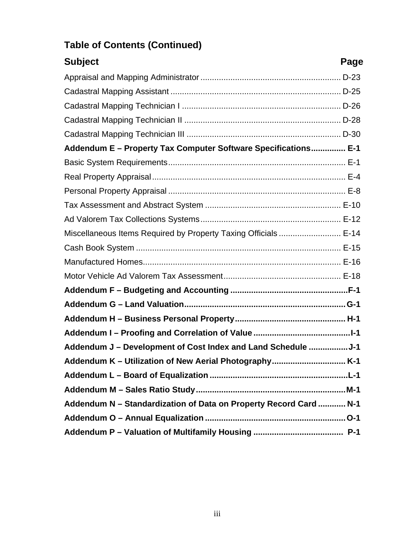| <b>Subject</b><br>Page                                            |  |
|-------------------------------------------------------------------|--|
|                                                                   |  |
|                                                                   |  |
|                                                                   |  |
|                                                                   |  |
|                                                                   |  |
| Addendum E - Property Tax Computer Software Specifications E-1    |  |
|                                                                   |  |
|                                                                   |  |
|                                                                   |  |
|                                                                   |  |
|                                                                   |  |
| Miscellaneous Items Required by Property Taxing Officials  E-14   |  |
|                                                                   |  |
|                                                                   |  |
|                                                                   |  |
|                                                                   |  |
|                                                                   |  |
|                                                                   |  |
|                                                                   |  |
| Addendum J - Development of Cost Index and Land Schedule J-1      |  |
|                                                                   |  |
|                                                                   |  |
|                                                                   |  |
| Addendum N - Standardization of Data on Property Record Card  N-1 |  |
|                                                                   |  |
|                                                                   |  |

# **Table of Contents (Continued)**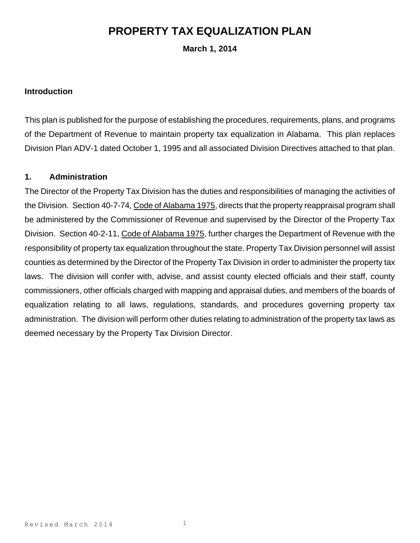### **PROPERTY TAX EQUALIZATION PLAN**

**March 1, 2014**

#### **Introduction**

This plan is published for the purpose of establishing the procedures, requirements, plans, and programs of the Department of Revenue to maintain property tax equalization in Alabama. This plan replaces Division Plan ADV-1 dated October 1, 1995 and all associated Division Directives attached to that plan.

#### **1. Administration**

The Director of the Property Tax Division has the duties and responsibilities of managing the activities of the Division. Section 40-7-74, Code of Alabama 1975, directs that the property reappraisal program shall be administered by the Commissioner of Revenue and supervised by the Director of the Property Tax Division. Section 40-2-11, Code of Alabama 1975, further charges the Department of Revenue with the responsibility of property tax equalization throughout the state. Property Tax Division personnel will assist counties as determined by the Director of the Property Tax Division in order to administer the property tax laws. The division will confer with, advise, and assist county elected officials and their staff, county commissioners, other officials charged with mapping and appraisal duties, and members of the boards of equalization relating to all laws, regulations, standards, and procedures governing property tax administration. The division will perform other duties relating to administration of the property tax laws as deemed necessary by the Property Tax Division Director.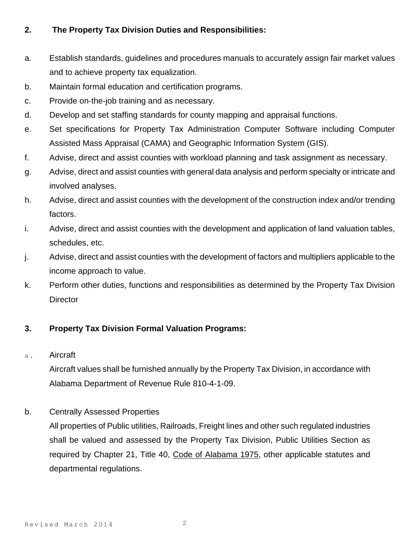#### **2. The Property Tax Division Duties and Responsibilities:**

- a. Establish standards, guidelines and procedures manuals to accurately assign fair market values and to achieve property tax equalization.
- b. Maintain formal education and certification programs.
- c. Provide on-the-job training and as necessary.
- d. Develop and set staffing standards for county mapping and appraisal functions.
- e. Set specifications for Property Tax Administration Computer Software including Computer Assisted Mass Appraisal (CAMA) and Geographic Information System (GIS).
- f. Advise, direct and assist counties with workload planning and task assignment as necessary.
- g. Advise, direct and assist counties with general data analysis and perform specialty or intricate and involved analyses.
- h. Advise, direct and assist counties with the development of the construction index and/or trending factors.
- i. Advise, direct and assist counties with the development and application of land valuation tables, schedules, etc.
- j. Advise, direct and assist counties with the development of factors and multipliers applicable to the income approach to value.
- k. Perform other duties, functions and responsibilities as determined by the Property Tax Division **Director**

#### **3. Property Tax Division Formal Valuation Programs:**

a. Aircraft

Aircraft values shall be furnished annually by the Property Tax Division, in accordance with Alabama Department of Revenue Rule 810-4-1-09.

#### b. Centrally Assessed Properties

All properties of Public utilities, Railroads, Freight lines and other such regulated industries shall be valued and assessed by the Property Tax Division, Public Utilities Section as required by Chapter 21, Title 40, Code of Alabama 1975, other applicable statutes and departmental regulations.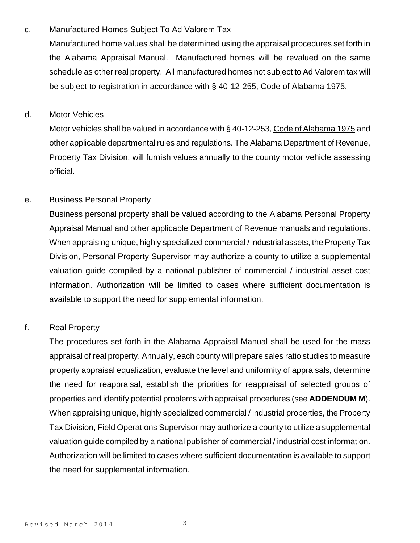#### c. Manufactured Homes Subject To Ad Valorem Tax

Manufactured home values shall be determined using the appraisal procedures set forth in the Alabama Appraisal Manual. Manufactured homes will be revalued on the same schedule as other real property. All manufactured homes not subject to Ad Valorem tax will be subject to registration in accordance with § 40-12-255, Code of Alabama 1975.

#### d. Motor Vehicles

Motor vehicles shall be valued in accordance with § 40-12-253, Code of Alabama 1975 and other applicable departmental rules and regulations. The Alabama Department of Revenue, Property Tax Division, will furnish values annually to the county motor vehicle assessing official.

#### e. Business Personal Property

Business personal property shall be valued according to the Alabama Personal Property Appraisal Manual and other applicable Department of Revenue manuals and regulations. When appraising unique, highly specialized commercial / industrial assets, the Property Tax Division, Personal Property Supervisor may authorize a county to utilize a supplemental valuation guide compiled by a national publisher of commercial / industrial asset cost information. Authorization will be limited to cases where sufficient documentation is available to support the need for supplemental information.

#### f. Real Property

The procedures set forth in the Alabama Appraisal Manual shall be used for the mass appraisal of real property. Annually, each county will prepare sales ratio studies to measure property appraisal equalization, evaluate the level and uniformity of appraisals, determine the need for reappraisal, establish the priorities for reappraisal of selected groups of properties and identify potential problems with appraisal procedures (see **ADDENDUM M**). When appraising unique, highly specialized commercial / industrial properties, the Property Tax Division, Field Operations Supervisor may authorize a county to utilize a supplemental valuation guide compiled by a national publisher of commercial / industrial cost information. Authorization will be limited to cases where sufficient documentation is available to support the need for supplemental information.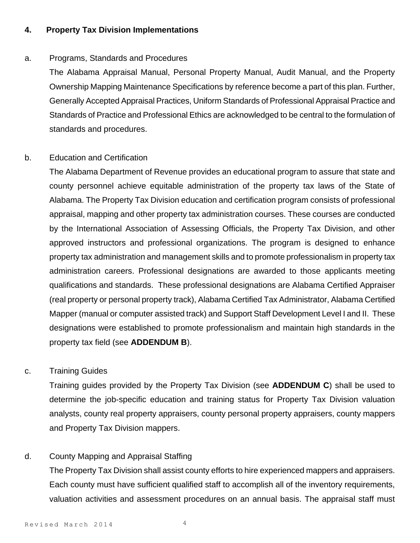#### **4. Property Tax Division Implementations**

#### a. Programs, Standards and Procedures

The Alabama Appraisal Manual, Personal Property Manual, Audit Manual, and the Property Ownership Mapping Maintenance Specifications by reference become a part of this plan. Further, Generally Accepted Appraisal Practices, Uniform Standards of Professional Appraisal Practice and Standards of Practice and Professional Ethics are acknowledged to be central to the formulation of standards and procedures.

#### b. Education and Certification

The Alabama Department of Revenue provides an educational program to assure that state and county personnel achieve equitable administration of the property tax laws of the State of Alabama. The Property Tax Division education and certification program consists of professional appraisal, mapping and other property tax administration courses. These courses are conducted by the International Association of Assessing Officials, the Property Tax Division, and other approved instructors and professional organizations. The program is designed to enhance property tax administration and management skills and to promote professionalism in property tax administration careers. Professional designations are awarded to those applicants meeting qualifications and standards. These professional designations are Alabama Certified Appraiser (real property or personal property track), Alabama Certified Tax Administrator, Alabama Certified Mapper (manual or computer assisted track) and Support Staff Development Level I and II. These designations were established to promote professionalism and maintain high standards in the property tax field (see **ADDENDUM B**).

#### c. Training Guides

Training guides provided by the Property Tax Division (see **ADDENDUM C**) shall be used to determine the job-specific education and training status for Property Tax Division valuation analysts, county real property appraisers, county personal property appraisers, county mappers and Property Tax Division mappers.

#### d. County Mapping and Appraisal Staffing

The Property Tax Division shall assist county efforts to hire experienced mappers and appraisers. Each county must have sufficient qualified staff to accomplish all of the inventory requirements, valuation activities and assessment procedures on an annual basis. The appraisal staff must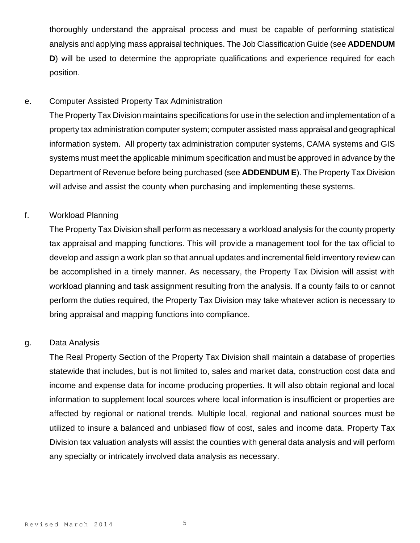thoroughly understand the appraisal process and must be capable of performing statistical analysis and applying mass appraisal techniques. The Job Classification Guide (see **ADDENDUM D**) will be used to determine the appropriate qualifications and experience required for each position.

#### e. Computer Assisted Property Tax Administration

The Property Tax Division maintains specifications for use in the selection and implementation of a property tax administration computer system; computer assisted mass appraisal and geographical information system. All property tax administration computer systems, CAMA systems and GIS systems must meet the applicable minimum specification and must be approved in advance by the Department of Revenue before being purchased (see **ADDENDUM E**). The Property Tax Division will advise and assist the county when purchasing and implementing these systems.

#### f. Workload Planning

The Property Tax Division shall perform as necessary a workload analysis for the county property tax appraisal and mapping functions. This will provide a management tool for the tax official to develop and assign a work plan so that annual updates and incremental field inventory review can be accomplished in a timely manner. As necessary, the Property Tax Division will assist with workload planning and task assignment resulting from the analysis. If a county fails to or cannot perform the duties required, the Property Tax Division may take whatever action is necessary to bring appraisal and mapping functions into compliance.

#### g. Data Analysis

The Real Property Section of the Property Tax Division shall maintain a database of properties statewide that includes, but is not limited to, sales and market data, construction cost data and income and expense data for income producing properties. It will also obtain regional and local information to supplement local sources where local information is insufficient or properties are affected by regional or national trends. Multiple local, regional and national sources must be utilized to insure a balanced and unbiased flow of cost, sales and income data. Property Tax Division tax valuation analysts will assist the counties with general data analysis and will perform any specialty or intricately involved data analysis as necessary.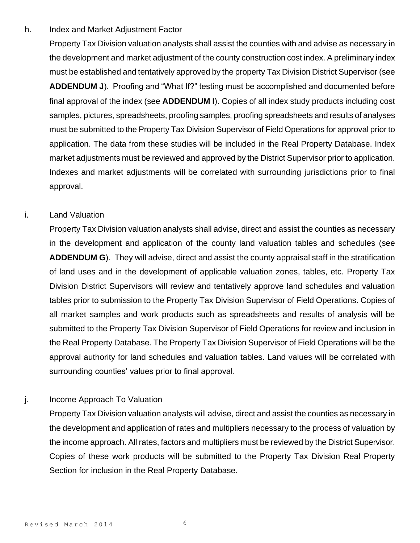#### h. Index and Market Adjustment Factor

Property Tax Division valuation analysts shall assist the counties with and advise as necessary in the development and market adjustment of the county construction cost index. A preliminary index must be established and tentatively approved by the property Tax Division District Supervisor (see **ADDENDUM J**). Proofing and "What If?" testing must be accomplished and documented before final approval of the index (see **ADDENDUM I**). Copies of all index study products including cost samples, pictures, spreadsheets, proofing samples, proofing spreadsheets and results of analyses must be submitted to the Property Tax Division Supervisor of Field Operations for approval prior to application. The data from these studies will be included in the Real Property Database. Index market adjustments must be reviewed and approved by the District Supervisor prior to application. Indexes and market adjustments will be correlated with surrounding jurisdictions prior to final approval.

#### i. Land Valuation

Property Tax Division valuation analysts shall advise, direct and assist the counties as necessary in the development and application of the county land valuation tables and schedules (see **ADDENDUM G**). They will advise, direct and assist the county appraisal staff in the stratification of land uses and in the development of applicable valuation zones, tables, etc. Property Tax Division District Supervisors will review and tentatively approve land schedules and valuation tables prior to submission to the Property Tax Division Supervisor of Field Operations. Copies of all market samples and work products such as spreadsheets and results of analysis will be submitted to the Property Tax Division Supervisor of Field Operations for review and inclusion in the Real Property Database. The Property Tax Division Supervisor of Field Operations will be the approval authority for land schedules and valuation tables. Land values will be correlated with surrounding counties' values prior to final approval.

#### j. Income Approach To Valuation

Property Tax Division valuation analysts will advise, direct and assist the counties as necessary in the development and application of rates and multipliers necessary to the process of valuation by the income approach. All rates, factors and multipliers must be reviewed by the District Supervisor. Copies of these work products will be submitted to the Property Tax Division Real Property Section for inclusion in the Real Property Database.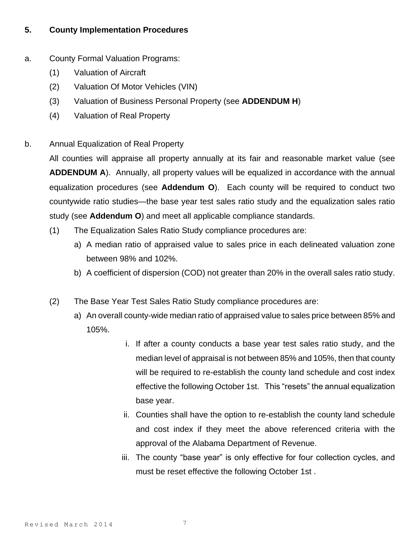#### **5. County Implementation Procedures**

- a. County Formal Valuation Programs:
	- (1) Valuation of Aircraft
	- (2) Valuation Of Motor Vehicles (VIN)
	- (3) Valuation of Business Personal Property (see **ADDENDUM H**)
	- (4) Valuation of Real Property
- b. Annual Equalization of Real Property

All counties will appraise all property annually at its fair and reasonable market value (see **ADDENDUM A**). Annually, all property values will be equalized in accordance with the annual equalization procedures (see **Addendum O**). Each county will be required to conduct two countywide ratio studies—the base year test sales ratio study and the equalization sales ratio study (see **Addendum O**) and meet all applicable compliance standards.

- (1) The Equalization Sales Ratio Study compliance procedures are:
	- a) A median ratio of appraised value to sales price in each delineated valuation zone between 98% and 102%.
	- b) A coefficient of dispersion (COD) not greater than 20% in the overall sales ratio study.
- (2) The Base Year Test Sales Ratio Study compliance procedures are:
	- a) An overall county-wide median ratio of appraised value to sales price between 85% and 105%.
		- i. If after a county conducts a base year test sales ratio study, and the median level of appraisal is not between 85% and 105%, then that county will be required to re-establish the county land schedule and cost index effective the following October 1st. This "resets" the annual equalization base year.
		- ii. Counties shall have the option to re-establish the county land schedule and cost index if they meet the above referenced criteria with the approval of the Alabama Department of Revenue.
		- iii. The county "base year" is only effective for four collection cycles, and must be reset effective the following October 1st .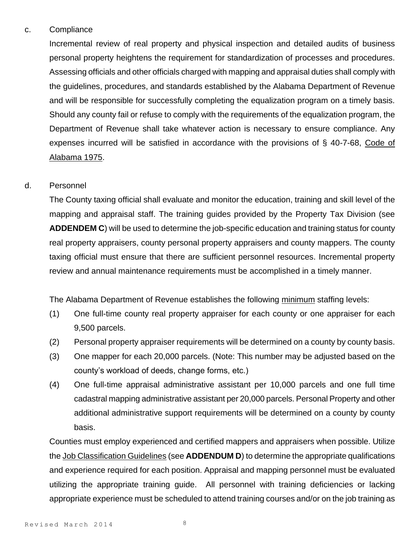#### c. Compliance

Incremental review of real property and physical inspection and detailed audits of business personal property heightens the requirement for standardization of processes and procedures. Assessing officials and other officials charged with mapping and appraisal duties shall comply with the guidelines, procedures, and standards established by the Alabama Department of Revenue and will be responsible for successfully completing the equalization program on a timely basis. Should any county fail or refuse to comply with the requirements of the equalization program, the Department of Revenue shall take whatever action is necessary to ensure compliance. Any expenses incurred will be satisfied in accordance with the provisions of § 40-7-68, Code of Alabama 1975.

#### d. Personnel

The County taxing official shall evaluate and monitor the education, training and skill level of the mapping and appraisal staff. The training guides provided by the Property Tax Division (see **ADDENDEM C**) will be used to determine the job-specific education and training status for county real property appraisers, county personal property appraisers and county mappers. The county taxing official must ensure that there are sufficient personnel resources. Incremental property review and annual maintenance requirements must be accomplished in a timely manner.

The Alabama Department of Revenue establishes the following minimum staffing levels:

- (1) One full-time county real property appraiser for each county or one appraiser for each 9,500 parcels.
- (2) Personal property appraiser requirements will be determined on a county by county basis.
- (3) One mapper for each 20,000 parcels. (Note: This number may be adjusted based on the county's workload of deeds, change forms, etc.)
- (4) One full-time appraisal administrative assistant per 10,000 parcels and one full time cadastral mapping administrative assistant per 20,000 parcels. Personal Property and other additional administrative support requirements will be determined on a county by county basis.

Counties must employ experienced and certified mappers and appraisers when possible. Utilize the Job Classification Guidelines (see **ADDENDUM D**) to determine the appropriate qualifications and experience required for each position. Appraisal and mapping personnel must be evaluated utilizing the appropriate training guide. All personnel with training deficiencies or lacking appropriate experience must be scheduled to attend training courses and/or on the job training as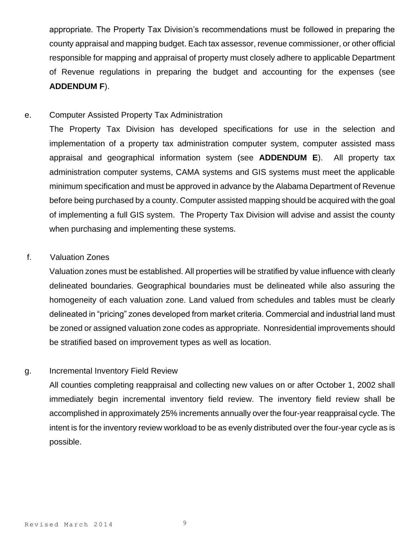appropriate. The Property Tax Division's recommendations must be followed in preparing the county appraisal and mapping budget. Each tax assessor, revenue commissioner, or other official responsible for mapping and appraisal of property must closely adhere to applicable Department of Revenue regulations in preparing the budget and accounting for the expenses (see **ADDENDUM F**).

#### e. Computer Assisted Property Tax Administration

The Property Tax Division has developed specifications for use in the selection and implementation of a property tax administration computer system, computer assisted mass appraisal and geographical information system (see **ADDENDUM E**). All property tax administration computer systems, CAMA systems and GIS systems must meet the applicable minimum specification and must be approved in advance by the Alabama Department of Revenue before being purchased by a county. Computer assisted mapping should be acquired with the goal of implementing a full GIS system. The Property Tax Division will advise and assist the county when purchasing and implementing these systems.

#### f. Valuation Zones

Valuation zones must be established. All properties will be stratified by value influence with clearly delineated boundaries. Geographical boundaries must be delineated while also assuring the homogeneity of each valuation zone. Land valued from schedules and tables must be clearly delineated in "pricing" zones developed from market criteria. Commercial and industrial land must be zoned or assigned valuation zone codes as appropriate. Nonresidential improvements should be stratified based on improvement types as well as location.

#### g. Incremental Inventory Field Review

All counties completing reappraisal and collecting new values on or after October 1, 2002 shall immediately begin incremental inventory field review. The inventory field review shall be accomplished in approximately 25% increments annually over the four-year reappraisal cycle. The intent is for the inventory review workload to be as evenly distributed over the four-year cycle as is possible.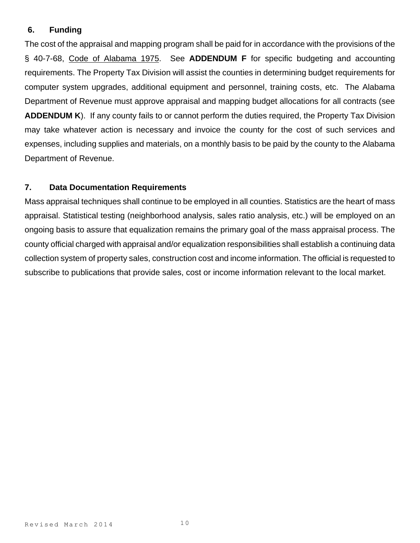#### **6. Funding**

The cost of the appraisal and mapping program shall be paid for in accordance with the provisions of the § 40-7-68, Code of Alabama 1975. See **ADDENDUM F** for specific budgeting and accounting requirements. The Property Tax Division will assist the counties in determining budget requirements for computer system upgrades, additional equipment and personnel, training costs, etc. The Alabama Department of Revenue must approve appraisal and mapping budget allocations for all contracts (see **ADDENDUM K**). If any county fails to or cannot perform the duties required, the Property Tax Division may take whatever action is necessary and invoice the county for the cost of such services and expenses, including supplies and materials, on a monthly basis to be paid by the county to the Alabama Department of Revenue.

#### **7. Data Documentation Requirements**

Mass appraisal techniques shall continue to be employed in all counties. Statistics are the heart of mass appraisal. Statistical testing (neighborhood analysis, sales ratio analysis, etc.) will be employed on an ongoing basis to assure that equalization remains the primary goal of the mass appraisal process. The county official charged with appraisal and/or equalization responsibilities shall establish a continuing data collection system of property sales, construction cost and income information. The official is requested to subscribe to publications that provide sales, cost or income information relevant to the local market.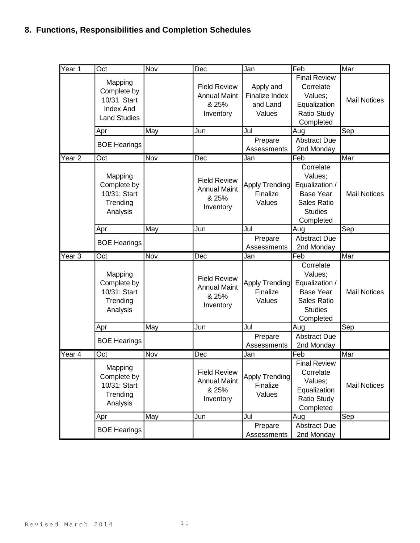### **8. Functions, Responsibilities and Completion Schedules**

| Year 1   | Oct                                                                              | <b>Nov</b> | Dec                                                              | Jan                                               | Feb                                                                                                      | Mar                 |
|----------|----------------------------------------------------------------------------------|------------|------------------------------------------------------------------|---------------------------------------------------|----------------------------------------------------------------------------------------------------------|---------------------|
|          | Mapping<br>Complete by<br>10/31 Start<br><b>Index And</b><br><b>Land Studies</b> |            | <b>Field Review</b><br><b>Annual Maint</b><br>& 25%<br>Inventory | Apply and<br>Finalize Index<br>and Land<br>Values | <b>Final Review</b><br>Correlate<br>Values;<br>Equalization<br>Ratio Study<br>Completed                  | <b>Mail Notices</b> |
|          | Apr                                                                              | May        | Jun                                                              | Jul                                               | Aug                                                                                                      | Sep                 |
|          | <b>BOE Hearings</b>                                                              |            |                                                                  | Prepare<br>Assessments                            | <b>Abstract Due</b><br>2nd Monday                                                                        |                     |
| Year $2$ | Oct                                                                              | Nov        | Dec                                                              | Jan                                               | Feb                                                                                                      | Mar                 |
|          | Mapping<br>Complete by<br>10/31; Start<br>Trending<br>Analysis                   |            | <b>Field Review</b><br><b>Annual Maint</b><br>& 25%<br>Inventory | Apply Trending<br>Finalize<br>Values              | Correlate<br>Values;<br>Equalization /<br><b>Base Year</b><br>Sales Ratio<br><b>Studies</b><br>Completed | <b>Mail Notices</b> |
|          | Apr                                                                              | May        | Jun                                                              | Jul                                               | Aug                                                                                                      | Sep                 |
|          | <b>BOE Hearings</b>                                                              |            |                                                                  | Prepare<br>Assessments                            | <b>Abstract Due</b><br>2nd Monday                                                                        |                     |
| Year $3$ | $\overline{Oct}$                                                                 | Nov        |                                                                  |                                                   |                                                                                                          |                     |
|          |                                                                                  |            | Dec                                                              | Jan                                               | Feb                                                                                                      | Mar                 |
|          | Mapping<br>Complete by<br>10/31; Start<br>Trending<br>Analysis                   |            | <b>Field Review</b><br><b>Annual Maint</b><br>& 25%<br>Inventory | <b>Apply Trending</b><br>Finalize<br>Values       | Correlate<br>Values;<br>Equalization /<br><b>Base Year</b><br>Sales Ratio<br><b>Studies</b><br>Completed | <b>Mail Notices</b> |
|          | Apr                                                                              | May        | Jun                                                              | Jul                                               | Aug                                                                                                      | Sep                 |
|          | <b>BOE Hearings</b>                                                              |            |                                                                  | Prepare<br>Assessments                            | <b>Abstract Due</b><br>2nd Monday                                                                        |                     |
| Year 4   | Oct                                                                              | Nov        | Dec                                                              | Jan                                               | Feb                                                                                                      | Mar                 |
|          | Mapping<br>Complete by<br>10/31; Start<br>Trending<br>Analysis                   |            | <b>Field Review</b><br><b>Annual Maint</b><br>& 25%<br>Inventory | Apply Trending<br>Finalize<br>Values              | <b>Final Review</b><br>Correlate<br>Values;<br>Equalization<br><b>Ratio Study</b><br>Completed           | <b>Mail Notices</b> |
|          | Apr                                                                              | May        | Jun                                                              | Jul                                               | Aug                                                                                                      | Sep                 |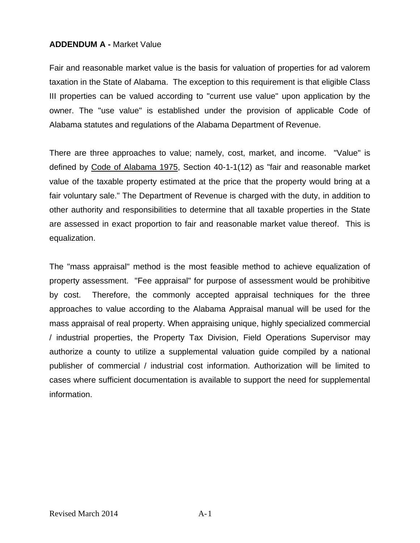#### **ADDENDUM A -** Market Value

Fair and reasonable market value is the basis for valuation of properties for ad valorem taxation in the State of Alabama. The exception to this requirement is that eligible Class III properties can be valued according to "current use value" upon application by the owner. The "use value" is established under the provision of applicable Code of Alabama statutes and regulations of the Alabama Department of Revenue.

There are three approaches to value; namely, cost, market, and income. "Value" is defined by Code of Alabama 1975, Section 40-1-1(12) as "fair and reasonable market value of the taxable property estimated at the price that the property would bring at a fair voluntary sale." The Department of Revenue is charged with the duty, in addition to other authority and responsibilities to determine that all taxable properties in the State are assessed in exact proportion to fair and reasonable market value thereof. This is equalization.

The "mass appraisal" method is the most feasible method to achieve equalization of property assessment. "Fee appraisal" for purpose of assessment would be prohibitive by cost. Therefore, the commonly accepted appraisal techniques for the three approaches to value according to the Alabama Appraisal manual will be used for the mass appraisal of real property. When appraising unique, highly specialized commercial / industrial properties, the Property Tax Division, Field Operations Supervisor may authorize a county to utilize a supplemental valuation guide compiled by a national publisher of commercial / industrial cost information. Authorization will be limited to cases where sufficient documentation is available to support the need for supplemental information.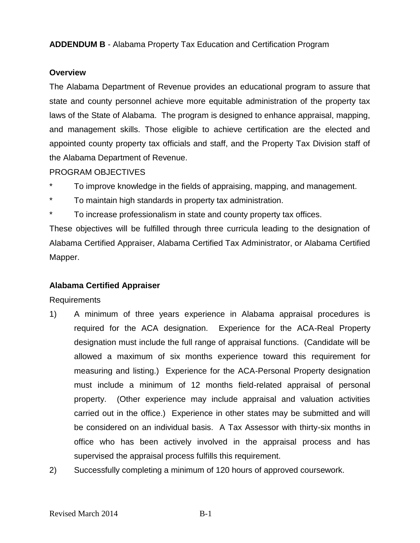**ADDENDUM B** - Alabama Property Tax Education and Certification Program

#### **Overview**

The Alabama Department of Revenue provides an educational program to assure that state and county personnel achieve more equitable administration of the property tax laws of the State of Alabama. The program is designed to enhance appraisal, mapping, and management skills. Those eligible to achieve certification are the elected and appointed county property tax officials and staff, and the Property Tax Division staff of the Alabama Department of Revenue.

#### PROGRAM OBJECTIVES

- To improve knowledge in the fields of appraising, mapping, and management.
- To maintain high standards in property tax administration.
- To increase professionalism in state and county property tax offices.

These objectives will be fulfilled through three curricula leading to the designation of Alabama Certified Appraiser, Alabama Certified Tax Administrator, or Alabama Certified Mapper.

#### **Alabama Certified Appraiser**

Requirements

- 1) A minimum of three years experience in Alabama appraisal procedures is required for the ACA designation. Experience for the ACA-Real Property designation must include the full range of appraisal functions. (Candidate will be allowed a maximum of six months experience toward this requirement for measuring and listing.) Experience for the ACA-Personal Property designation must include a minimum of 12 months field-related appraisal of personal property. (Other experience may include appraisal and valuation activities carried out in the office.) Experience in other states may be submitted and will be considered on an individual basis. A Tax Assessor with thirty-six months in office who has been actively involved in the appraisal process and has supervised the appraisal process fulfills this requirement.
- 2) Successfully completing a minimum of 120 hours of approved coursework.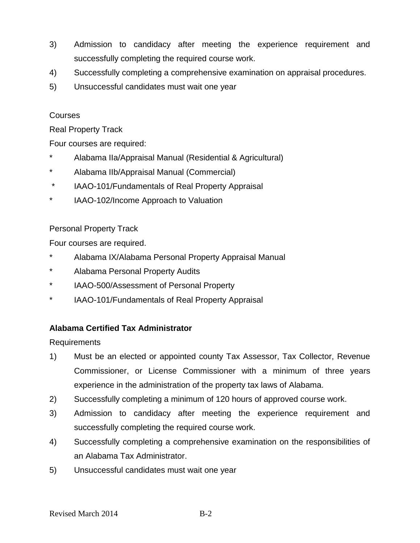- 3) Admission to candidacy after meeting the experience requirement and successfully completing the required course work.
- 4) Successfully completing a comprehensive examination on appraisal procedures.
- 5) Unsuccessful candidates must wait one year

#### Courses

Real Property Track

Four courses are required:

- Alabama IIa/Appraisal Manual (Residential & Agricultural)
- \* Alabama IIb/Appraisal Manual (Commercial)
- \* IAAO-101/Fundamentals of Real Property Appraisal
- \* IAAO-102/Income Approach to Valuation

#### Personal Property Track

Four courses are required.

- Alabama IX/Alabama Personal Property Appraisal Manual
- \* Alabama Personal Property Audits
- \* IAAO-500/Assessment of Personal Property
- \* IAAO-101/Fundamentals of Real Property Appraisal

#### **Alabama Certified Tax Administrator**

Requirements

- 1) Must be an elected or appointed county Tax Assessor, Tax Collector, Revenue Commissioner, or License Commissioner with a minimum of three years experience in the administration of the property tax laws of Alabama.
- 2) Successfully completing a minimum of 120 hours of approved course work.
- 3) Admission to candidacy after meeting the experience requirement and successfully completing the required course work.
- 4) Successfully completing a comprehensive examination on the responsibilities of an Alabama Tax Administrator.
- 5) Unsuccessful candidates must wait one year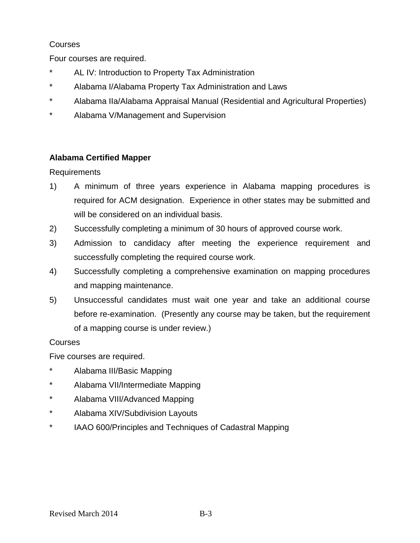#### **Courses**

Four courses are required.

- AL IV: Introduction to Property Tax Administration
- \* Alabama I/Alabama Property Tax Administration and Laws
- \* Alabama IIa/Alabama Appraisal Manual (Residential and Agricultural Properties)
- \* Alabama V/Management and Supervision

#### **Alabama Certified Mapper**

Requirements

- 1) A minimum of three years experience in Alabama mapping procedures is required for ACM designation. Experience in other states may be submitted and will be considered on an individual basis.
- 2) Successfully completing a minimum of 30 hours of approved course work.
- 3) Admission to candidacy after meeting the experience requirement and successfully completing the required course work.
- 4) Successfully completing a comprehensive examination on mapping procedures and mapping maintenance.
- 5) Unsuccessful candidates must wait one year and take an additional course before re-examination. (Presently any course may be taken, but the requirement of a mapping course is under review.)

#### Courses

Five courses are required.

- Alabama III/Basic Mapping
- \* Alabama VII/Intermediate Mapping
- \* Alabama VIII/Advanced Mapping
- \* Alabama XIV/Subdivision Layouts
- \* IAAO 600/Principles and Techniques of Cadastral Mapping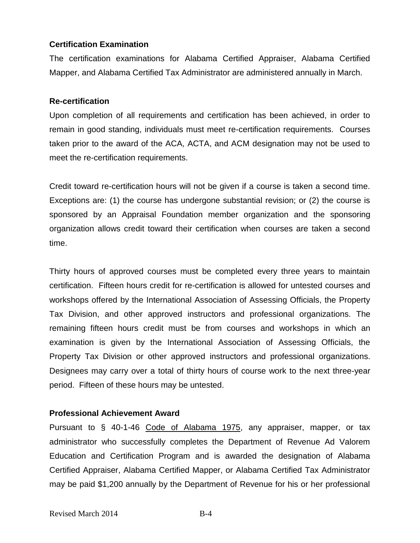#### **Certification Examination**

The certification examinations for Alabama Certified Appraiser, Alabama Certified Mapper, and Alabama Certified Tax Administrator are administered annually in March.

#### **Re-certification**

Upon completion of all requirements and certification has been achieved, in order to remain in good standing, individuals must meet re-certification requirements. Courses taken prior to the award of the ACA, ACTA, and ACM designation may not be used to meet the re-certification requirements.

Credit toward re-certification hours will not be given if a course is taken a second time. Exceptions are: (1) the course has undergone substantial revision; or (2) the course is sponsored by an Appraisal Foundation member organization and the sponsoring organization allows credit toward their certification when courses are taken a second time.

Thirty hours of approved courses must be completed every three years to maintain certification. Fifteen hours credit for re-certification is allowed for untested courses and workshops offered by the International Association of Assessing Officials, the Property Tax Division, and other approved instructors and professional organizations. The remaining fifteen hours credit must be from courses and workshops in which an examination is given by the International Association of Assessing Officials, the Property Tax Division or other approved instructors and professional organizations. Designees may carry over a total of thirty hours of course work to the next three-year period. Fifteen of these hours may be untested.

#### **Professional Achievement Award**

Pursuant to § 40-1-46 Code of Alabama 1975, any appraiser, mapper, or tax administrator who successfully completes the Department of Revenue Ad Valorem Education and Certification Program and is awarded the designation of Alabama Certified Appraiser, Alabama Certified Mapper, or Alabama Certified Tax Administrator may be paid \$1,200 annually by the Department of Revenue for his or her professional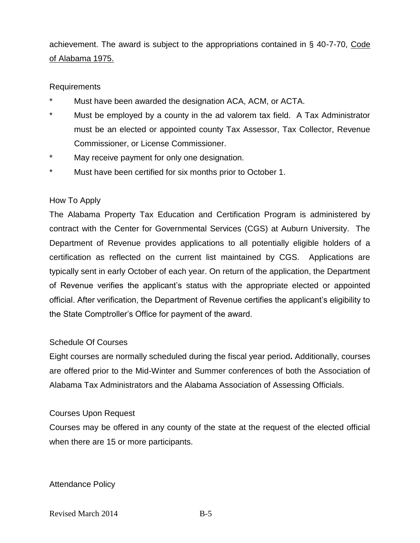achievement. The award is subject to the appropriations contained in § 40-7-70, Code of Alabama 1975.

#### Requirements

- Must have been awarded the designation ACA, ACM, or ACTA.
- \* Must be employed by a county in the ad valorem tax field. A Tax Administrator must be an elected or appointed county Tax Assessor, Tax Collector, Revenue Commissioner, or License Commissioner.
- \* May receive payment for only one designation.
- Must have been certified for six months prior to October 1.

#### How To Apply

The Alabama Property Tax Education and Certification Program is administered by contract with the Center for Governmental Services (CGS) at Auburn University. The Department of Revenue provides applications to all potentially eligible holders of a certification as reflected on the current list maintained by CGS. Applications are typically sent in early October of each year. On return of the application, the Department of Revenue verifies the applicant's status with the appropriate elected or appointed official. After verification, the Department of Revenue certifies the applicant's eligibility to the State Comptroller's Office for payment of the award.

#### Schedule Of Courses

Eight courses are normally scheduled during the fiscal year period**.** Additionally, courses are offered prior to the Mid-Winter and Summer conferences of both the Association of Alabama Tax Administrators and the Alabama Association of Assessing Officials.

#### Courses Upon Request

Courses may be offered in any county of the state at the request of the elected official when there are 15 or more participants.

#### Attendance Policy

Revised March 2014 B-5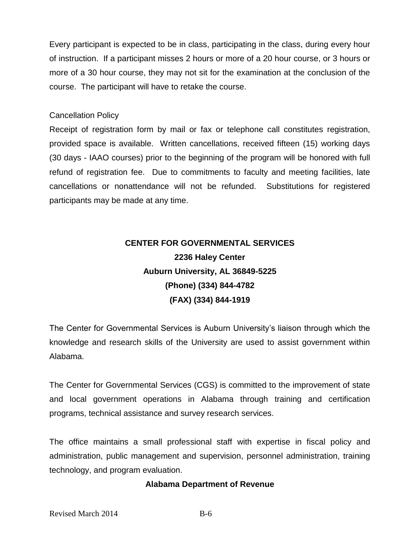Every participant is expected to be in class, participating in the class, during every hour of instruction. If a participant misses 2 hours or more of a 20 hour course, or 3 hours or more of a 30 hour course, they may not sit for the examination at the conclusion of the course. The participant will have to retake the course.

#### Cancellation Policy

Receipt of registration form by mail or fax or telephone call constitutes registration, provided space is available. Written cancellations, received fifteen (15) working days (30 days - IAAO courses) prior to the beginning of the program will be honored with full refund of registration fee. Due to commitments to faculty and meeting facilities, late cancellations or nonattendance will not be refunded. Substitutions for registered participants may be made at any time.

# **CENTER FOR GOVERNMENTAL SERVICES 2236 Haley Center Auburn University, AL 36849-5225 (Phone) (334) 844-4782 (FAX) (334) 844-1919**

The Center for Governmental Services is Auburn University's liaison through which the knowledge and research skills of the University are used to assist government within Alabama.

The Center for Governmental Services (CGS) is committed to the improvement of state and local government operations in Alabama through training and certification programs, technical assistance and survey research services.

The office maintains a small professional staff with expertise in fiscal policy and administration, public management and supervision, personnel administration, training technology, and program evaluation.

#### **Alabama Department of Revenue**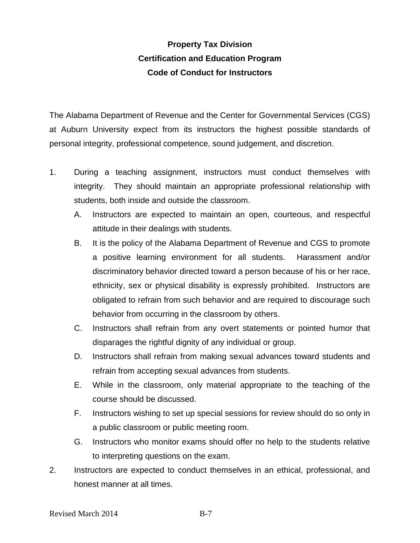### **Property Tax Division Certification and Education Program Code of Conduct for Instructors**

The Alabama Department of Revenue and the Center for Governmental Services (CGS) at Auburn University expect from its instructors the highest possible standards of personal integrity, professional competence, sound judgement, and discretion.

- 1. During a teaching assignment, instructors must conduct themselves with integrity. They should maintain an appropriate professional relationship with students, both inside and outside the classroom.
	- A. Instructors are expected to maintain an open, courteous, and respectful attitude in their dealings with students.
	- B. It is the policy of the Alabama Department of Revenue and CGS to promote a positive learning environment for all students. Harassment and/or discriminatory behavior directed toward a person because of his or her race, ethnicity, sex or physical disability is expressly prohibited. Instructors are obligated to refrain from such behavior and are required to discourage such behavior from occurring in the classroom by others.
	- C. Instructors shall refrain from any overt statements or pointed humor that disparages the rightful dignity of any individual or group.
	- D. Instructors shall refrain from making sexual advances toward students and refrain from accepting sexual advances from students.
	- E. While in the classroom, only material appropriate to the teaching of the course should be discussed.
	- F. Instructors wishing to set up special sessions for review should do so only in a public classroom or public meeting room.
	- G. Instructors who monitor exams should offer no help to the students relative to interpreting questions on the exam.
- 2. Instructors are expected to conduct themselves in an ethical, professional, and honest manner at all times.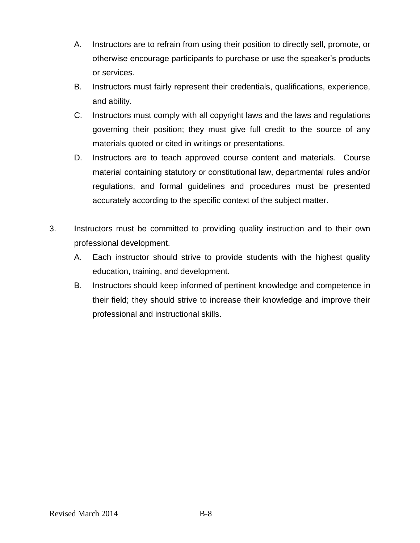- A. Instructors are to refrain from using their position to directly sell, promote, or otherwise encourage participants to purchase or use the speaker's products or services.
- B. Instructors must fairly represent their credentials, qualifications, experience, and ability.
- C. Instructors must comply with all copyright laws and the laws and regulations governing their position; they must give full credit to the source of any materials quoted or cited in writings or presentations.
- D. Instructors are to teach approved course content and materials. Course material containing statutory or constitutional law, departmental rules and/or regulations, and formal guidelines and procedures must be presented accurately according to the specific context of the subject matter.
- 3. Instructors must be committed to providing quality instruction and to their own professional development.
	- A. Each instructor should strive to provide students with the highest quality education, training, and development.
	- B. Instructors should keep informed of pertinent knowledge and competence in their field; they should strive to increase their knowledge and improve their professional and instructional skills.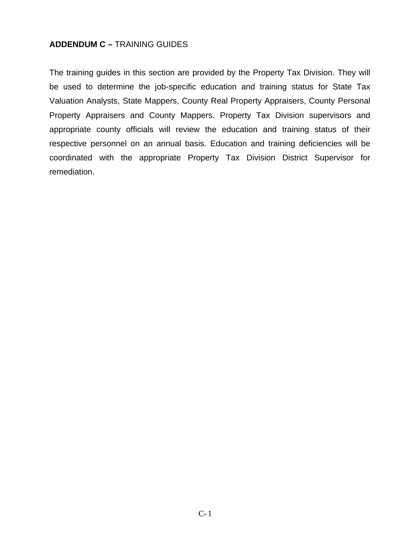#### **ADDENDUM C –** TRAINING GUIDES

The training guides in this section are provided by the Property Tax Division. They will be used to determine the job-specific education and training status for State Tax Valuation Analysts, State Mappers, County Real Property Appraisers, County Personal Property Appraisers and County Mappers. Property Tax Division supervisors and appropriate county officials will review the education and training status of their respective personnel on an annual basis. Education and training deficiencies will be coordinated with the appropriate Property Tax Division District Supervisor for remediation.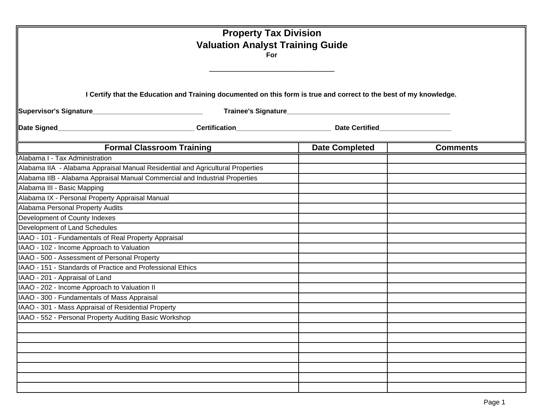| <b>Property Tax Division</b><br><b>Valuation Analyst Training Guide</b><br><b>For</b><br>I Certify that the Education and Training documented on this form is true and correct to the best of my knowledge. |                                  |                       |                 |  |
|-------------------------------------------------------------------------------------------------------------------------------------------------------------------------------------------------------------|----------------------------------|-----------------------|-----------------|--|
|                                                                                                                                                                                                             |                                  |                       |                 |  |
|                                                                                                                                                                                                             | <b>Formal Classroom Training</b> | <b>Date Completed</b> | <b>Comments</b> |  |
| Alabama I - Tax Administration                                                                                                                                                                              |                                  |                       |                 |  |
| Alabama IIA - Alabama Appraisal Manual Residential and Agricultural Properties                                                                                                                              |                                  |                       |                 |  |
| Alabama IIB - Alabama Appraisal Manual Commercial and Industrial Properties                                                                                                                                 |                                  |                       |                 |  |
| Alabama III - Basic Mapping                                                                                                                                                                                 |                                  |                       |                 |  |
| Alabama IX - Personal Property Appraisal Manual                                                                                                                                                             |                                  |                       |                 |  |
| Alabama Personal Property Audits                                                                                                                                                                            |                                  |                       |                 |  |
| Development of County Indexes                                                                                                                                                                               |                                  |                       |                 |  |
| Development of Land Schedules                                                                                                                                                                               |                                  |                       |                 |  |
| IAAO - 101 - Fundamentals of Real Property Appraisal                                                                                                                                                        |                                  |                       |                 |  |
| IAAO - 102 - Income Approach to Valuation                                                                                                                                                                   |                                  |                       |                 |  |
| IAAO - 500 - Assessment of Personal Property                                                                                                                                                                |                                  |                       |                 |  |
| IAAO - 151 - Standards of Practice and Professional Ethics                                                                                                                                                  |                                  |                       |                 |  |
| IAAO - 201 - Appraisal of Land                                                                                                                                                                              |                                  |                       |                 |  |
| IAAO - 202 - Income Approach to Valuation II                                                                                                                                                                |                                  |                       |                 |  |
| IAAO - 300 - Fundamentals of Mass Appraisal                                                                                                                                                                 |                                  |                       |                 |  |
| IAAO - 301 - Mass Appraisal of Residential Property                                                                                                                                                         |                                  |                       |                 |  |
| IAAO - 552 - Personal Property Auditing Basic Workshop                                                                                                                                                      |                                  |                       |                 |  |
|                                                                                                                                                                                                             |                                  |                       |                 |  |
|                                                                                                                                                                                                             |                                  |                       |                 |  |
|                                                                                                                                                                                                             |                                  |                       |                 |  |
|                                                                                                                                                                                                             |                                  |                       |                 |  |
|                                                                                                                                                                                                             |                                  |                       |                 |  |
|                                                                                                                                                                                                             |                                  |                       |                 |  |
|                                                                                                                                                                                                             |                                  |                       |                 |  |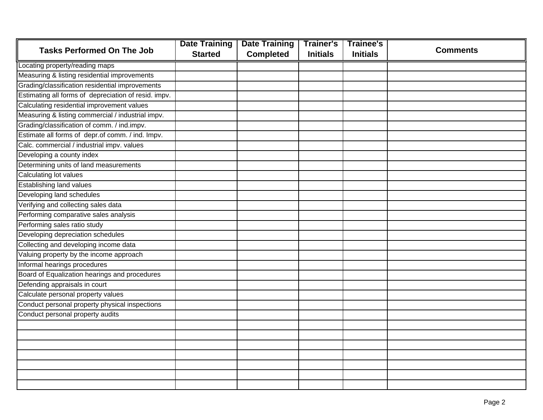|                                                      | <b>Date Training</b> | <b>Date Training</b> | <b>Trainer's</b> | <b>Trainee's</b> |                 |
|------------------------------------------------------|----------------------|----------------------|------------------|------------------|-----------------|
| <b>Tasks Performed On The Job</b>                    | <b>Started</b>       | <b>Completed</b>     | <b>Initials</b>  | <b>Initials</b>  | <b>Comments</b> |
| Locating property/reading maps                       |                      |                      |                  |                  |                 |
| Measuring & listing residential improvements         |                      |                      |                  |                  |                 |
| Grading/classification residential improvements      |                      |                      |                  |                  |                 |
| Estimating all forms of depreciation of resid. impv. |                      |                      |                  |                  |                 |
| Calculating residential improvement values           |                      |                      |                  |                  |                 |
| Measuring & listing commercial / industrial impv.    |                      |                      |                  |                  |                 |
| Grading/classification of comm. / ind.impv.          |                      |                      |                  |                  |                 |
| Estimate all forms of depr.of comm. / ind. Impv.     |                      |                      |                  |                  |                 |
| Calc. commercial / industrial impv. values           |                      |                      |                  |                  |                 |
| Developing a county index                            |                      |                      |                  |                  |                 |
| Determining units of land measurements               |                      |                      |                  |                  |                 |
| Calculating lot values                               |                      |                      |                  |                  |                 |
| <b>Establishing land values</b>                      |                      |                      |                  |                  |                 |
| Developing land schedules                            |                      |                      |                  |                  |                 |
| Verifying and collecting sales data                  |                      |                      |                  |                  |                 |
| Performing comparative sales analysis                |                      |                      |                  |                  |                 |
| Performing sales ratio study                         |                      |                      |                  |                  |                 |
| Developing depreciation schedules                    |                      |                      |                  |                  |                 |
| Collecting and developing income data                |                      |                      |                  |                  |                 |
| Valuing property by the income approach              |                      |                      |                  |                  |                 |
| Informal hearings procedures                         |                      |                      |                  |                  |                 |
| Board of Equalization hearings and procedures        |                      |                      |                  |                  |                 |
| Defending appraisals in court                        |                      |                      |                  |                  |                 |
| Calculate personal property values                   |                      |                      |                  |                  |                 |
| Conduct personal property physical inspections       |                      |                      |                  |                  |                 |
| Conduct personal property audits                     |                      |                      |                  |                  |                 |
|                                                      |                      |                      |                  |                  |                 |
|                                                      |                      |                      |                  |                  |                 |
|                                                      |                      |                      |                  |                  |                 |
|                                                      |                      |                      |                  |                  |                 |
|                                                      |                      |                      |                  |                  |                 |
|                                                      |                      |                      |                  |                  |                 |
|                                                      |                      |                      |                  |                  |                 |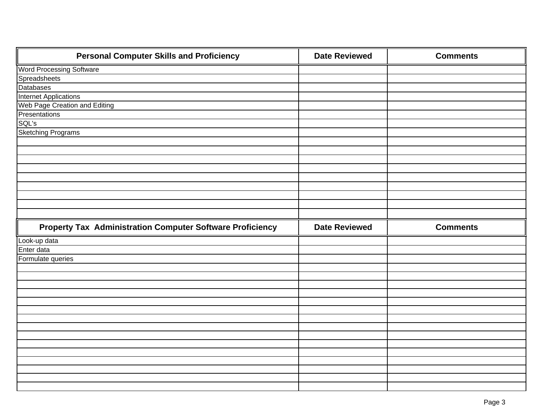| <b>Personal Computer Skills and Proficiency</b>                  | <b>Date Reviewed</b> | <b>Comments</b> |
|------------------------------------------------------------------|----------------------|-----------------|
| <b>Word Processing Software</b>                                  |                      |                 |
| Spreadsheets                                                     |                      |                 |
| Databases                                                        |                      |                 |
| Internet Applications                                            |                      |                 |
| Web Page Creation and Editing                                    |                      |                 |
| Presentations                                                    |                      |                 |
| SQL's                                                            |                      |                 |
| <b>Sketching Programs</b>                                        |                      |                 |
|                                                                  |                      |                 |
|                                                                  |                      |                 |
|                                                                  |                      |                 |
|                                                                  |                      |                 |
|                                                                  |                      |                 |
|                                                                  |                      |                 |
|                                                                  |                      |                 |
|                                                                  |                      |                 |
|                                                                  |                      |                 |
|                                                                  |                      |                 |
| <b>Property Tax Administration Computer Software Proficiency</b> | <b>Date Reviewed</b> | <b>Comments</b> |
| Look-up data                                                     |                      |                 |
| Enter data                                                       |                      |                 |
| Formulate queries                                                |                      |                 |
|                                                                  |                      |                 |
|                                                                  |                      |                 |
|                                                                  |                      |                 |
|                                                                  |                      |                 |
|                                                                  |                      |                 |
|                                                                  |                      |                 |
|                                                                  |                      |                 |
|                                                                  |                      |                 |
|                                                                  |                      |                 |
|                                                                  |                      |                 |
|                                                                  |                      |                 |
|                                                                  |                      |                 |
|                                                                  |                      |                 |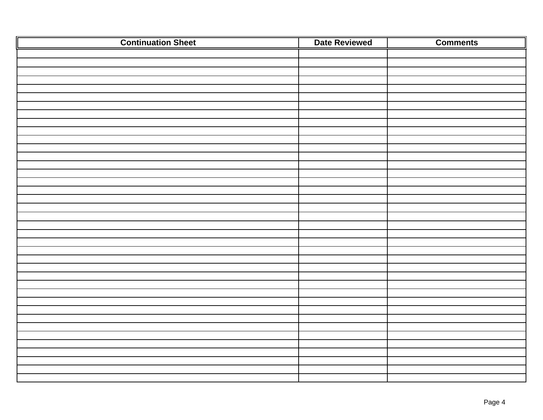| <b>Continuation Sheet</b> | Date Reviewed | <b>Comments</b> |
|---------------------------|---------------|-----------------|
|                           |               |                 |
|                           |               |                 |
|                           |               |                 |
|                           |               |                 |
|                           |               |                 |
|                           |               |                 |
|                           |               |                 |
|                           |               |                 |
|                           |               |                 |
|                           |               |                 |
|                           |               |                 |
|                           |               |                 |
|                           |               |                 |
|                           |               |                 |
|                           |               |                 |
|                           |               |                 |
|                           |               |                 |
|                           |               |                 |
|                           |               |                 |
|                           |               |                 |
|                           |               |                 |
|                           |               |                 |
|                           |               |                 |
|                           |               |                 |
|                           |               |                 |
|                           |               |                 |
|                           |               |                 |
|                           |               |                 |
|                           |               |                 |
|                           |               |                 |
|                           |               |                 |
|                           |               |                 |
|                           |               |                 |
|                           |               |                 |
|                           |               |                 |
|                           |               |                 |
|                           |               |                 |
|                           |               |                 |
|                           |               |                 |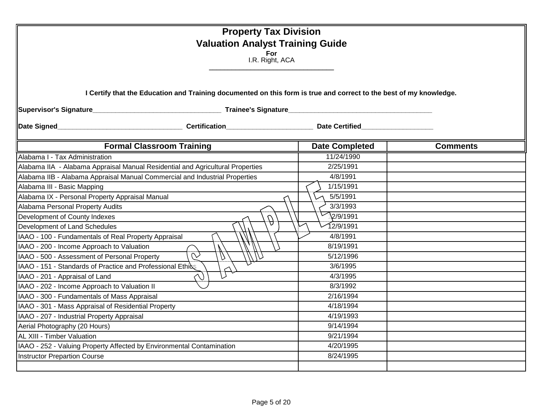| <b>Property Tax Division</b><br><b>Valuation Analyst Training Guide</b><br>For<br>I.R. Right, ACA<br>I Certify that the Education and Training documented on this form is true and correct to the best of my knowledge. |                   |                 |  |  |
|-------------------------------------------------------------------------------------------------------------------------------------------------------------------------------------------------------------------------|-------------------|-----------------|--|--|
|                                                                                                                                                                                                                         |                   |                 |  |  |
| <b>Formal Classroom Training</b>                                                                                                                                                                                        | Date Completed    | <b>Comments</b> |  |  |
| Alabama I - Tax Administration                                                                                                                                                                                          | 11/24/1990        |                 |  |  |
| Alabama IIA - Alabama Appraisal Manual Residential and Agricultural Properties                                                                                                                                          | 2/25/1991         |                 |  |  |
| Alabama IIB - Alabama Appraisal Manual Commercial and Industrial Properties                                                                                                                                             | 4/8/1991          |                 |  |  |
| Alabama III - Basic Mapping                                                                                                                                                                                             | 1/15/1991         |                 |  |  |
| Alabama IX - Personal Property Appraisal Manual                                                                                                                                                                         | 5/5/1991          |                 |  |  |
| Alabama Personal Property Audits                                                                                                                                                                                        | 3/3/1993          |                 |  |  |
| Development of County Indexes<br>$\hat{\mathcal{P}}$                                                                                                                                                                    | $\nabla$ 2/9/1991 |                 |  |  |
| Development of Land Schedules                                                                                                                                                                                           | 12/9/1991         |                 |  |  |
| IAAO - 100 - Fundamentals of Real Property Appraisal                                                                                                                                                                    | 4/8/1991          |                 |  |  |
| IAAO - 200 - Income Approach to Valuation                                                                                                                                                                               | 8/19/1991         |                 |  |  |
| $\overline{\mathcal{C}}$<br>IAAO - 500 - Assessment of Personal Property                                                                                                                                                | 5/12/1996         |                 |  |  |
| IAAO - 151 - Standards of Practice and Professional Ethics                                                                                                                                                              | 3/6/1995          |                 |  |  |
| IAAO - 201 - Appraisal of Land                                                                                                                                                                                          | 4/3/1995          |                 |  |  |
| IAAO - 202 - Income Approach to Valuation II                                                                                                                                                                            | 8/3/1992          |                 |  |  |
| IAAO - 300 - Fundamentals of Mass Appraisal                                                                                                                                                                             | 2/16/1994         |                 |  |  |
| IAAO - 301 - Mass Appraisal of Residential Property                                                                                                                                                                     | 4/18/1994         |                 |  |  |
| IAAO - 207 - Industrial Property Appraisal                                                                                                                                                                              | 4/19/1993         |                 |  |  |
| Aerial Photography (20 Hours)                                                                                                                                                                                           | 9/14/1994         |                 |  |  |
| <b>AL XIII - Timber Valuation</b>                                                                                                                                                                                       | 9/21/1994         |                 |  |  |
| IAAO - 252 - Valuing Property Affected by Environmental Contamination                                                                                                                                                   | 4/20/1995         |                 |  |  |
| <b>Instructor Prepartion Course</b>                                                                                                                                                                                     | 8/24/1995         |                 |  |  |
|                                                                                                                                                                                                                         |                   |                 |  |  |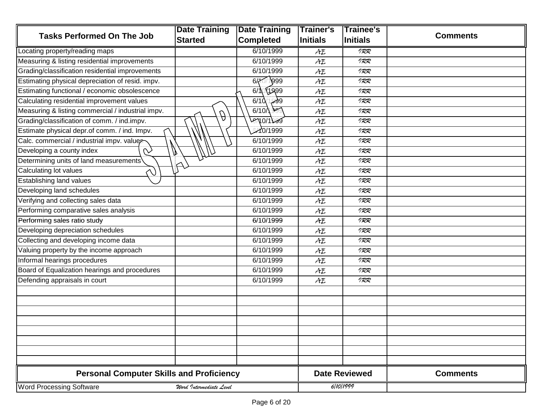|                                                   | <b>Date Training</b>    | <b>Date Training</b>   | <b>Trainer's</b> | Trainee's            |                 |
|---------------------------------------------------|-------------------------|------------------------|------------------|----------------------|-----------------|
| <b>Tasks Performed On The Job</b>                 | <b>Started</b>          | <b>Completed</b>       | Initials         | <b>Initials</b>      | <b>Comments</b> |
| Locating property/reading maps                    |                         | 6/10/1999              | AE               | 977                  |                 |
| Measuring & listing residential improvements      |                         | 6/10/1999              | AE               | 977                  |                 |
| Grading/classification residential improvements   |                         | 6/10/1999              | AE               | 977                  |                 |
| Estimating physical depreciation of resid. impv.  |                         | 6/10/1999              | AE               | 977                  |                 |
| Estimating functional / economic obsolescence     |                         | $6/\sqrt{2}$<br>X1999) | AE               | 977                  |                 |
| Calculating residential improvement values        |                         | । अ99<br>6/10          | AE               | 1RR                  |                 |
| Measuring & listing commercial / industrial impv. | $\theta$                | <u>ogg</u><br>6/10     | AE               | 977                  |                 |
| Grading/classification of comm. / ind.impv.       |                         | 1870/1999              | AE               | 977                  |                 |
| Estimate physical depr.of comm. / ind. Impv.      |                         | <b>A10/1999</b>        | AE               | 977                  |                 |
| Calc. commercial / industrial impv. values        |                         | 6/10/1999              | AE               | 977                  |                 |
| Developing a county index<br>$\sim$               |                         | 6/10/1999              | AE               | 1RR                  |                 |
| Determining units of land measurements            |                         | 6/10/1999              | AE               | 977                  |                 |
| Calculating lot values<br>V                       |                         | 6/10/1999              | AE               | 1RR                  |                 |
| Establishing land values                          |                         | 6/10/1999              | AE               | 1RR                  |                 |
| Developing land schedules                         |                         | 6/10/1999              | AE               | 977                  |                 |
| Verifying and collecting sales data               |                         | 6/10/1999              | AE               | 1RR                  |                 |
| Performing comparative sales analysis             |                         | 6/10/1999              | AE               | 1RR                  |                 |
| Performing sales ratio study                      |                         | 6/10/1999              | AE               | 1RR                  |                 |
| Developing depreciation schedules                 |                         | 6/10/1999              | AE               | IRR                  |                 |
| Collecting and developing income data             |                         | 6/10/1999              | AE               | 977                  |                 |
| Valuing property by the income approach           |                         | 6/10/1999              | AE               | 977                  |                 |
| Informal hearings procedures                      |                         | 6/10/1999              | AE               | 977                  |                 |
| Board of Equalization hearings and procedures     |                         | 6/10/1999              | AE               | 977                  |                 |
| Defending appraisals in court                     |                         | 6/10/1999              | AE               | 977                  |                 |
|                                                   |                         |                        |                  |                      |                 |
|                                                   |                         |                        |                  |                      |                 |
|                                                   |                         |                        |                  |                      |                 |
|                                                   |                         |                        |                  |                      |                 |
|                                                   |                         |                        |                  |                      |                 |
|                                                   |                         |                        |                  |                      |                 |
|                                                   |                         |                        |                  |                      |                 |
|                                                   |                         |                        |                  |                      |                 |
| <b>Personal Computer Skills and Proficiency</b>   |                         |                        |                  | <b>Date Reviewed</b> | <b>Comments</b> |
| <b>Word Processing Software</b>                   | Word Intermediate Level |                        |                  | 6/10/1999            |                 |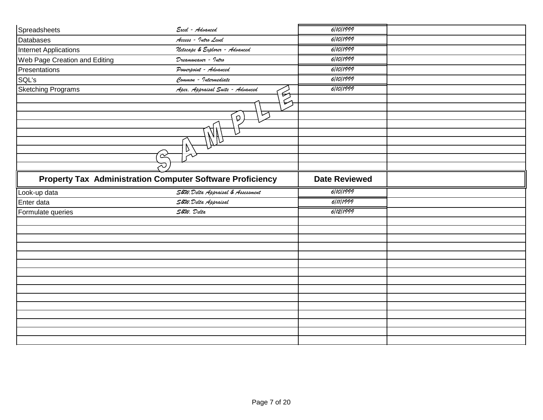| Spreadsheets                  | Excel - Advanced                                                 | 6/10/1999            |  |
|-------------------------------|------------------------------------------------------------------|----------------------|--|
| Databases                     | Access - Intro Level                                             | 6/10/1999            |  |
| Internet Applications         | Netscape & Explorer - Advanced                                   | 6/10/1999            |  |
| Web Page Creation and Editing | Dreamweaver - Intro                                              | 6/10/1999            |  |
| Presentations                 | Powerpoint - Advanced                                            | 6/10/1999            |  |
| SQL's                         | Common - Intermediate                                            | 6/10/1999            |  |
| <b>Sketching Programs</b>     | Apex. Appraisal Suite - Advanced                                 | 6/10/1999            |  |
|                               | $\overleftrightarrow{2}$                                         |                      |  |
|                               | ▽<br>Q.<br>$\mathbb{Z}^n$                                        |                      |  |
|                               | D<br>$\overline{\alpha}$                                         |                      |  |
|                               |                                                                  |                      |  |
|                               | <b>Property Tax Administration Computer Software Proficiency</b> | <b>Date Reviewed</b> |  |
| Look-up data                  | S&W. Delta Appraisal & Assessment                                | 6/10/1999            |  |
| Enter data                    | S&W. Delta Appraisal                                             | 6/11/1999            |  |
| Formulate queries             | S&W. Delta                                                       | 6/12/1999            |  |
|                               |                                                                  |                      |  |
|                               |                                                                  |                      |  |
|                               |                                                                  |                      |  |
|                               |                                                                  |                      |  |
|                               |                                                                  |                      |  |
|                               |                                                                  |                      |  |
|                               |                                                                  |                      |  |
|                               |                                                                  |                      |  |
|                               |                                                                  |                      |  |
|                               |                                                                  |                      |  |
|                               |                                                                  |                      |  |
|                               |                                                                  |                      |  |
|                               |                                                                  |                      |  |
|                               |                                                                  |                      |  |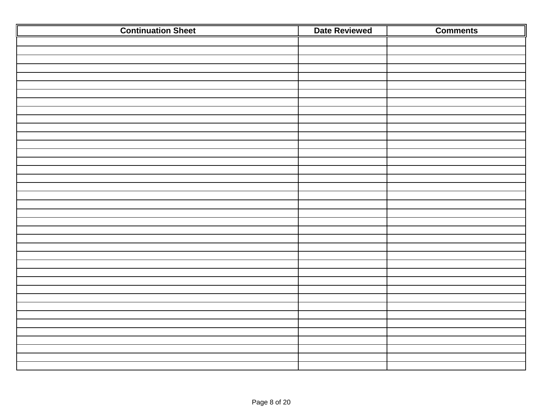| <b>Continuation Sheet</b> | <b>Date Reviewed</b> | <b>Comments</b> |
|---------------------------|----------------------|-----------------|
|                           |                      |                 |
|                           |                      |                 |
|                           |                      |                 |
|                           |                      |                 |
|                           |                      |                 |
|                           |                      |                 |
|                           |                      |                 |
|                           |                      |                 |
|                           |                      |                 |
|                           |                      |                 |
|                           |                      |                 |
|                           |                      |                 |
|                           |                      |                 |
|                           |                      |                 |
|                           |                      |                 |
|                           |                      |                 |
|                           |                      |                 |
|                           |                      |                 |
|                           |                      |                 |
|                           |                      |                 |
|                           |                      |                 |
|                           |                      |                 |
|                           |                      |                 |
|                           |                      |                 |
|                           |                      |                 |
|                           |                      |                 |
|                           |                      |                 |
|                           |                      |                 |
|                           |                      |                 |
|                           |                      |                 |
|                           |                      |                 |
|                           |                      |                 |
|                           |                      |                 |
|                           |                      |                 |
|                           |                      |                 |
|                           |                      |                 |
|                           |                      |                 |
|                           |                      |                 |
|                           |                      |                 |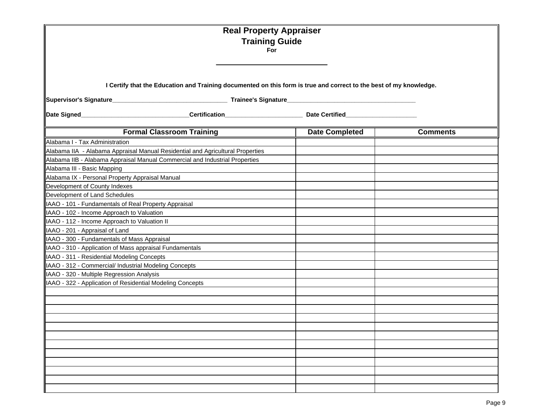|                                                                                                                    | <b>Real Property Appraiser</b><br><b>Training Guide</b><br>For                                                  |                       |                 |  |  |  |  |
|--------------------------------------------------------------------------------------------------------------------|-----------------------------------------------------------------------------------------------------------------|-----------------------|-----------------|--|--|--|--|
| I Certify that the Education and Training documented on this form is true and correct to the best of my knowledge. |                                                                                                                 |                       |                 |  |  |  |  |
|                                                                                                                    | Date Signed____________________________Certification____________________________ Date Certified________________ |                       |                 |  |  |  |  |
|                                                                                                                    | <b>Formal Classroom Training</b>                                                                                | <b>Date Completed</b> | <b>Comments</b> |  |  |  |  |
| Alabama I - Tax Administration                                                                                     |                                                                                                                 |                       |                 |  |  |  |  |
| Alabama IIA - Alabama Appraisal Manual Residential and Agricultural Properties                                     |                                                                                                                 |                       |                 |  |  |  |  |
| Alabama IIB - Alabama Appraisal Manual Commercial and Industrial Properties                                        |                                                                                                                 |                       |                 |  |  |  |  |
| Alabama III - Basic Mapping                                                                                        |                                                                                                                 |                       |                 |  |  |  |  |
| Alabama IX - Personal Property Appraisal Manual                                                                    |                                                                                                                 |                       |                 |  |  |  |  |
| Development of County Indexes                                                                                      |                                                                                                                 |                       |                 |  |  |  |  |
| Development of Land Schedules                                                                                      |                                                                                                                 |                       |                 |  |  |  |  |
| IAAO - 101 - Fundamentals of Real Property Appraisal                                                               |                                                                                                                 |                       |                 |  |  |  |  |
| IAAO - 102 - Income Approach to Valuation                                                                          |                                                                                                                 |                       |                 |  |  |  |  |
| IAAO - 112 - Income Approach to Valuation II                                                                       |                                                                                                                 |                       |                 |  |  |  |  |
| IAAO - 201 - Appraisal of Land                                                                                     |                                                                                                                 |                       |                 |  |  |  |  |
| IAAO - 300 - Fundamentals of Mass Appraisal                                                                        |                                                                                                                 |                       |                 |  |  |  |  |
| IAAO - 310 - Application of Mass appraisal Fundamentals                                                            |                                                                                                                 |                       |                 |  |  |  |  |
| IAAO - 311 - Residential Modeling Concepts                                                                         |                                                                                                                 |                       |                 |  |  |  |  |
| IAAO - 312 - Commercial/ Industrial Modeling Concepts                                                              |                                                                                                                 |                       |                 |  |  |  |  |
| IAAO - 320 - Multiple Regression Analysis                                                                          |                                                                                                                 |                       |                 |  |  |  |  |
| IAAO - 322 - Application of Residential Modeling Concepts                                                          |                                                                                                                 |                       |                 |  |  |  |  |
|                                                                                                                    |                                                                                                                 |                       |                 |  |  |  |  |
|                                                                                                                    |                                                                                                                 |                       |                 |  |  |  |  |
|                                                                                                                    |                                                                                                                 |                       |                 |  |  |  |  |
|                                                                                                                    |                                                                                                                 |                       |                 |  |  |  |  |
|                                                                                                                    |                                                                                                                 |                       |                 |  |  |  |  |
|                                                                                                                    |                                                                                                                 |                       |                 |  |  |  |  |
|                                                                                                                    |                                                                                                                 |                       |                 |  |  |  |  |
|                                                                                                                    |                                                                                                                 |                       |                 |  |  |  |  |
|                                                                                                                    |                                                                                                                 |                       |                 |  |  |  |  |
|                                                                                                                    |                                                                                                                 |                       |                 |  |  |  |  |
|                                                                                                                    |                                                                                                                 |                       |                 |  |  |  |  |
|                                                                                                                    |                                                                                                                 |                       |                 |  |  |  |  |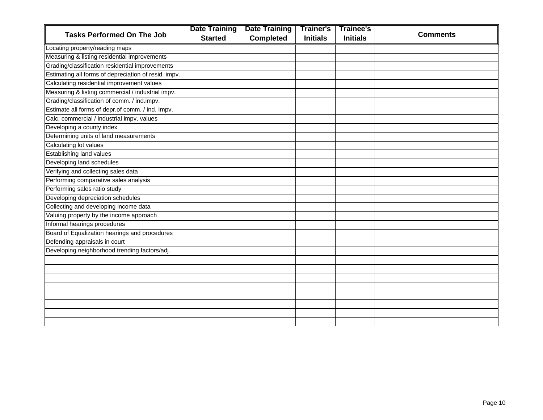|                                                      | <b>Date Training</b> | <b>Date Training</b> | <b>Trainer's</b> | <b>Trainee's</b> |                 |
|------------------------------------------------------|----------------------|----------------------|------------------|------------------|-----------------|
| <b>Tasks Performed On The Job</b>                    | <b>Started</b>       | <b>Completed</b>     | <b>Initials</b>  | <b>Initials</b>  | <b>Comments</b> |
| Locating property/reading maps                       |                      |                      |                  |                  |                 |
| Measuring & listing residential improvements         |                      |                      |                  |                  |                 |
| Grading/classification residential improvements      |                      |                      |                  |                  |                 |
| Estimating all forms of depreciation of resid. impv. |                      |                      |                  |                  |                 |
| Calculating residential improvement values           |                      |                      |                  |                  |                 |
| Measuring & listing commercial / industrial impv.    |                      |                      |                  |                  |                 |
| Grading/classification of comm. / ind.impv.          |                      |                      |                  |                  |                 |
| Estimate all forms of depr.of comm. / ind. Impv.     |                      |                      |                  |                  |                 |
| Calc. commercial / industrial impv. values           |                      |                      |                  |                  |                 |
| Developing a county index                            |                      |                      |                  |                  |                 |
| Determining units of land measurements               |                      |                      |                  |                  |                 |
| Calculating lot values                               |                      |                      |                  |                  |                 |
| <b>Establishing land values</b>                      |                      |                      |                  |                  |                 |
| Developing land schedules                            |                      |                      |                  |                  |                 |
| Verifying and collecting sales data                  |                      |                      |                  |                  |                 |
| Performing comparative sales analysis                |                      |                      |                  |                  |                 |
| Performing sales ratio study                         |                      |                      |                  |                  |                 |
| Developing depreciation schedules                    |                      |                      |                  |                  |                 |
| Collecting and developing income data                |                      |                      |                  |                  |                 |
| Valuing property by the income approach              |                      |                      |                  |                  |                 |
| Informal hearings procedures                         |                      |                      |                  |                  |                 |
| Board of Equalization hearings and procedures        |                      |                      |                  |                  |                 |
| Defending appraisals in court                        |                      |                      |                  |                  |                 |
| Developing neighborhood trending factors/adj.        |                      |                      |                  |                  |                 |
|                                                      |                      |                      |                  |                  |                 |
|                                                      |                      |                      |                  |                  |                 |
|                                                      |                      |                      |                  |                  |                 |
|                                                      |                      |                      |                  |                  |                 |
|                                                      |                      |                      |                  |                  |                 |
|                                                      |                      |                      |                  |                  |                 |
|                                                      |                      |                      |                  |                  |                 |
|                                                      |                      |                      |                  |                  |                 |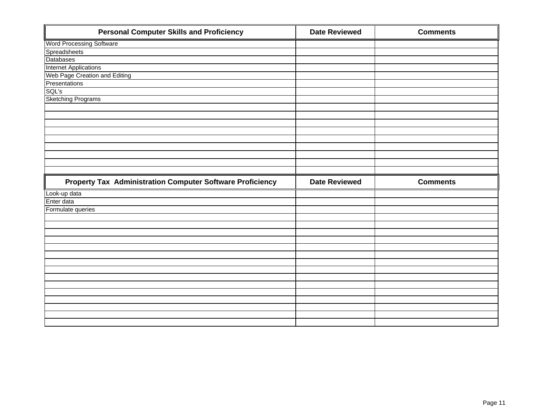| <b>Personal Computer Skills and Proficiency</b>           | <b>Date Reviewed</b> | <b>Comments</b> |
|-----------------------------------------------------------|----------------------|-----------------|
| <b>Word Processing Software</b>                           |                      |                 |
| Spreadsheets                                              |                      |                 |
| <b>Databases</b>                                          |                      |                 |
| <b>Internet Applications</b>                              |                      |                 |
| Web Page Creation and Editing                             |                      |                 |
| Presentations                                             |                      |                 |
| SQL's                                                     |                      |                 |
| <b>Sketching Programs</b>                                 |                      |                 |
|                                                           |                      |                 |
|                                                           |                      |                 |
|                                                           |                      |                 |
|                                                           |                      |                 |
|                                                           |                      |                 |
|                                                           |                      |                 |
|                                                           |                      |                 |
|                                                           |                      |                 |
|                                                           |                      |                 |
|                                                           |                      |                 |
| Property Tax Administration Computer Software Proficiency | <b>Date Reviewed</b> | <b>Comments</b> |
| Look-up data                                              |                      |                 |
| Enter data                                                |                      |                 |
| Formulate queries                                         |                      |                 |
|                                                           |                      |                 |
|                                                           |                      |                 |
|                                                           |                      |                 |
|                                                           |                      |                 |
|                                                           |                      |                 |
|                                                           |                      |                 |
|                                                           |                      |                 |
|                                                           |                      |                 |
|                                                           |                      |                 |
|                                                           |                      |                 |
|                                                           |                      |                 |
|                                                           |                      |                 |
|                                                           |                      |                 |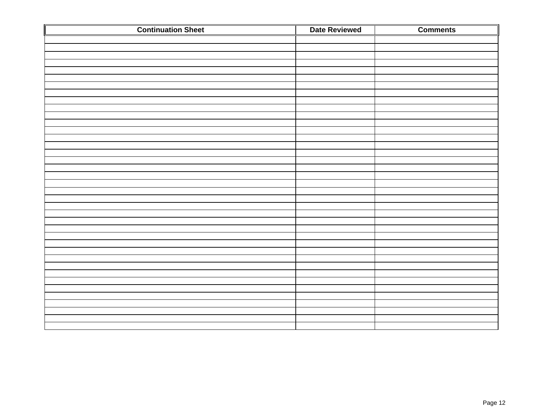| <b>Continuation Sheet</b> | <b>Date Reviewed</b> | <b>Comments</b> |
|---------------------------|----------------------|-----------------|
|                           |                      |                 |
|                           |                      |                 |
|                           |                      |                 |
|                           |                      |                 |
|                           |                      |                 |
|                           |                      |                 |
|                           |                      |                 |
|                           |                      |                 |
|                           |                      |                 |
|                           |                      |                 |
|                           |                      |                 |
|                           |                      |                 |
|                           |                      |                 |
|                           |                      |                 |
|                           |                      |                 |
|                           |                      |                 |
|                           |                      |                 |
|                           |                      |                 |
|                           |                      |                 |
|                           |                      |                 |
|                           |                      |                 |
|                           |                      |                 |
|                           |                      |                 |
|                           |                      |                 |
|                           |                      |                 |
|                           |                      |                 |
|                           |                      |                 |
|                           |                      |                 |
|                           |                      |                 |
|                           |                      |                 |
|                           |                      |                 |
|                           |                      |                 |
|                           |                      |                 |
|                           |                      |                 |
|                           |                      |                 |
|                           |                      |                 |
|                           |                      |                 |
|                           |                      |                 |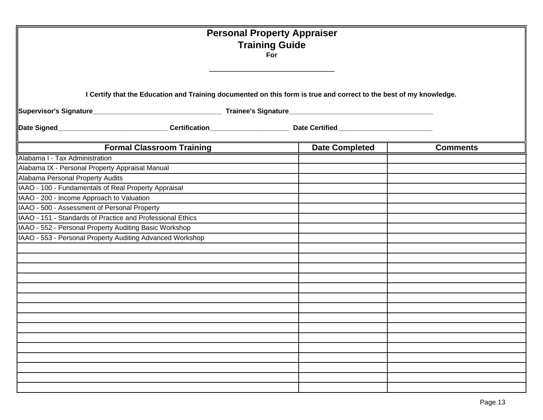|                                                                                                                    |                                  | <b>Personal Property Appraiser</b><br><b>Training Guide</b><br>For |                 |
|--------------------------------------------------------------------------------------------------------------------|----------------------------------|--------------------------------------------------------------------|-----------------|
| I Certify that the Education and Training documented on this form is true and correct to the best of my knowledge. |                                  |                                                                    |                 |
|                                                                                                                    |                                  |                                                                    |                 |
|                                                                                                                    | <b>Formal Classroom Training</b> | <b>Date Completed</b>                                              | <b>Comments</b> |
| Alabama I - Tax Administration                                                                                     |                                  |                                                                    |                 |
| Alabama IX - Personal Property Appraisal Manual                                                                    |                                  |                                                                    |                 |
| Alabama Personal Property Audits                                                                                   |                                  |                                                                    |                 |
| IAAO - 100 - Fundamentals of Real Property Appraisal                                                               |                                  |                                                                    |                 |
| IAAO - 200 - Income Approach to Valuation                                                                          |                                  |                                                                    |                 |
| IAAO - 500 - Assessment of Personal Property                                                                       |                                  |                                                                    |                 |
| IAAO - 151 - Standards of Practice and Professional Ethics                                                         |                                  |                                                                    |                 |
| IAAO - 552 - Personal Property Auditing Basic Workshop                                                             |                                  |                                                                    |                 |
| IAAO - 553 - Personal Property Auditing Advanced Workshop                                                          |                                  |                                                                    |                 |
|                                                                                                                    |                                  |                                                                    |                 |
|                                                                                                                    |                                  |                                                                    |                 |
|                                                                                                                    |                                  |                                                                    |                 |
|                                                                                                                    |                                  |                                                                    |                 |
|                                                                                                                    |                                  |                                                                    |                 |
|                                                                                                                    |                                  |                                                                    |                 |
|                                                                                                                    |                                  |                                                                    |                 |
|                                                                                                                    |                                  |                                                                    |                 |
|                                                                                                                    |                                  |                                                                    |                 |
|                                                                                                                    |                                  |                                                                    |                 |
|                                                                                                                    |                                  |                                                                    |                 |
|                                                                                                                    |                                  |                                                                    |                 |
|                                                                                                                    |                                  |                                                                    |                 |
|                                                                                                                    |                                  |                                                                    |                 |
|                                                                                                                    |                                  |                                                                    |                 |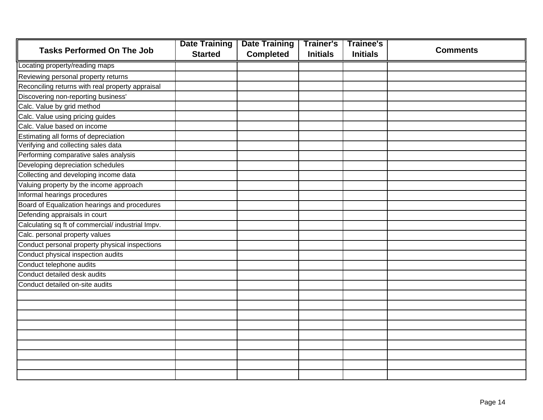|                                                   | <b>Date Training</b> | <b>Date Training</b> | <b>Trainer's</b> | <b>Trainee's</b> |                 |
|---------------------------------------------------|----------------------|----------------------|------------------|------------------|-----------------|
| <b>Tasks Performed On The Job</b>                 | <b>Started</b>       | <b>Completed</b>     | <b>Initials</b>  | <b>Initials</b>  | <b>Comments</b> |
| Locating property/reading maps                    |                      |                      |                  |                  |                 |
| Reviewing personal property returns               |                      |                      |                  |                  |                 |
| Reconciling returns with real property appraisal  |                      |                      |                  |                  |                 |
| Discovering non-reporting business'               |                      |                      |                  |                  |                 |
| Calc. Value by grid method                        |                      |                      |                  |                  |                 |
| Calc. Value using pricing guides                  |                      |                      |                  |                  |                 |
| Calc. Value based on income                       |                      |                      |                  |                  |                 |
| Estimating all forms of depreciation              |                      |                      |                  |                  |                 |
| Verifying and collecting sales data               |                      |                      |                  |                  |                 |
| Performing comparative sales analysis             |                      |                      |                  |                  |                 |
| Developing depreciation schedules                 |                      |                      |                  |                  |                 |
| Collecting and developing income data             |                      |                      |                  |                  |                 |
| Valuing property by the income approach           |                      |                      |                  |                  |                 |
| Informal hearings procedures                      |                      |                      |                  |                  |                 |
| Board of Equalization hearings and procedures     |                      |                      |                  |                  |                 |
| Defending appraisals in court                     |                      |                      |                  |                  |                 |
| Calculating sq ft of commercial/ industrial Impv. |                      |                      |                  |                  |                 |
| Calc. personal property values                    |                      |                      |                  |                  |                 |
| Conduct personal property physical inspections    |                      |                      |                  |                  |                 |
| Conduct physical inspection audits                |                      |                      |                  |                  |                 |
| Conduct telephone audits                          |                      |                      |                  |                  |                 |
| Conduct detailed desk audits                      |                      |                      |                  |                  |                 |
| Conduct detailed on-site audits                   |                      |                      |                  |                  |                 |
|                                                   |                      |                      |                  |                  |                 |
|                                                   |                      |                      |                  |                  |                 |
|                                                   |                      |                      |                  |                  |                 |
|                                                   |                      |                      |                  |                  |                 |
|                                                   |                      |                      |                  |                  |                 |
|                                                   |                      |                      |                  |                  |                 |
|                                                   |                      |                      |                  |                  |                 |
|                                                   |                      |                      |                  |                  |                 |
|                                                   |                      |                      |                  |                  |                 |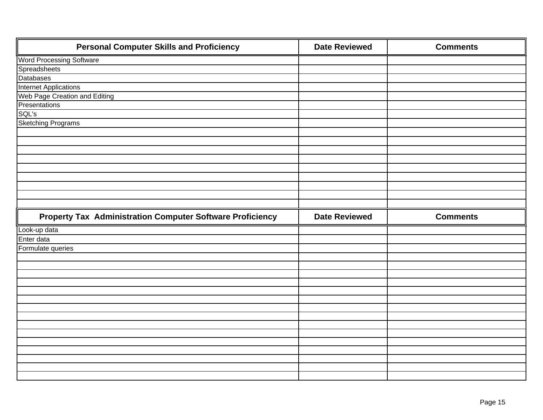| <b>Personal Computer Skills and Proficiency</b>                  | <b>Date Reviewed</b> | <b>Comments</b> |
|------------------------------------------------------------------|----------------------|-----------------|
| <b>Word Processing Software</b>                                  |                      |                 |
| Spreadsheets                                                     |                      |                 |
| <b>Databases</b>                                                 |                      |                 |
| <b>Internet Applications</b>                                     |                      |                 |
| Web Page Creation and Editing                                    |                      |                 |
| Presentations                                                    |                      |                 |
| SQL's                                                            |                      |                 |
| <b>Sketching Programs</b>                                        |                      |                 |
|                                                                  |                      |                 |
|                                                                  |                      |                 |
|                                                                  |                      |                 |
|                                                                  |                      |                 |
|                                                                  |                      |                 |
|                                                                  |                      |                 |
|                                                                  |                      |                 |
|                                                                  |                      |                 |
|                                                                  |                      |                 |
|                                                                  |                      |                 |
| <b>Property Tax Administration Computer Software Proficiency</b> | <b>Date Reviewed</b> | <b>Comments</b> |
| Look-up data                                                     |                      |                 |
| Enter data                                                       |                      |                 |
| Formulate queries                                                |                      |                 |
|                                                                  |                      |                 |
|                                                                  |                      |                 |
|                                                                  |                      |                 |
|                                                                  |                      |                 |
|                                                                  |                      |                 |
|                                                                  |                      |                 |
|                                                                  |                      |                 |
|                                                                  |                      |                 |
|                                                                  |                      |                 |
|                                                                  |                      |                 |
|                                                                  |                      |                 |
|                                                                  |                      |                 |
|                                                                  |                      |                 |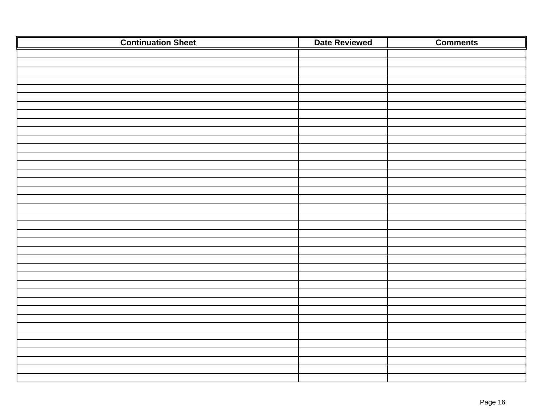| <b>Continuation Sheet</b> | Date Reviewed | <b>Comments</b> |
|---------------------------|---------------|-----------------|
|                           |               |                 |
|                           |               |                 |
|                           |               |                 |
|                           |               |                 |
|                           |               |                 |
|                           |               |                 |
|                           |               |                 |
|                           |               |                 |
|                           |               |                 |
|                           |               |                 |
|                           |               |                 |
|                           |               |                 |
|                           |               |                 |
|                           |               |                 |
|                           |               |                 |
|                           |               |                 |
|                           |               |                 |
|                           |               |                 |
|                           |               |                 |
|                           |               |                 |
|                           |               |                 |
|                           |               |                 |
|                           |               |                 |
|                           |               |                 |
|                           |               |                 |
|                           |               |                 |
|                           |               |                 |
|                           |               |                 |
|                           |               |                 |
|                           |               |                 |
|                           |               |                 |
|                           |               |                 |
|                           |               |                 |
|                           |               |                 |
|                           |               |                 |
|                           |               |                 |
|                           |               |                 |
|                           |               |                 |
|                           |               |                 |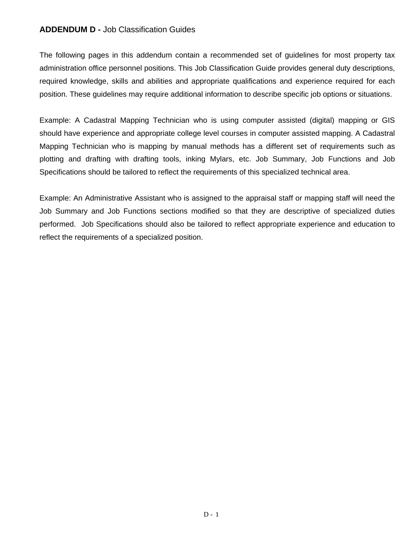## **ADDENDUM D -** Job Classification Guides

The following pages in this addendum contain a recommended set of guidelines for most property tax administration office personnel positions. This Job Classification Guide provides general duty descriptions, required knowledge, skills and abilities and appropriate qualifications and experience required for each position. These guidelines may require additional information to describe specific job options or situations.

Example: A Cadastral Mapping Technician who is using computer assisted (digital) mapping or GIS should have experience and appropriate college level courses in computer assisted mapping. A Cadastral Mapping Technician who is mapping by manual methods has a different set of requirements such as plotting and drafting with drafting tools, inking Mylars, etc. Job Summary, Job Functions and Job Specifications should be tailored to reflect the requirements of this specialized technical area.

Example: An Administrative Assistant who is assigned to the appraisal staff or mapping staff will need the Job Summary and Job Functions sections modified so that they are descriptive of specialized duties performed. Job Specifications should also be tailored to reflect appropriate experience and education to reflect the requirements of a specialized position.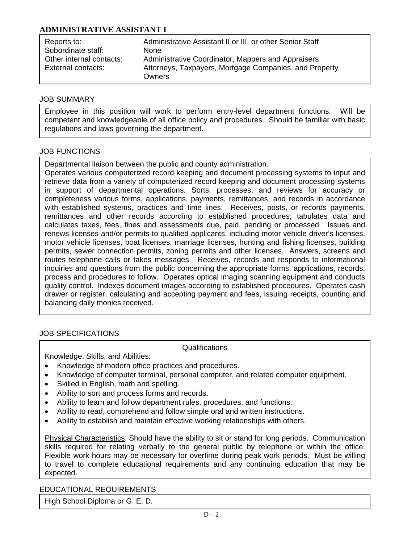## **ADMINISTRATIVE ASSISTANT I**

| Reports to:              | Administrative Assistant II or III, or other Senior Staff |
|--------------------------|-----------------------------------------------------------|
| Subordinate staff:       | <b>None</b>                                               |
| Other internal contacts: | Administrative Coordinator, Mappers and Appraisers        |
| External contacts:       | Attorneys, Taxpayers, Mortgage Companies, and Property    |
|                          | Owners                                                    |

#### JOB SUMMARY

Employee in this position will work to perform entry-level department functions. Will be competent and knowledgeable of all office policy and procedures. Should be familiar with basic regulations and laws governing the department.

## JOB FUNCTIONS

Departmental liaison between the public and county administration.

Operates various computerized record keeping and document processing systems to input and retrieve data from a variety of computerized record keeping and document processing systems in support of departmental operations. Sorts, processes, and reviews for accuracy or completeness various forms, applications, payments, remittances, and records in accordance with established systems, practices and time lines. Receives, posts, or records payments, remittances and other records according to established procedures; tabulates data and calculates taxes, fees, fines and assessments due, paid, pending or processed. Issues and renews licenses and/or permits to qualified applicants, including motor vehicle driver's licenses, motor vehicle licenses, boat licenses, marriage licenses, hunting and fishing licenses, building permits, sewer connection permits, zoning permits and other licenses. Answers, screens and routes telephone calls or takes messages. Receives, records and responds to informational inquiries and questions from the public concerning the appropriate forms, applications, records, process and procedures to follow. Operates optical imaging scanning equipment and conducts quality control. Indexes document images according to established procedures. Operates cash drawer or register, calculating and accepting payment and fees, issuing receipts, counting and balancing daily monies received.

### JOB SPECIFICATIONS

 $\overline{\phantom{a}}$ 

Qualifications

Knowledge, Skills, and Abilities:

- Knowledge of modern office practices and procedures.
- Knowledge of computer terminal, personal computer, and related computer equipment.
- Skilled in English, math and spelling.
- Ability to sort and process forms and records.
- Ability to learn and follow department rules, procedures, and functions.
- Ability to read, comprehend and follow simple oral and written instructions.
- Ability to establish and maintain effective working relationships with others.

Physical Characteristics: Should have the ability to sit or stand for long periods. Communication skills required for relating verbally to the general public by telephone or within the office. Flexible work hours may be necessary for overtime during peak work periods. Must be willing to travel to complete educational requirements and any continuing education that may be expected.

### EDUCATIONAL REQUIREMENTS

High School Diploma or G. E. D.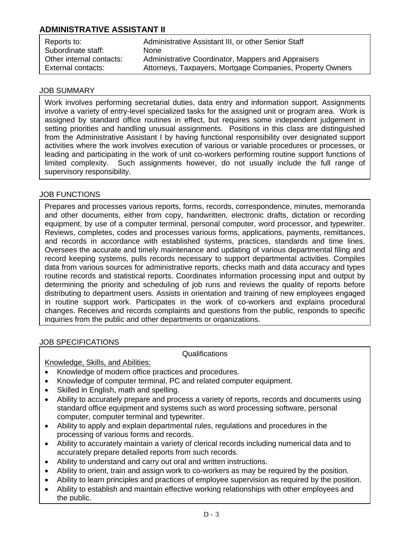# **ADMINISTRATIVE ASSISTANT II**

| Reports to:              | Administrative Assistant III, or other Senior Staff       |
|--------------------------|-----------------------------------------------------------|
| Subordinate staff:       | <b>None</b>                                               |
| Other internal contacts: | Administrative Coordinator, Mappers and Appraisers        |
| External contacts:       | Attorneys, Taxpayers, Mortgage Companies, Property Owners |

### JOB SUMMARY

Work involves performing secretarial duties, data entry and information support. Assignments involve a variety of entry-level specialized tasks for the assigned unit or program area. Work is assigned by standard office routines in effect, but requires some independent judgement in setting priorities and handling unusual assignments. Positions in this class are distinguished from the Administrative Assistant I by having functional responsibility over designated support activities where the work involves execution of various or variable procedures or processes, or leading and participating in the work of unit co-workers performing routine support functions of limited complexity. Such assignments however, do not usually include the full range of supervisory responsibility.

## JOB FUNCTIONS

Prepares and processes various reports, forms, records, correspondence, minutes, memoranda and other documents, either from copy, handwritten, electronic drafts, dictation or recording equipment, by use of a computer terminal, personal computer, word processor, and typewriter. Reviews, completes, codes and processes various forms, applications, payments, remittances, and records in accordance with established systems, practices, standards and time lines. Oversees the accurate and timely maintenance and updating of various departmental filing and record keeping systems, pulls records necessary to support departmental activities. Compiles data from various sources for administrative reports, checks math and data accuracy and types routine records and statistical reports. Coordinates information processing input and output by determining the priority and scheduling of job runs and reviews the quality of reports before distributing to department users. Assists in orientation and training of new employees engaged in routine support work. Participates in the work of co-workers and explains procedural changes. Receives and records complaints and questions from the public, responds to specific inquiries from the public and other departments or organizations.

## JOB SPECIFICATIONS

Qualifications

### Knowledge, Skills, and Abilities:

- Knowledge of modern office practices and procedures.
- Knowledge of computer terminal, PC and related computer equipment.
- Skilled in English, math and spelling.
- Ability to accurately prepare and process a variety of reports, records and documents using standard office equipment and systems such as word processing software, personal computer, computer terminal and typewriter.
- Ability to apply and explain departmental rules, regulations and procedures in the processing of various forms and records.
- Ability to accurately maintain a variety of clerical records including numerical data and to accurately prepare detailed reports from such records.
- Ability to understand and carry out oral and written instructions.
- Ability to orient, train and assign work to co-workers as may be required by the position.
- Ability to learn principles and practices of employee supervision as required by the position.
- Ability to establish and maintain effective working relationships with other employees and the public.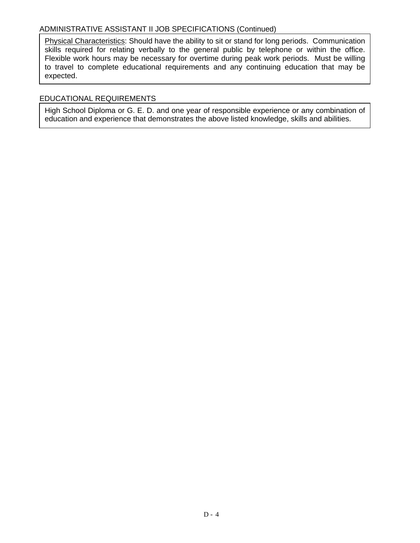## ADMINISTRATIVE ASSISTANT II JOB SPECIFICATIONS (Continued)

Physical Characteristics: Should have the ability to sit or stand for long periods. Communication skills required for relating verbally to the general public by telephone or within the office. Flexible work hours may be necessary for overtime during peak work periods. Must be willing to travel to complete educational requirements and any continuing education that may be expected.

## EDUCATIONAL REQUIREMENTS

High School Diploma or G. E. D. and one year of responsible experience or any combination of education and experience that demonstrates the above listed knowledge, skills and abilities.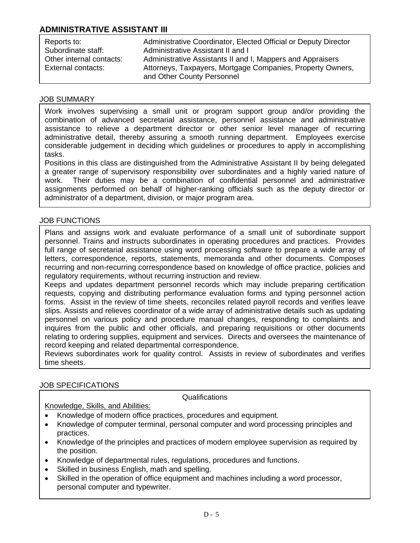# **ADMINISTRATIVE ASSISTANT III**

| Reports to:              | Administrative Coordinator, Elected Official or Deputy Director |
|--------------------------|-----------------------------------------------------------------|
| Subordinate staff:       | Administrative Assistant II and I                               |
| Other internal contacts: | Administrative Assistants II and I, Mappers and Appraisers      |
| External contacts:       | Attorneys, Taxpayers, Mortgage Companies, Property Owners,      |
|                          | and Other County Personnel                                      |

#### JOB SUMMARY

Work involves supervising a small unit or program support group and/or providing the combination of advanced secretarial assistance, personnel assistance and administrative assistance to relieve a department director or other senior level manager of recurring administrative detail, thereby assuring a smooth running department. Employees exercise considerable judgement in deciding which guidelines or procedures to apply in accomplishing tasks.

Positions in this class are distinguished from the Administrative Assistant II by being delegated a greater range of supervisory responsibility over subordinates and a highly varied nature of work. Their duties may be a combination of confidential personnel and administrative assignments performed on behalf of higher-ranking officials such as the deputy director or administrator of a department, division, or major program area.

### JOB FUNCTIONS

Plans and assigns work and evaluate performance of a small unit of subordinate support personnel. Trains and instructs subordinates in operating procedures and practices. Provides full range of secretarial assistance using word processing software to prepare a wide array of letters, correspondence, reports, statements, memoranda and other documents. Composes recurring and non-recurring correspondence based on knowledge of office practice, policies and regulatory requirements, without recurring instruction and review.

Keeps and updates department personnel records which may include preparing certification requests, copying and distributing performance evaluation forms and typing personnel action forms. Assist in the review of time sheets, reconciles related payroll records and verifies leave slips. Assists and relieves coordinator of a wide array of administrative details such as updating personnel on various policy and procedure manual changes, responding to complaints and inquires from the public and other officials, and preparing requisitions or other documents relating to ordering supplies, equipment and services. Directs and oversees the maintenance of record keeping and related departmental correspondence.

Reviews subordinates work for quality control. Assists in review of subordinates and verifies time sheets.

### JOB SPECIFICATIONS

#### Qualifications

## Knowledge, Skills, and Abilities:

- Knowledge of modern office practices, procedures and equipment.
- Knowledge of computer terminal, personal computer and word processing principles and practices.
- Knowledge of the principles and practices of modern employee supervision as required by the position.
- Knowledge of departmental rules, regulations, procedures and functions.
- Skilled in business English, math and spelling.
- Skilled in the operation of office equipment and machines including a word processor, personal computer and typewriter.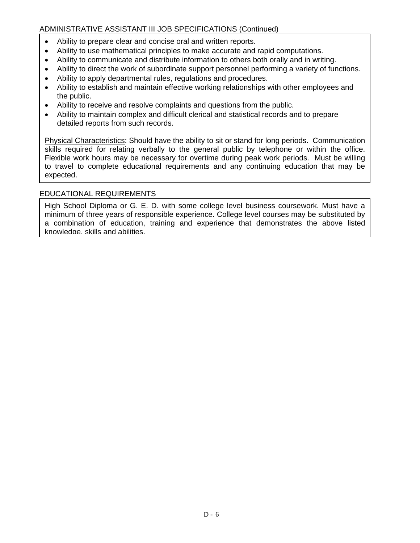## ADMINISTRATIVE ASSISTANT III JOB SPECIFICATIONS (Continued)

- Ability to prepare clear and concise oral and written reports.
- Ability to use mathematical principles to make accurate and rapid computations.
- Ability to communicate and distribute information to others both orally and in writing.
- Ability to direct the work of subordinate support personnel performing a variety of functions.
- Ability to apply departmental rules, regulations and procedures.
- Ability to establish and maintain effective working relationships with other employees and the public.
- Ability to receive and resolve complaints and questions from the public.
- Ability to maintain complex and difficult clerical and statistical records and to prepare detailed reports from such records.

Physical Characteristics: Should have the ability to sit or stand for long periods. Communication skills required for relating verbally to the general public by telephone or within the office. Flexible work hours may be necessary for overtime during peak work periods. Must be willing to travel to complete educational requirements and any continuing education that may be expected.

## EDUCATIONAL REQUIREMENTS

High School Diploma or G. E. D. with some college level business coursework. Must have a minimum of three years of responsible experience. College level courses may be substituted by a combination of education, training and experience that demonstrates the above listed knowledge, skills and abilities.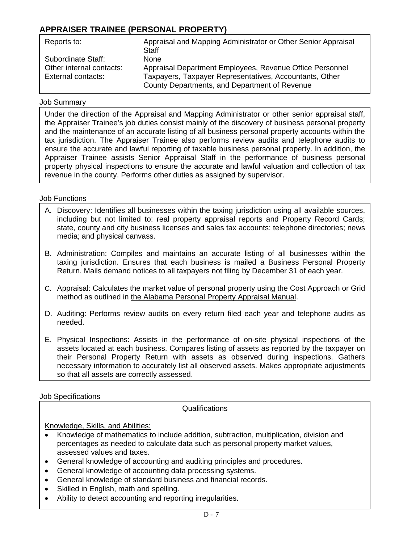# **APPRAISER TRAINEE (PERSONAL PROPERTY)**

| Reports to:              | Appraisal and Mapping Administrator or Other Senior Appraisal<br><b>Staff</b> |
|--------------------------|-------------------------------------------------------------------------------|
| Subordinate Staff:       | <b>None</b>                                                                   |
| Other internal contacts: | Appraisal Department Employees, Revenue Office Personnel                      |
| External contacts:       | Taxpayers, Taxpayer Representatives, Accountants, Other                       |
|                          | County Departments, and Department of Revenue                                 |

#### Job Summary

Under the direction of the Appraisal and Mapping Administrator or other senior appraisal staff, the Appraiser Trainee's job duties consist mainly of the discovery of business personal property and the maintenance of an accurate listing of all business personal property accounts within the tax jurisdiction. The Appraiser Trainee also performs review audits and telephone audits to ensure the accurate and lawful reporting of taxable business personal property. In addition, the Appraiser Trainee assists Senior Appraisal Staff in the performance of business personal property physical inspections to ensure the accurate and lawful valuation and collection of tax revenue in the county. Performs other duties as assigned by supervisor.

### Job Functions

- A. Discovery: Identifies all businesses within the taxing jurisdiction using all available sources, including but not limited to: real property appraisal reports and Property Record Cards; state, county and city business licenses and sales tax accounts; telephone directories; news media; and physical canvass.
- B. Administration: Compiles and maintains an accurate listing of all businesses within the taxing jurisdiction. Ensures that each business is mailed a Business Personal Property Return. Mails demand notices to all taxpayers not filing by December 31 of each year.
- C. Appraisal: Calculates the market value of personal property using the Cost Approach or Grid method as outlined in the Alabama Personal Property Appraisal Manual.
- D. Auditing: Performs review audits on every return filed each year and telephone audits as needed.
- E. Physical Inspections: Assists in the performance of on-site physical inspections of the assets located at each business. Compares listing of assets as reported by the taxpayer on their Personal Property Return with assets as observed during inspections. Gathers necessary information to accurately list all observed assets. Makes appropriate adjustments so that all assets are correctly assessed.

Job Specifications

Qualifications

Knowledge, Skills, and Abilities:

- Knowledge of mathematics to include addition, subtraction, multiplication, division and percentages as needed to calculate data such as personal property market values, assessed values and taxes.
- General knowledge of accounting and auditing principles and procedures.
- General knowledge of accounting data processing systems.
- General knowledge of standard business and financial records.
- Skilled in English, math and spelling.
- Ability to detect accounting and reporting irregularities.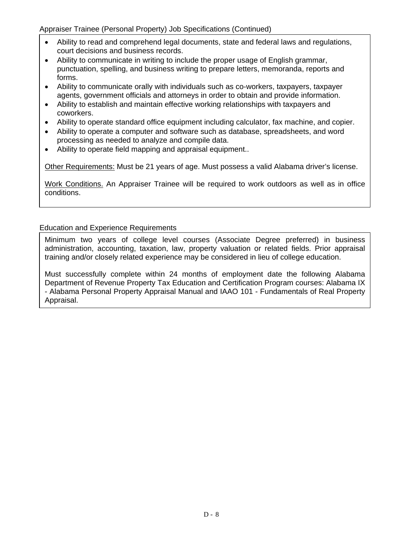Appraiser Trainee (Personal Property) Job Specifications (Continued)

- Ability to read and comprehend legal documents, state and federal laws and regulations, court decisions and business records.
- Ability to communicate in writing to include the proper usage of English grammar, punctuation, spelling, and business writing to prepare letters, memoranda, reports and forms.
- Ability to communicate orally with individuals such as co-workers, taxpayers, taxpayer agents, government officials and attorneys in order to obtain and provide information.
- Ability to establish and maintain effective working relationships with taxpayers and coworkers.
- Ability to operate standard office equipment including calculator, fax machine, and copier.
- Ability to operate a computer and software such as database, spreadsheets, and word processing as needed to analyze and compile data.
- Ability to operate field mapping and appraisal equipment..

Other Requirements: Must be 21 years of age. Must possess a valid Alabama driver's license.

Work Conditions. An Appraiser Trainee will be required to work outdoors as well as in office conditions.

## Education and Experience Requirements

Minimum two years of college level courses (Associate Degree preferred) in business administration, accounting, taxation, law, property valuation or related fields. Prior appraisal training and/or closely related experience may be considered in lieu of college education.

Must successfully complete within 24 months of employment date the following Alabama Department of Revenue Property Tax Education and Certification Program courses: Alabama IX - Alabama Personal Property Appraisal Manual and IAAO 101 - Fundamentals of Real Property Appraisal.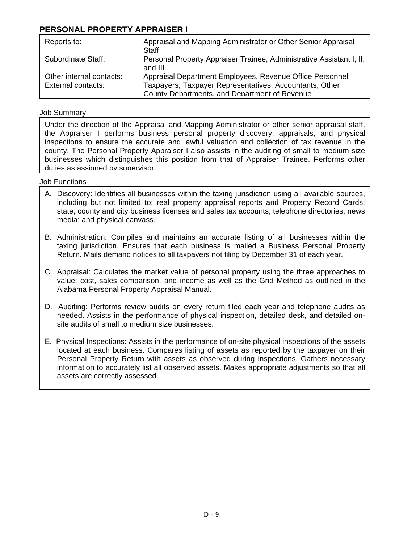# **PERSONAL PROPERTY APPRAISER I**

| Reports to:                                    | Appraisal and Mapping Administrator or Other Senior Appraisal<br>Staff                                                                                               |
|------------------------------------------------|----------------------------------------------------------------------------------------------------------------------------------------------------------------------|
| Subordinate Staff:                             | Personal Property Appraiser Trainee, Administrative Assistant I, II,<br>and III                                                                                      |
| Other internal contacts:<br>External contacts: | Appraisal Department Employees, Revenue Office Personnel<br>Taxpayers, Taxpayer Representatives, Accountants, Other<br>County Departments, and Department of Revenue |

## Job Summary

Under the direction of the Appraisal and Mapping Administrator or other senior appraisal staff, the Appraiser I performs business personal property discovery, appraisals, and physical inspections to ensure the accurate and lawful valuation and collection of tax revenue in the county. The Personal Property Appraiser I also assists in the auditing of small to medium size businesses which distinguishes this position from that of Appraiser Trainee. Performs other duties as assigned by supervisor.

- A. Discovery: Identifies all businesses within the taxing jurisdiction using all available sources, including but not limited to: real property appraisal reports and Property Record Cards; state, county and city business licenses and sales tax accounts; telephone directories; news media; and physical canvass.
- B. Administration: Compiles and maintains an accurate listing of all businesses within the taxing jurisdiction. Ensures that each business is mailed a Business Personal Property Return. Mails demand notices to all taxpayers not filing by December 31 of each year.
- C. Appraisal: Calculates the market value of personal property using the three approaches to value: cost, sales comparison, and income as well as the Grid Method as outlined in the Alabama Personal Property Appraisal Manual.
- D. Auditing: Performs review audits on every return filed each year and telephone audits as needed. Assists in the performance of physical inspection, detailed desk, and detailed onsite audits of small to medium size businesses.
- E. Physical Inspections: Assists in the performance of on-site physical inspections of the assets located at each business. Compares listing of assets as reported by the taxpayer on their Personal Property Return with assets as observed during inspections. Gathers necessary information to accurately list all observed assets. Makes appropriate adjustments so that all assets are correctly assessed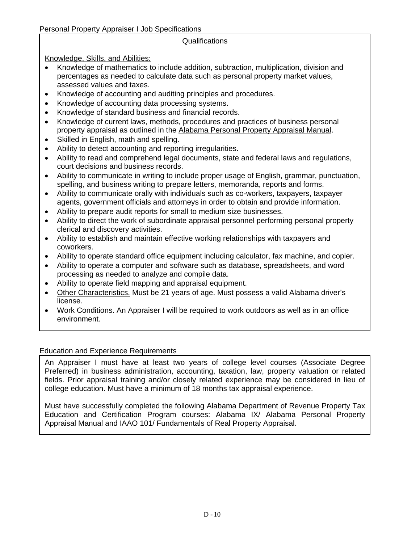## Qualifications

Knowledge, Skills, and Abilities:

- Knowledge of mathematics to include addition, subtraction, multiplication, division and percentages as needed to calculate data such as personal property market values, assessed values and taxes.
- Knowledge of accounting and auditing principles and procedures.
- Knowledge of accounting data processing systems.
- Knowledge of standard business and financial records.
- Knowledge of current laws, methods, procedures and practices of business personal property appraisal as outlined in the Alabama Personal Property Appraisal Manual.
- Skilled in English, math and spelling.
- Ability to detect accounting and reporting irregularities.
- Ability to read and comprehend legal documents, state and federal laws and regulations, court decisions and business records.
- Ability to communicate in writing to include proper usage of English, grammar, punctuation, spelling, and business writing to prepare letters, memoranda, reports and forms.
- Ability to communicate orally with individuals such as co-workers, taxpayers, taxpayer agents, government officials and attorneys in order to obtain and provide information.
- Ability to prepare audit reports for small to medium size businesses.
- Ability to direct the work of subordinate appraisal personnel performing personal property clerical and discovery activities.
- Ability to establish and maintain effective working relationships with taxpayers and coworkers.
- Ability to operate standard office equipment including calculator, fax machine, and copier.
- Ability to operate a computer and software such as database, spreadsheets, and word processing as needed to analyze and compile data.
- Ability to operate field mapping and appraisal equipment.
- Other Characteristics. Must be 21 years of age. Must possess a valid Alabama driver's license.
- Work Conditions. An Appraiser I will be required to work outdoors as well as in an office environment.

## Education and Experience Requirements

An Appraiser I must have at least two years of college level courses (Associate Degree Preferred) in business administration, accounting, taxation, law, property valuation or related fields. Prior appraisal training and/or closely related experience may be considered in lieu of college education. Must have a minimum of 18 months tax appraisal experience.

Must have successfully completed the following Alabama Department of Revenue Property Tax Education and Certification Program courses: Alabama IX/ Alabama Personal Property Appraisal Manual and IAAO 101/ Fundamentals of Real Property Appraisal.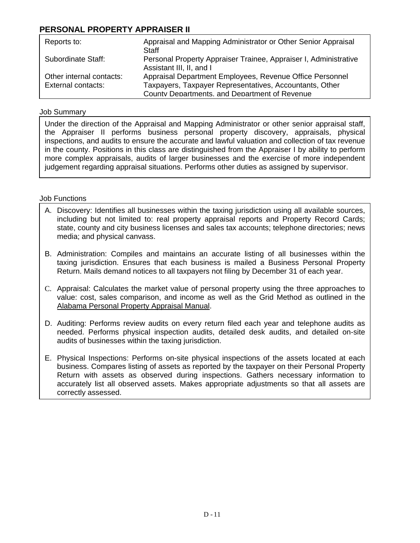# **PERSONAL PROPERTY APPRAISER II**

| Reports to:                                    | Appraisal and Mapping Administrator or Other Senior Appraisal<br>Staff                                                                                               |
|------------------------------------------------|----------------------------------------------------------------------------------------------------------------------------------------------------------------------|
| Subordinate Staff:                             | Personal Property Appraiser Trainee, Appraiser I, Administrative<br>Assistant III, II, and I                                                                         |
| Other internal contacts:<br>External contacts: | Appraisal Department Employees, Revenue Office Personnel<br>Taxpayers, Taxpayer Representatives, Accountants, Other<br>County Departments, and Department of Revenue |

### Job Summary

Under the direction of the Appraisal and Mapping Administrator or other senior appraisal staff, the Appraiser II performs business personal property discovery, appraisals, physical inspections, and audits to ensure the accurate and lawful valuation and collection of tax revenue in the county. Positions in this class are distinguished from the Appraiser I by ability to perform more complex appraisals, audits of larger businesses and the exercise of more independent judgement regarding appraisal situations. Performs other duties as assigned by supervisor.

- A. Discovery: Identifies all businesses within the taxing jurisdiction using all available sources, including but not limited to: real property appraisal reports and Property Record Cards; state, county and city business licenses and sales tax accounts; telephone directories; news media; and physical canvass.
- B. Administration: Compiles and maintains an accurate listing of all businesses within the taxing jurisdiction. Ensures that each business is mailed a Business Personal Property Return. Mails demand notices to all taxpayers not filing by December 31 of each year.
- C. Appraisal: Calculates the market value of personal property using the three approaches to value: cost, sales comparison, and income as well as the Grid Method as outlined in the Alabama Personal Property Appraisal Manual.
- D. Auditing: Performs review audits on every return filed each year and telephone audits as needed. Performs physical inspection audits, detailed desk audits, and detailed on-site audits of businesses within the taxing jurisdiction.
- E. Physical Inspections: Performs on-site physical inspections of the assets located at each business. Compares listing of assets as reported by the taxpayer on their Personal Property Return with assets as observed during inspections. Gathers necessary information to accurately list all observed assets. Makes appropriate adjustments so that all assets are correctly assessed.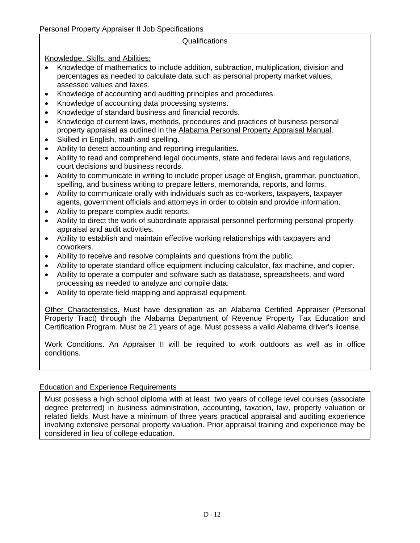## Qualifications

Knowledge, Skills, and Abilities:

- Knowledge of mathematics to include addition, subtraction, multiplication, division and percentages as needed to calculate data such as personal property market values, assessed values and taxes.
- Knowledge of accounting and auditing principles and procedures.
- Knowledge of accounting data processing systems.
- Knowledge of standard business and financial records.
- Knowledge of current laws, methods, procedures and practices of business personal property appraisal as outlined in the Alabama Personal Property Appraisal Manual.
- Skilled in English, math and spelling.
- Ability to detect accounting and reporting irregularities.
- Ability to read and comprehend legal documents, state and federal laws and regulations, court decisions and business records.
- Ability to communicate in writing to include proper usage of English, grammar, punctuation, spelling, and business writing to prepare letters, memoranda, reports, and forms.
- Ability to communicate orally with individuals such as co-workers, taxpayers, taxpayer agents, government officials and attorneys in order to obtain and provide information.
- $\bullet$  Ability to prepare complex audit reports.
	- Ability to direct the work of subordinate appraisal personnel performing personal property appraisal and audit activities.
	- Ability to establish and maintain effective working relationships with taxpayers and coworkers.
	- Ability to receive and resolve complaints and questions from the public.
	- Ability to operate standard office equipment including calculator, fax machine, and copier.
	- Ability to operate a computer and software such as database, spreadsheets, and word processing as needed to analyze and compile data.
	- Ability to operate field mapping and appraisal equipment.

Other Characteristics. Must have designation as an Alabama Certified Appraiser (Personal Property Tract) through the Alabama Department of Revenue Property Tax Education and Certification Program. Must be 21 years of age. Must possess a valid Alabama driver's license.

Work Conditions. An Appraiser II will be required to work outdoors as well as in office conditions.

## Education and Experience Requirements

Must possess a high school diploma with at least two years of college level courses (associate degree preferred) in business administration, accounting, taxation, law, property valuation or related fields. Must have a minimum of three years practical appraisal and auditing experience involving extensive personal property valuation. Prior appraisal training and experience may be considered in lieu of college education.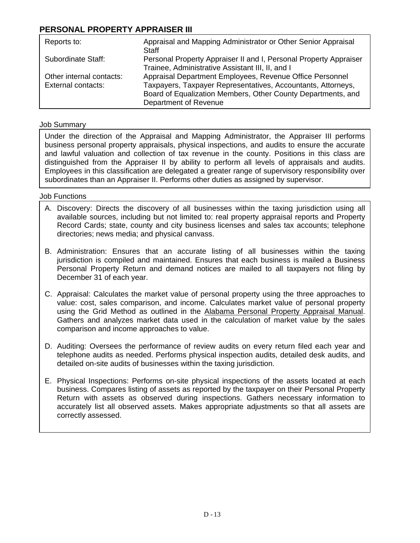# **PERSONAL PROPERTY APPRAISER III**

| Reports to:                                    | Appraisal and Mapping Administrator or Other Senior Appraisal<br>Staff                                                                                                                                            |
|------------------------------------------------|-------------------------------------------------------------------------------------------------------------------------------------------------------------------------------------------------------------------|
| Subordinate Staff:                             | Personal Property Appraiser II and I, Personal Property Appraiser<br>Trainee, Administrative Assistant III, II, and I                                                                                             |
| Other internal contacts:<br>External contacts: | Appraisal Department Employees, Revenue Office Personnel<br>Taxpayers, Taxpayer Representatives, Accountants, Attorneys,<br>Board of Equalization Members, Other County Departments, and<br>Department of Revenue |

## Job Summary

Under the direction of the Appraisal and Mapping Administrator, the Appraiser III performs business personal property appraisals, physical inspections, and audits to ensure the accurate and lawful valuation and collection of tax revenue in the county. Positions in this class are distinguished from the Appraiser II by ability to perform all levels of appraisals and audits. Employees in this classification are delegated a greater range of supervisory responsibility over subordinates than an Appraiser II. Performs other duties as assigned by supervisor.

- A. Discovery: Directs the discovery of all businesses within the taxing jurisdiction using all available sources, including but not limited to: real property appraisal reports and Property Record Cards; state, county and city business licenses and sales tax accounts; telephone directories; news media; and physical canvass.
- B. Administration: Ensures that an accurate listing of all businesses within the taxing jurisdiction is compiled and maintained. Ensures that each business is mailed a Business Personal Property Return and demand notices are mailed to all taxpayers not filing by December 31 of each year.
- C. Appraisal: Calculates the market value of personal property using the three approaches to value: cost, sales comparison, and income. Calculates market value of personal property using the Grid Method as outlined in the Alabama Personal Property Appraisal Manual. Gathers and analyzes market data used in the calculation of market value by the sales comparison and income approaches to value.
- D. Auditing: Oversees the performance of review audits on every return filed each year and telephone audits as needed. Performs physical inspection audits, detailed desk audits, and detailed on-site audits of businesses within the taxing jurisdiction.
- E. Physical Inspections: Performs on-site physical inspections of the assets located at each business. Compares listing of assets as reported by the taxpayer on their Personal Property Return with assets as observed during inspections. Gathers necessary information to accurately list all observed assets. Makes appropriate adjustments so that all assets are correctly assessed.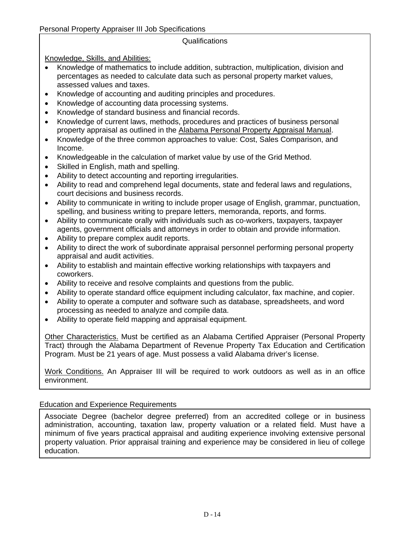## Qualifications

Knowledge, Skills, and Abilities:

- Knowledge of mathematics to include addition, subtraction, multiplication, division and percentages as needed to calculate data such as personal property market values, assessed values and taxes.
- Knowledge of accounting and auditing principles and procedures.
- Knowledge of accounting data processing systems.
- Knowledge of standard business and financial records.
- Knowledge of current laws, methods, procedures and practices of business personal property appraisal as outlined in the Alabama Personal Property Appraisal Manual.
- Knowledge of the three common approaches to value: Cost, Sales Comparison, and Income.
- Knowledgeable in the calculation of market value by use of the Grid Method.
- Skilled in English, math and spelling.
- Ability to detect accounting and reporting irregularities.
- Ability to read and comprehend legal documents, state and federal laws and regulations, court decisions and business records.
- Ability to communicate in writing to include proper usage of English, grammar, punctuation, spelling, and business writing to prepare letters, memoranda, reports, and forms.
- Ability to communicate orally with individuals such as co-workers, taxpayers, taxpayer agents, government officials and attorneys in order to obtain and provide information.
- Ability to prepare complex audit reports.
- Ability to direct the work of subordinate appraisal personnel performing personal property appraisal and audit activities.
- Ability to establish and maintain effective working relationships with taxpayers and coworkers.
- Ability to receive and resolve complaints and questions from the public.
- Ability to operate standard office equipment including calculator, fax machine, and copier.
- Ability to operate a computer and software such as database, spreadsheets, and word processing as needed to analyze and compile data.
- Ability to operate field mapping and appraisal equipment.

Other Characteristics. Must be certified as an Alabama Certified Appraiser (Personal Property Tract) through the Alabama Department of Revenue Property Tax Education and Certification Program. Must be 21 years of age. Must possess a valid Alabama driver's license.

Work Conditions. An Appraiser III will be required to work outdoors as well as in an office environment.

## Education and Experience Requirements

Associate Degree (bachelor degree preferred) from an accredited college or in business administration, accounting, taxation law, property valuation or a related field. Must have a minimum of five years practical appraisal and auditing experience involving extensive personal property valuation. Prior appraisal training and experience may be considered in lieu of college education.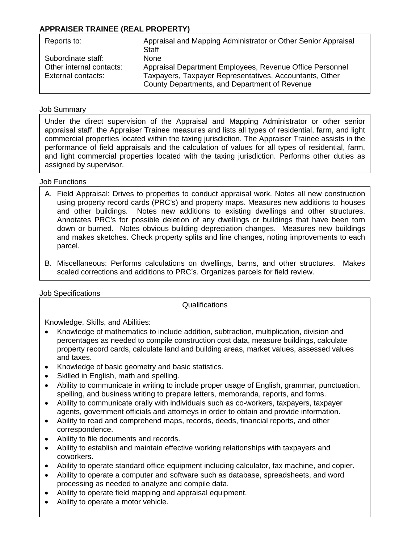## **APPRAISER TRAINEE (REAL PROPERTY)**

| Reports to:                                                          | Appraisal and Mapping Administrator or Other Senior Appraisal<br>Staff                                                                                                       |
|----------------------------------------------------------------------|------------------------------------------------------------------------------------------------------------------------------------------------------------------------------|
| Subordinate staff:<br>Other internal contacts:<br>External contacts: | None<br>Appraisal Department Employees, Revenue Office Personnel<br>Taxpayers, Taxpayer Representatives, Accountants, Other<br>County Departments, and Department of Revenue |

## Job Summary

Under the direct supervision of the Appraisal and Mapping Administrator or other senior appraisal staff, the Appraiser Trainee measures and lists all types of residential, farm, and light commercial properties located within the taxing jurisdiction. The Appraiser Trainee assists in the performance of field appraisals and the calculation of values for all types of residential, farm, and light commercial properties located with the taxing jurisdiction. Performs other duties as assigned by supervisor.

## Job Functions

- A. Field Appraisal: Drives to properties to conduct appraisal work. Notes all new construction using property record cards (PRC's) and property maps. Measures new additions to houses and other buildings. Notes new additions to existing dwellings and other structures. Annotates PRC's for possible deletion of any dwellings or buildings that have been torn down or burned. Notes obvious building depreciation changes. Measures new buildings and makes sketches. Check property splits and line changes, noting improvements to each parcel.
- B. Miscellaneous: Performs calculations on dwellings, barns, and other structures. Makes scaled corrections and additions to PRC's. Organizes parcels for field review.

## Job Specifications

**Qualifications** 

### Knowledge, Skills, and Abilities:

- Knowledge of mathematics to include addition, subtraction, multiplication, division and percentages as needed to compile construction cost data, measure buildings, calculate property record cards, calculate land and building areas, market values, assessed values and taxes.
- Knowledge of basic geometry and basic statistics.
- Skilled in English, math and spelling.
- Ability to communicate in writing to include proper usage of English, grammar, punctuation, spelling, and business writing to prepare letters, memoranda, reports, and forms.
- Ability to communicate orally with individuals such as co-workers, taxpayers, taxpayer agents, government officials and attorneys in order to obtain and provide information.
- Ability to read and comprehend maps, records, deeds, financial reports, and other correspondence.
- Ability to file documents and records.
- Ability to establish and maintain effective working relationships with taxpayers and coworkers.
- Ability to operate standard office equipment including calculator, fax machine, and copier.
- Ability to operate a computer and software such as database, spreadsheets, and word processing as needed to analyze and compile data.

<u>D - 15 Anii 15 Anii 15 Anii 15 Anii 15 Anii 15 Anii 15 Anii 15 Anii 15 Anii 15 Anii 15 Anii 15 Anii 15 Anii 15</u>

- Ability to operate field mapping and appraisal equipment.
- Ability to operate a motor vehicle.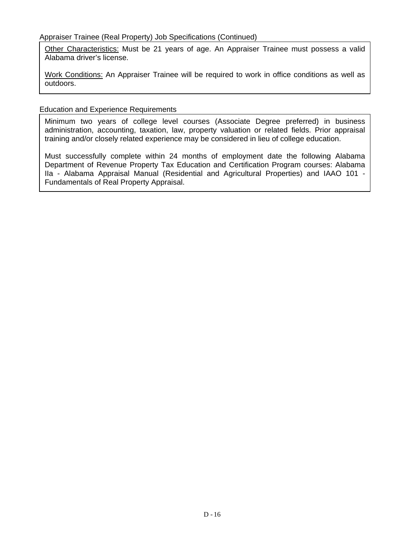Other Characteristics: Must be 21 years of age. An Appraiser Trainee must possess a valid Alabama driver's license.

Work Conditions: An Appraiser Trainee will be required to work in office conditions as well as outdoors.

## Education and Experience Requirements

Minimum two years of college level courses (Associate Degree preferred) in business administration, accounting, taxation, law, property valuation or related fields. Prior appraisal training and/or closely related experience may be considered in lieu of college education.

Must successfully complete within 24 months of employment date the following Alabama Department of Revenue Property Tax Education and Certification Program courses: Alabama IIa - Alabama Appraisal Manual (Residential and Agricultural Properties) and IAAO 101 - Fundamentals of Real Property Appraisal.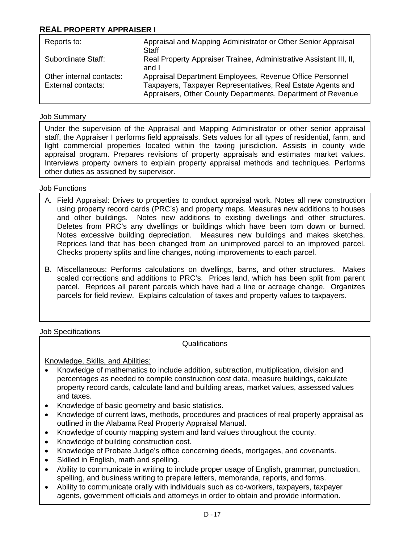## **REAL PROPERTY APPRAISER I**

| Reports to:                                    | Appraisal and Mapping Administrator or Other Senior Appraisal<br>Staff                                                                                                                 |
|------------------------------------------------|----------------------------------------------------------------------------------------------------------------------------------------------------------------------------------------|
| Subordinate Staff:                             | Real Property Appraiser Trainee, Administrative Assistant III, II,<br>and I                                                                                                            |
| Other internal contacts:<br>External contacts: | Appraisal Department Employees, Revenue Office Personnel<br>Taxpayers, Taxpayer Representatives, Real Estate Agents and<br>Appraisers, Other County Departments, Department of Revenue |

### Job Summary

Under the supervision of the Appraisal and Mapping Administrator or other senior appraisal staff, the Appraiser I performs field appraisals. Sets values for all types of residential, farm, and light commercial properties located within the taxing jurisdiction. Assists in county wide appraisal program. Prepares revisions of property appraisals and estimates market values. Interviews property owners to explain property appraisal methods and techniques. Performs other duties as assigned by supervisor.

## Job Functions

- A. Field Appraisal: Drives to properties to conduct appraisal work. Notes all new construction using property record cards (PRC's) and property maps. Measures new additions to houses and other buildings. Notes new additions to existing dwellings and other structures. Deletes from PRC's any dwellings or buildings which have been torn down or burned. Notes excessive building depreciation. Measures new buildings and makes sketches. Reprices land that has been changed from an unimproved parcel to an improved parcel. Checks property splits and line changes, noting improvements to each parcel.
- B. Miscellaneous: Performs calculations on dwellings, barns, and other structures. Makes scaled corrections and additions to PRC's. Prices land, which has been split from parent parcel. Reprices all parent parcels which have had a line or acreage change. Organizes parcels for field review. Explains calculation of taxes and property values to taxpayers.

Job Specifications

**Qualifications** 

Knowledge, Skills, and Abilities:

- Knowledge of mathematics to include addition, subtraction, multiplication, division and percentages as needed to compile construction cost data, measure buildings, calculate property record cards, calculate land and building areas, market values, assessed values and taxes.
- Knowledge of basic geometry and basic statistics.
- Knowledge of current laws, methods, procedures and practices of real property appraisal as outlined in the Alabama Real Property Appraisal Manual.
- Knowledge of county mapping system and land values throughout the county.
- Knowledge of building construction cost.
- Knowledge of Probate Judge's office concerning deeds, mortgages, and covenants.
- Skilled in English, math and spelling.
- Ability to communicate in writing to include proper usage of English, grammar, punctuation, spelling, and business writing to prepare letters, memoranda, reports, and forms.
- Ability to communicate orally with individuals such as co-workers, taxpayers, taxpayer agents, government officials and attorneys in order to obtain and provide information.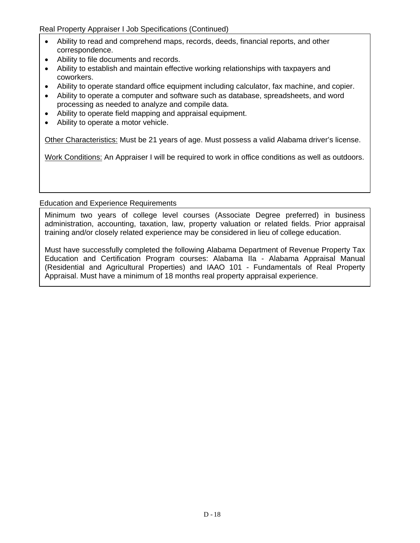Real Property Appraiser I Job Specifications (Continued)

- Ability to read and comprehend maps, records, deeds, financial reports, and other correspondence.
- Ability to file documents and records.
- Ability to establish and maintain effective working relationships with taxpayers and coworkers.
- Ability to operate standard office equipment including calculator, fax machine, and copier.
- Ability to operate a computer and software such as database, spreadsheets, and word processing as needed to analyze and compile data.
- Ability to operate field mapping and appraisal equipment.
- Ability to operate a motor vehicle.

Other Characteristics: Must be 21 years of age. Must possess a valid Alabama driver's license.

Work Conditions: An Appraiser I will be required to work in office conditions as well as outdoors.

### Education and Experience Requirements

Minimum two years of college level courses (Associate Degree preferred) in business administration, accounting, taxation, law, property valuation or related fields. Prior appraisal training and/or closely related experience may be considered in lieu of college education.

Must have successfully completed the following Alabama Department of Revenue Property Tax Education and Certification Program courses: Alabama IIa - Alabama Appraisal Manual (Residential and Agricultural Properties) and IAAO 101 - Fundamentals of Real Property Appraisal. Must have a minimum of 18 months real property appraisal experience.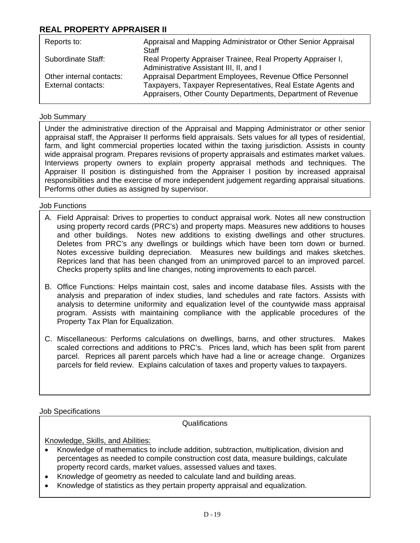# **REAL PROPERTY APPRAISER II**

| Reports to:                                    | Appraisal and Mapping Administrator or Other Senior Appraisal<br>Staff                                                                                                                 |
|------------------------------------------------|----------------------------------------------------------------------------------------------------------------------------------------------------------------------------------------|
| Subordinate Staff:                             | Real Property Appraiser Trainee, Real Property Appraiser I,<br>Administrative Assistant III, II, and I                                                                                 |
| Other internal contacts:<br>External contacts: | Appraisal Department Employees, Revenue Office Personnel<br>Taxpayers, Taxpayer Representatives, Real Estate Agents and<br>Appraisers, Other County Departments, Department of Revenue |

### Job Summary

Under the administrative direction of the Appraisal and Mapping Administrator or other senior appraisal staff, the Appraiser II performs field appraisals. Sets values for all types of residential, farm, and light commercial properties located within the taxing jurisdiction. Assists in county wide appraisal program. Prepares revisions of property appraisals and estimates market values. Interviews property owners to explain property appraisal methods and techniques. The Appraiser II position is distinguished from the Appraiser I position by increased appraisal responsibilities and the exercise of more independent judgement regarding appraisal situations. Performs other duties as assigned by supervisor.

### Job Functions

- A. Field Appraisal: Drives to properties to conduct appraisal work. Notes all new construction using property record cards (PRC's) and property maps. Measures new additions to houses and other buildings. Notes new additions to existing dwellings and other structures. Deletes from PRC's any dwellings or buildings which have been torn down or burned. Notes excessive building depreciation. Measures new buildings and makes sketches. Reprices land that has been changed from an unimproved parcel to an improved parcel. Checks property splits and line changes, noting improvements to each parcel.
- B. Office Functions: Helps maintain cost, sales and income database files. Assists with the analysis and preparation of index studies, land schedules and rate factors. Assists with analysis to determine uniformity and equalization level of the countywide mass appraisal program. Assists with maintaining compliance with the applicable procedures of the Property Tax Plan for Equalization.
- C. Miscellaneous: Performs calculations on dwellings, barns, and other structures. Makes scaled corrections and additions to PRC's. Prices land, which has been split from parent parcel. Reprices all parent parcels which have had a line or acreage change. Organizes parcels for field review. Explains calculation of taxes and property values to taxpayers.

Job Specifications

Qualifications

Knowledge, Skills, and Abilities:

- Knowledge of mathematics to include addition, subtraction, multiplication, division and percentages as needed to compile construction cost data, measure buildings, calculate property record cards, market values, assessed values and taxes.
- Knowledge of geometry as needed to calculate land and building areas.
- Knowledge of statistics as they pertain property appraisal and equalization.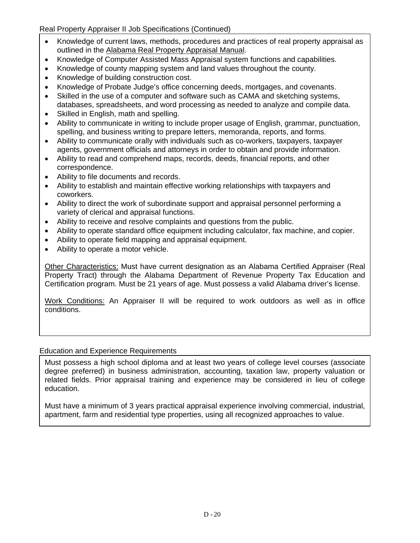## Real Property Appraiser II Job Specifications (Continued)

- Knowledge of current laws, methods, procedures and practices of real property appraisal as outlined in the Alabama Real Property Appraisal Manual.
- Knowledge of Computer Assisted Mass Appraisal system functions and capabilities.
- Knowledge of county mapping system and land values throughout the county.
- Knowledge of building construction cost.
- Knowledge of Probate Judge's office concerning deeds, mortgages, and covenants.
- Skilled in the use of a computer and software such as CAMA and sketching systems, databases, spreadsheets, and word processing as needed to analyze and compile data.
- Skilled in English, math and spelling.
- Ability to communicate in writing to include proper usage of English, grammar, punctuation, spelling, and business writing to prepare letters, memoranda, reports, and forms.
- Ability to communicate orally with individuals such as co-workers, taxpayers, taxpayer agents, government officials and attorneys in order to obtain and provide information.
- Ability to read and comprehend maps, records, deeds, financial reports, and other correspondence.
- Ability to file documents and records.
- Ability to establish and maintain effective working relationships with taxpayers and coworkers.
- Ability to direct the work of subordinate support and appraisal personnel performing a variety of clerical and appraisal functions.
- Ability to receive and resolve complaints and questions from the public.
- Ability to operate standard office equipment including calculator, fax machine, and copier.
- Ability to operate field mapping and appraisal equipment.
- Ability to operate a motor vehicle.

Other Characteristics: Must have current designation as an Alabama Certified Appraiser (Real Property Tract) through the Alabama Department of Revenue Property Tax Education and Certification program. Must be 21 years of age. Must possess a valid Alabama driver's license.

Work Conditions: An Appraiser II will be required to work outdoors as well as in office conditions.

### Education and Experience Requirements

Must possess a high school diploma and at least two years of college level courses (associate degree preferred) in business administration, accounting, taxation law, property valuation or related fields. Prior appraisal training and experience may be considered in lieu of college education.

Must have a minimum of 3 years practical appraisal experience involving commercial, industrial, apartment, farm and residential type properties, using all recognized approaches to value.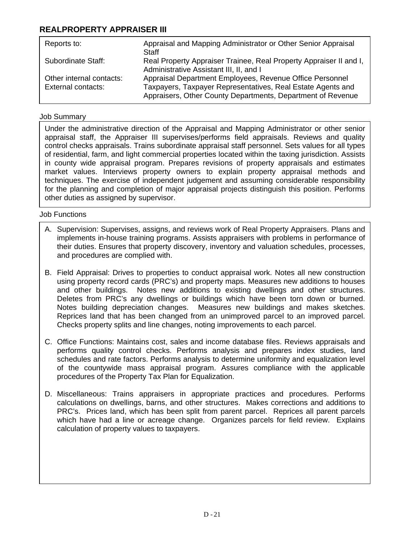# **REALPROPERTY APPRAISER III**

| Appraisal and Mapping Administrator or Other Senior Appraisal<br>Staff                                                     |
|----------------------------------------------------------------------------------------------------------------------------|
| Real Property Appraiser Trainee, Real Property Appraiser II and I,<br>Administrative Assistant III, II, and I              |
| Appraisal Department Employees, Revenue Office Personnel                                                                   |
| Taxpayers, Taxpayer Representatives, Real Estate Agents and<br>Appraisers, Other County Departments, Department of Revenue |
|                                                                                                                            |

## Job Summary

Under the administrative direction of the Appraisal and Mapping Administrator or other senior appraisal staff, the Appraiser III supervises/performs field appraisals. Reviews and quality control checks appraisals. Trains subordinate appraisal staff personnel. Sets values for all types of residential, farm, and light commercial properties located within the taxing jurisdiction. Assists in county wide appraisal program. Prepares revisions of property appraisals and estimates market values. Interviews property owners to explain property appraisal methods and techniques. The exercise of independent judgement and assuming considerable responsibility for the planning and completion of major appraisal projects distinguish this position. Performs other duties as assigned by supervisor.

- A. Supervision: Supervises, assigns, and reviews work of Real Property Appraisers. Plans and implements in-house training programs. Assists appraisers with problems in performance of their duties. Ensures that property discovery, inventory and valuation schedules, processes, and procedures are complied with.
- B. Field Appraisal: Drives to properties to conduct appraisal work. Notes all new construction using property record cards (PRC's) and property maps. Measures new additions to houses and other buildings. Notes new additions to existing dwellings and other structures. Deletes from PRC's any dwellings or buildings which have been torn down or burned. Notes building depreciation changes. Measures new buildings and makes sketches. Reprices land that has been changed from an unimproved parcel to an improved parcel. Checks property splits and line changes, noting improvements to each parcel.
- C. Office Functions: Maintains cost, sales and income database files. Reviews appraisals and performs quality control checks. Performs analysis and prepares index studies, land schedules and rate factors. Performs analysis to determine uniformity and equalization level of the countywide mass appraisal program. Assures compliance with the applicable procedures of the Property Tax Plan for Equalization.
- D. Miscellaneous: Trains appraisers in appropriate practices and procedures. Performs calculations on dwellings, barns, and other structures. Makes corrections and additions to PRC's. Prices land, which has been split from parent parcel. Reprices all parent parcels which have had a line or acreage change. Organizes parcels for field review. Explains calculation of property values to taxpayers.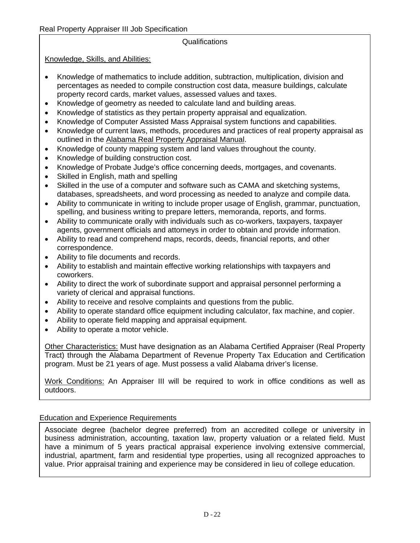### Qualifications

Knowledge, Skills, and Abilities:

- Knowledge of mathematics to include addition, subtraction, multiplication, division and percentages as needed to compile construction cost data, measure buildings, calculate property record cards, market values, assessed values and taxes.
- Knowledge of geometry as needed to calculate land and building areas.
- Knowledge of statistics as they pertain property appraisal and equalization.
- Knowledge of Computer Assisted Mass Appraisal system functions and capabilities.
- Knowledge of current laws, methods, procedures and practices of real property appraisal as outlined in the Alabama Real Property Appraisal Manual.
- Knowledge of county mapping system and land values throughout the county.
- Knowledge of building construction cost.
- Knowledge of Probate Judge's office concerning deeds, mortgages, and covenants.
- Skilled in English, math and spelling
- Skilled in the use of a computer and software such as CAMA and sketching systems, databases, spreadsheets, and word processing as needed to analyze and compile data.
- Ability to communicate in writing to include proper usage of English, grammar, punctuation, spelling, and business writing to prepare letters, memoranda, reports, and forms.
- Ability to communicate orally with individuals such as co-workers, taxpayers, taxpayer agents, government officials and attorneys in order to obtain and provide information.
- Ability to read and comprehend maps, records, deeds, financial reports, and other correspondence.
- Ability to file documents and records.
- Ability to establish and maintain effective working relationships with taxpayers and coworkers.
- Ability to direct the work of subordinate support and appraisal personnel performing a variety of clerical and appraisal functions.
- Ability to receive and resolve complaints and questions from the public.
- Ability to operate standard office equipment including calculator, fax machine, and copier.
- Ability to operate field mapping and appraisal equipment.
- Ability to operate a motor vehicle.

Other Characteristics: Must have designation as an Alabama Certified Appraiser (Real Property Tract) through the Alabama Department of Revenue Property Tax Education and Certification program. Must be 21 years of age. Must possess a valid Alabama driver's license.

Work Conditions: An Appraiser III will be required to work in office conditions as well as outdoors.

### Education and Experience Requirements

Associate degree (bachelor degree preferred) from an accredited college or university in business administration, accounting, taxation law, property valuation or a related field. Must have a minimum of 5 years practical appraisal experience involving extensive commercial, industrial, apartment, farm and residential type properties, using all recognized approaches to value. Prior appraisal training and experience may be considered in lieu of college education.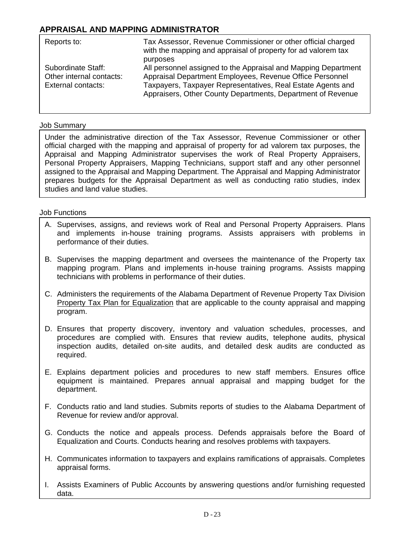# **APPRAISAL AND MAPPING ADMINISTRATOR**

| Reports to:                                                          | Tax Assessor, Revenue Commissioner or other official charged<br>with the mapping and appraisal of property for ad valorem tax<br>purposes                                                                                                                |
|----------------------------------------------------------------------|----------------------------------------------------------------------------------------------------------------------------------------------------------------------------------------------------------------------------------------------------------|
| Subordinate Staff:<br>Other internal contacts:<br>External contacts: | All personnel assigned to the Appraisal and Mapping Department<br>Appraisal Department Employees, Revenue Office Personnel<br>Taxpayers, Taxpayer Representatives, Real Estate Agents and<br>Appraisers, Other County Departments, Department of Revenue |

#### Job Summary

Under the administrative direction of the Tax Assessor, Revenue Commissioner or other official charged with the mapping and appraisal of property for ad valorem tax purposes, the Appraisal and Mapping Administrator supervises the work of Real Property Appraisers, Personal Property Appraisers, Mapping Technicians, support staff and any other personnel assigned to the Appraisal and Mapping Department. The Appraisal and Mapping Administrator prepares budgets for the Appraisal Department as well as conducting ratio studies, index studies and land value studies.

- A. Supervises, assigns, and reviews work of Real and Personal Property Appraisers. Plans and implements in-house training programs. Assists appraisers with problems in performance of their duties.
- B. Supervises the mapping department and oversees the maintenance of the Property tax mapping program. Plans and implements in-house training programs. Assists mapping technicians with problems in performance of their duties.
- C. Administers the requirements of the Alabama Department of Revenue Property Tax Division Property Tax Plan for Equalization that are applicable to the county appraisal and mapping program.
- D. Ensures that property discovery, inventory and valuation schedules, processes, and procedures are complied with. Ensures that review audits, telephone audits, physical inspection audits, detailed on-site audits, and detailed desk audits are conducted as required.
	- E. Explains department policies and procedures to new staff members. Ensures office equipment is maintained. Prepares annual appraisal and mapping budget for the department.
	- F. Conducts ratio and land studies. Submits reports of studies to the Alabama Department of Revenue for review and/or approval.
	- G. Conducts the notice and appeals process. Defends appraisals before the Board of Equalization and Courts. Conducts hearing and resolves problems with taxpayers.
- H. Communicates information to taxpayers and explains ramifications of appraisals. Completes appraisal forms.
- I. Assists Examiners of Public Accounts by answering questions and/or furnishing requested data.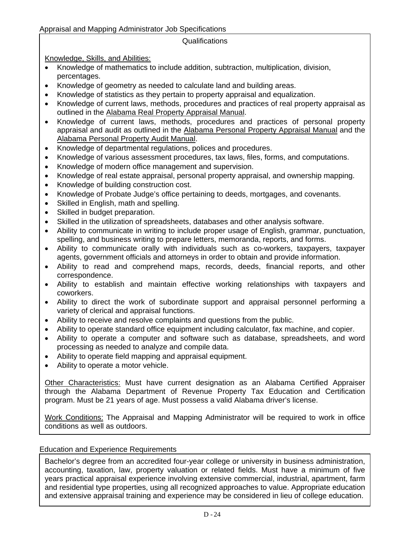## Appraisal and Mapping Administrator Job Specifications

## Qualifications

Knowledge, Skills, and Abilities:

- Knowledge of mathematics to include addition, subtraction, multiplication, division, percentages.
- Knowledge of geometry as needed to calculate land and building areas.
- Knowledge of statistics as they pertain to property appraisal and equalization.
- Knowledge of current laws, methods, procedures and practices of real property appraisal as outlined in the Alabama Real Property Appraisal Manual.
- Knowledge of current laws, methods, procedures and practices of personal property appraisal and audit as outlined in the Alabama Personal Property Appraisal Manual and the Alabama Personal Property Audit Manual.
- Knowledge of departmental regulations, polices and procedures.
- Knowledge of various assessment procedures, tax laws, files, forms, and computations.
- Knowledge of modern office management and supervision.
- Knowledge of real estate appraisal, personal property appraisal, and ownership mapping.
- Knowledge of building construction cost.
- Knowledge of Probate Judge's office pertaining to deeds, mortgages, and covenants.
- Skilled in English, math and spelling.
- Skilled in budget preparation.
- Skilled in the utilization of spreadsheets, databases and other analysis software.
- Ability to communicate in writing to include proper usage of English, grammar, punctuation, spelling, and business writing to prepare letters, memoranda, reports, and forms.
- Ability to communicate orally with individuals such as co-workers, taxpayers, taxpayer agents, government officials and attorneys in order to obtain and provide information.
- Ability to read and comprehend maps, records, deeds, financial reports, and other correspondence.
- Ability to establish and maintain effective working relationships with taxpayers and coworkers.
- Ability to direct the work of subordinate support and appraisal personnel performing a variety of clerical and appraisal functions.
- Ability to receive and resolve complaints and questions from the public.
- Ability to operate standard office equipment including calculator, fax machine, and copier.
- Ability to operate a computer and software such as database, spreadsheets, and word processing as needed to analyze and compile data.
- **EDUCATION** Ability to operate field mapping and appraisal equipment.
	- Ability to operate a motor vehicle.

Other Characteristics: Must have current designation as an Alabama Certified Appraiser through the Alabama Department of Revenue Property Tax Education and Certification program. Must be 21 years of age. Must possess a valid Alabama driver's license.

Work Conditions: The Appraisal and Mapping Administrator will be required to work in office conditions as well as outdoors.

## Education and Experience Requirements

Bachelor's degree from an accredited four-year college or university in business administration, accounting, taxation, law, property valuation or related fields. Must have a minimum of five years practical appraisal experience involving extensive commercial, industrial, apartment, farm and residential type properties, using all recognized approaches to value. Appropriate education and extensive appraisal training and experience may be considered in lieu of college education.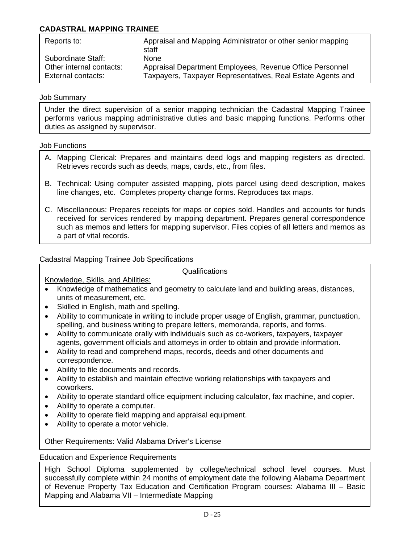## **CADASTRAL MAPPING TRAINEE**

| Reports to:              | Appraisal and Mapping Administrator or other senior mapping<br>staff |
|--------------------------|----------------------------------------------------------------------|
| Subordinate Staff:       | <b>None</b>                                                          |
| Other internal contacts: | Appraisal Department Employees, Revenue Office Personnel             |
| External contacts:       | Taxpayers, Taxpayer Representatives, Real Estate Agents and          |

#### Job Summary

Under the direct supervision of a senior mapping technician the Cadastral Mapping Trainee performs various mapping administrative duties and basic mapping functions. Performs other duties as assigned by supervisor.

#### Job Functions

- A. Mapping Clerical: Prepares and maintains deed logs and mapping registers as directed. Retrieves records such as deeds, maps, cards, etc., from files.
- B. Technical: Using computer assisted mapping, plots parcel using deed description, makes line changes, etc. Completes property change forms. Reproduces tax maps.
- such as memos and letters for mapping supervisor. Files copies of all letters and memos as C. Miscellaneous: Prepares receipts for maps or copies sold. Handles and accounts for funds received for services rendered by mapping department. Prepares general correspondence a part of vital records.

### Cadastral Mapping Trainee Job Specifications

Qualifications

Knowledge, Skills, and Abilities:

- Knowledge of mathematics and geometry to calculate land and building areas, distances, units of measurement, etc.
- Skilled in English, math and spelling.
- Ability to communicate in writing to include proper usage of English, grammar, punctuation, spelling, and business writing to prepare letters, memoranda, reports, and forms.
- Ability to communicate orally with individuals such as co-workers, taxpayers, taxpayer agents, government officials and attorneys in order to obtain and provide information.
- Ability to read and comprehend maps, records, deeds and other documents and correspondence.
- Ability to file documents and records.
- Ability to establish and maintain effective working relationships with taxpayers and coworkers.
- Ability to operate standard office equipment including calculator, fax machine, and copier.
- Ability to operate a computer.
- Ability to operate field mapping and appraisal equipment.
- Ability to operate a motor vehicle.

Other Requirements: Valid Alabama Driver's License

### Education and Experience Requirements

High School Diploma supplemented by college/technical school level courses. Must successfully complete within 24 months of employment date the following Alabama Department of Revenue Property Tax Education and Certification Program courses: Alabama III – Basic Mapping and Alabama VII – Intermediate Mapping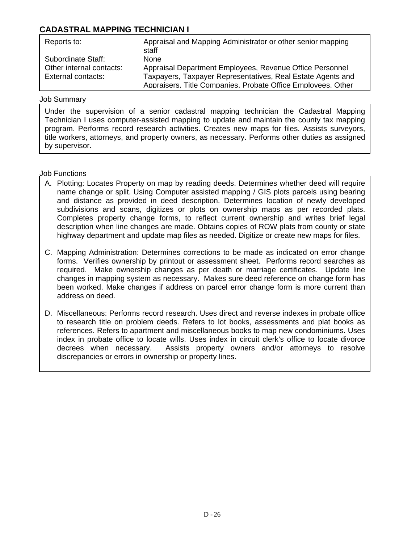## **CADASTRAL MAPPING TECHNICIAN I**

| Reports to:              | Appraisal and Mapping Administrator or other senior mapping<br>staff |
|--------------------------|----------------------------------------------------------------------|
| Subordinate Staff:       | <b>None</b>                                                          |
| Other internal contacts: | Appraisal Department Employees, Revenue Office Personnel             |
| External contacts:       | Taxpayers, Taxpayer Representatives, Real Estate Agents and          |
|                          | Appraisers, Title Companies, Probate Office Employees, Other         |

#### Job Summary

Under the supervision of a senior cadastral mapping technician the Cadastral Mapping Technician I uses computer-assisted mapping to update and maintain the county tax mapping program. Performs record research activities. Creates new maps for files. Assists surveyors, title workers, attorneys, and property owners, as necessary. Performs other duties as assigned by supervisor.

- A. Plotting: Locates Property on map by reading deeds. Determines whether deed will require name change or split. Using Computer assisted mapping / GIS plots parcels using bearing and distance as provided in deed description. Determines location of newly developed subdivisions and scans, digitizes or plots on ownership maps as per recorded plats. Completes property change forms, to reflect current ownership and writes brief legal description when line changes are made. Obtains copies of ROW plats from county or state highway department and update map files as needed. Digitize or create new maps for files.
- C. Mapping Administration: Determines corrections to be made as indicated on error change forms. Verifies ownership by printout or assessment sheet. Performs record searches as required. Make ownership changes as per death or marriage certificates. Update line changes in mapping system as necessary. Makes sure deed reference on change form has been worked. Make changes if address on parcel error change form is more current than address on deed.
- D. Miscellaneous: Performs record research. Uses direct and reverse indexes in probate office to research title on problem deeds. Refers to lot books, assessments and plat books as references. Refers to apartment and miscellaneous books to map new condominiums. Uses index in probate office to locate wills. Uses index in circuit clerk's office to locate divorce decrees when necessary. Assists property owners and/or attorneys to resolve discrepancies or errors in ownership or property lines.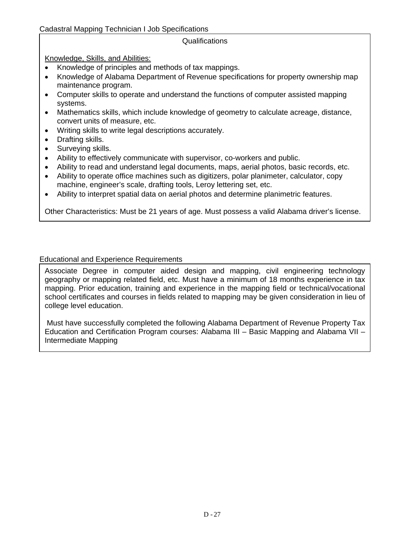### Cadastral Mapping Technician I Job Specifications

## Qualifications

Knowledge, Skills, and Abilities:

- Knowledge of principles and methods of tax mappings.
- Knowledge of Alabama Department of Revenue specifications for property ownership map maintenance program.
- Computer skills to operate and understand the functions of computer assisted mapping systems.
- Mathematics skills, which include knowledge of geometry to calculate acreage, distance, convert units of measure, etc.
- Writing skills to write legal descriptions accurately.
- Drafting skills.
- Surveying skills.
- Ability to effectively communicate with supervisor, co-workers and public.
- Ability to read and understand legal documents, maps, aerial photos, basic records, etc.
- Ability to operate office machines such as digitizers, polar planimeter, calculator, copy machine, engineer's scale, drafting tools, Leroy lettering set, etc.
- Ability to interpret spatial data on aerial photos and determine planimetric features.

Other Characteristics: Must be 21 years of age. Must possess a valid Alabama driver's license.

### Educational and Experience Requirements

Associate Degree in computer aided design and mapping, civil engineering technology geography or mapping related field, etc. Must have a minimum of 18 months experience in tax mapping. Prior education, training and experience in the mapping field or technical/vocational school certificates and courses in fields related to mapping may be given consideration in lieu of college level education.

 Must have successfully completed the following Alabama Department of Revenue Property Tax Education and Certification Program courses: Alabama III – Basic Mapping and Alabama VII – Intermediate Mapping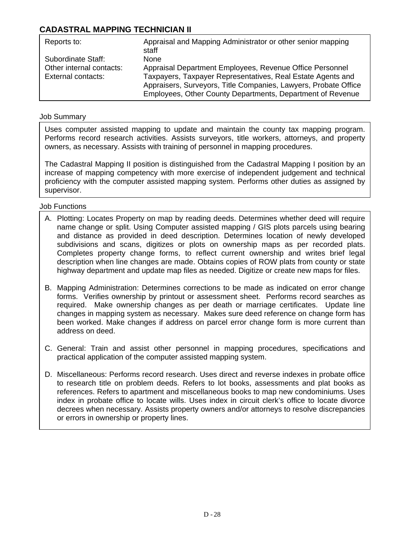# **CADASTRAL MAPPING TECHNICIAN II**

| Reports to:              | Appraisal and Mapping Administrator or other senior mapping<br>staff |
|--------------------------|----------------------------------------------------------------------|
| Subordinate Staff:       | <b>None</b>                                                          |
| Other internal contacts: | Appraisal Department Employees, Revenue Office Personnel             |
| External contacts:       | Taxpayers, Taxpayer Representatives, Real Estate Agents and          |
|                          | Appraisers, Surveyors, Title Companies, Lawyers, Probate Office      |
|                          | Employees, Other County Departments, Department of Revenue           |

## Job Summary

Uses computer assisted mapping to update and maintain the county tax mapping program. Performs record research activities. Assists surveyors, title workers, attorneys, and property owners, as necessary. Assists with training of personnel in mapping procedures.

The Cadastral Mapping II position is distinguished from the Cadastral Mapping I position by an increase of mapping competency with more exercise of independent judgement and technical proficiency with the computer assisted mapping system. Performs other duties as assigned by supervisor.

- A. Plotting: Locates Property on map by reading deeds. Determines whether deed will require name change or split. Using Computer assisted mapping / GIS plots parcels using bearing and distance as provided in deed description. Determines location of newly developed subdivisions and scans, digitizes or plots on ownership maps as per recorded plats. Completes property change forms, to reflect current ownership and writes brief legal description when line changes are made. Obtains copies of ROW plats from county or state highway department and update map files as needed. Digitize or create new maps for files.
- B. Mapping Administration: Determines corrections to be made as indicated on error change forms. Verifies ownership by printout or assessment sheet. Performs record searches as required. Make ownership changes as per death or marriage certificates. Update line changes in mapping system as necessary. Makes sure deed reference on change form has been worked. Make changes if address on parcel error change form is more current than address on deed.
- C. General: Train and assist other personnel in mapping procedures, specifications and practical application of the computer assisted mapping system.
- D. Miscellaneous: Performs record research. Uses direct and reverse indexes in probate office to research title on problem deeds. Refers to lot books, assessments and plat books as references. Refers to apartment and miscellaneous books to map new condominiums. Uses index in probate office to locate wills. Uses index in circuit clerk's office to locate divorce decrees when necessary. Assists property owners and/or attorneys to resolve discrepancies or errors in ownership or property lines.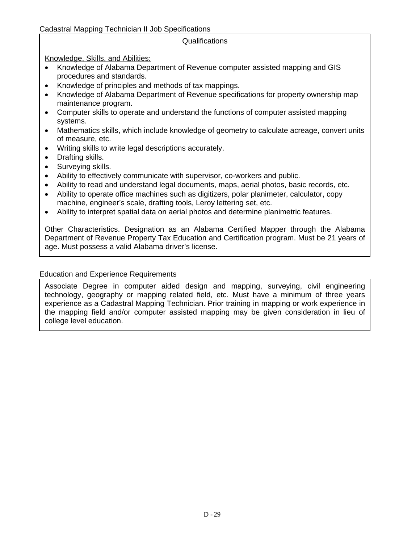### Qualifications

Knowledge, Skills, and Abilities:

- Knowledge of Alabama Department of Revenue computer assisted mapping and GIS procedures and standards.
- Knowledge of principles and methods of tax mappings.
- Knowledge of Alabama Department of Revenue specifications for property ownership map maintenance program.
- Computer skills to operate and understand the functions of computer assisted mapping systems.
- Mathematics skills, which include knowledge of geometry to calculate acreage, convert units of measure, etc.
- Writing skills to write legal descriptions accurately.
- Drafting skills.
- Surveying skills.
- Ability to effectively communicate with supervisor, co-workers and public.
- Ability to read and understand legal documents, maps, aerial photos, basic records, etc.
- Ability to operate office machines such as digitizers, polar planimeter, calculator, copy machine, engineer's scale, drafting tools, Leroy lettering set, etc.
- Ability to interpret spatial data on aerial photos and determine planimetric features.

Other Characteristics. Designation as an Alabama Certified Mapper through the Alabama Department of Revenue Property Tax Education and Certification program. Must be 21 years of age. Must possess a valid Alabama driver's license.

### Education and Experience Requirements

Associate Degree in computer aided design and mapping, surveying, civil engineering technology, geography or mapping related field, etc. Must have a minimum of three years experience as a Cadastral Mapping Technician. Prior training in mapping or work experience in the mapping field and/or computer assisted mapping may be given consideration in lieu of college level education.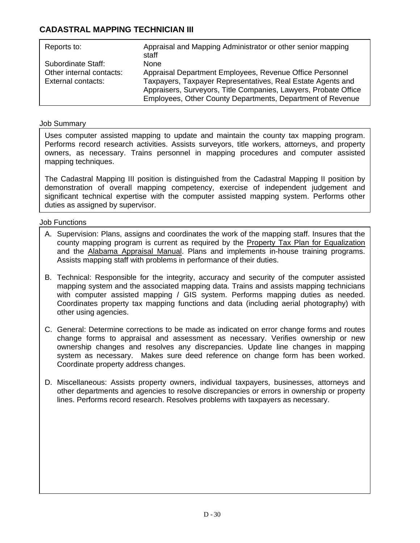# **CADASTRAL MAPPING TECHNICIAN III**

| Reports to:              | Appraisal and Mapping Administrator or other senior mapping<br>staff |
|--------------------------|----------------------------------------------------------------------|
| Subordinate Staff:       | <b>None</b>                                                          |
| Other internal contacts: | Appraisal Department Employees, Revenue Office Personnel             |
| External contacts:       | Taxpayers, Taxpayer Representatives, Real Estate Agents and          |
|                          | Appraisers, Surveyors, Title Companies, Lawyers, Probate Office      |
|                          | Employees, Other County Departments, Department of Revenue           |

## Job Summary

Uses computer assisted mapping to update and maintain the county tax mapping program. Performs record research activities. Assists surveyors, title workers, attorneys, and property owners, as necessary. Trains personnel in mapping procedures and computer assisted mapping techniques.

The Cadastral Mapping III position is distinguished from the Cadastral Mapping II position by demonstration of overall mapping competency, exercise of independent judgement and significant technical expertise with the computer assisted mapping system. Performs other duties as assigned by supervisor.

### Job Functions

JOB FUNCTIONS (Continued)

- A. Supervision: Plans, assigns and coordinates the work of the mapping staff. Insures that the county mapping program is current as required by the Property Tax Plan for Equalization and the Alabama Appraisal Manual. Plans and implements in-house training programs. Assists mapping staff with problems in performance of their duties.
- B. Technical: Responsible for the integrity, accuracy and security of the computer assisted mapping system and the associated mapping data. Trains and assists mapping technicians with computer assisted mapping / GIS system. Performs mapping duties as needed. Coordinates property tax mapping functions and data (including aerial photography) with other using agencies.
- C. General: Determine corrections to be made as indicated on error change forms and routes change forms to appraisal and assessment as necessary. Verifies ownership or new ownership changes and resolves any discrepancies. Update line changes in mapping system as necessary. Makes sure deed reference on change form has been worked. Coordinate property address changes.
- D. Miscellaneous: Assists property owners, individual taxpayers, businesses, attorneys and other departments and agencies to resolve discrepancies or errors in ownership or property lines. Performs record research. Resolves problems with taxpayers as necessary.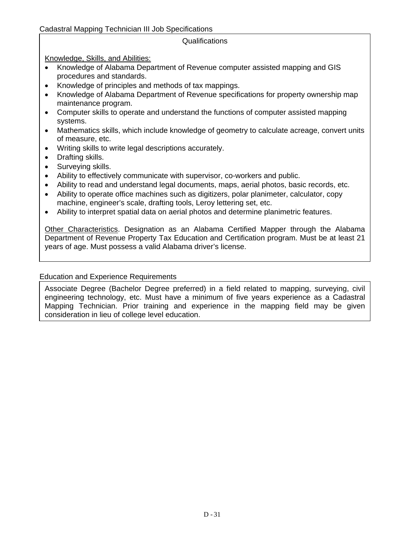### Cadastral Mapping Technician III Job Specifications

## Qualifications

Knowledge, Skills, and Abilities:

- Knowledge of Alabama Department of Revenue computer assisted mapping and GIS procedures and standards.
- Knowledge of principles and methods of tax mappings.
- Knowledge of Alabama Department of Revenue specifications for property ownership map maintenance program.
- Computer skills to operate and understand the functions of computer assisted mapping systems.
- Mathematics skills, which include knowledge of geometry to calculate acreage, convert units of measure, etc.
- Writing skills to write legal descriptions accurately.
- Drafting skills.
- Surveying skills.
- Ability to effectively communicate with supervisor, co-workers and public.
- Ability to read and understand legal documents, maps, aerial photos, basic records, etc.
- Ability to operate office machines such as digitizers, polar planimeter, calculator, copy machine, engineer's scale, drafting tools, Leroy lettering set, etc.
- Ability to interpret spatial data on aerial photos and determine planimetric features.

Other Characteristics. Designation as an Alabama Certified Mapper through the Alabama Department of Revenue Property Tax Education and Certification program. Must be at least 21 years of age. Must possess a valid Alabama driver's license.

### Education and Experience Requirements

Associate Degree (Bachelor Degree preferred) in a field related to mapping, surveying, civil engineering technology, etc. Must have a minimum of five years experience as a Cadastral Mapping Technician. Prior training and experience in the mapping field may be given consideration in lieu of college level education.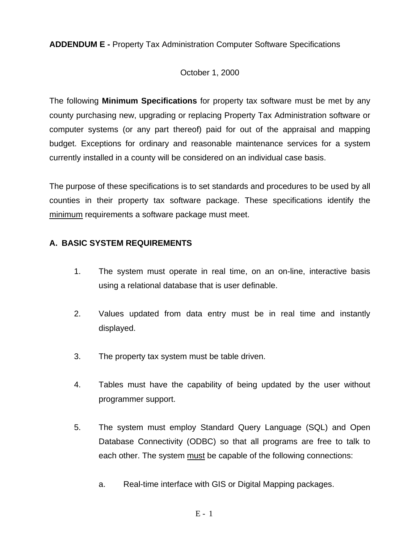**ADDENDUM E -** Property Tax Administration Computer Software Specifications

## October 1, 2000

The following **Minimum Specifications** for property tax software must be met by any county purchasing new, upgrading or replacing Property Tax Administration software or computer systems (or any part thereof) paid for out of the appraisal and mapping budget. Exceptions for ordinary and reasonable maintenance services for a system currently installed in a county will be considered on an individual case basis.

The purpose of these specifications is to set standards and procedures to be used by all counties in their property tax software package. These specifications identify the minimum requirements a software package must meet.

## **A. BASIC SYSTEM REQUIREMENTS**

- 1. The system must operate in real time, on an on-line, interactive basis using a relational database that is user definable.
- 2. Values updated from data entry must be in real time and instantly displayed.
- 3. The property tax system must be table driven.
- 4. Tables must have the capability of being updated by the user without programmer support.
- 5. The system must employ Standard Query Language (SQL) and Open Database Connectivity (ODBC) so that all programs are free to talk to each other. The system must be capable of the following connections:
	- a. Real-time interface with GIS or Digital Mapping packages.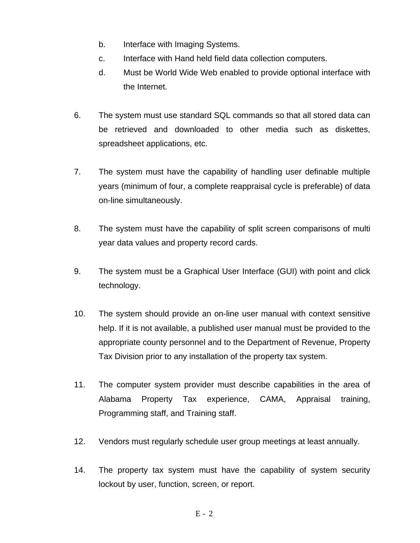- b. Interface with Imaging Systems.
- c. Interface with Hand held field data collection computers.
- d. Must be World Wide Web enabled to provide optional interface with the Internet.
- 6. The system must use standard SQL commands so that all stored data can be retrieved and downloaded to other media such as diskettes, spreadsheet applications, etc.
- 7. The system must have the capability of handling user definable multiple years (minimum of four, a complete reappraisal cycle is preferable) of data on-line simultaneously.
- 8. The system must have the capability of split screen comparisons of multi year data values and property record cards.
- 9. The system must be a Graphical User Interface (GUI) with point and click technology.
- 10. The system should provide an on-line user manual with context sensitive help. If it is not available, a published user manual must be provided to the appropriate county personnel and to the Department of Revenue, Property Tax Division prior to any installation of the property tax system.
- 11. The computer system provider must describe capabilities in the area of Alabama Property Tax experience, CAMA, Appraisal training, Programming staff, and Training staff.
- 12. Vendors must regularly schedule user group meetings at least annually.
- 14. The property tax system must have the capability of system security lockout by user, function, screen, or report.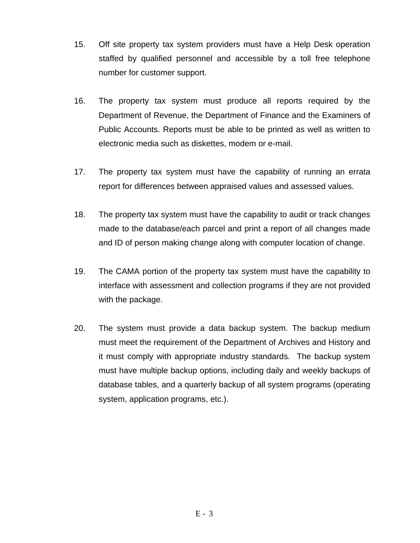- 15. Off site property tax system providers must have a Help Desk operation staffed by qualified personnel and accessible by a toll free telephone number for customer support.
- 16. The property tax system must produce all reports required by the Department of Revenue, the Department of Finance and the Examiners of Public Accounts. Reports must be able to be printed as well as written to electronic media such as diskettes, modem or e-mail.
- 17. The property tax system must have the capability of running an errata report for differences between appraised values and assessed values.
- 18. The property tax system must have the capability to audit or track changes made to the database/each parcel and print a report of all changes made and ID of person making change along with computer location of change.
- 19. The CAMA portion of the property tax system must have the capability to interface with assessment and collection programs if they are not provided with the package.
- 20. The system must provide a data backup system. The backup medium must meet the requirement of the Department of Archives and History and it must comply with appropriate industry standards. The backup system must have multiple backup options, including daily and weekly backups of database tables, and a quarterly backup of all system programs (operating system, application programs, etc.).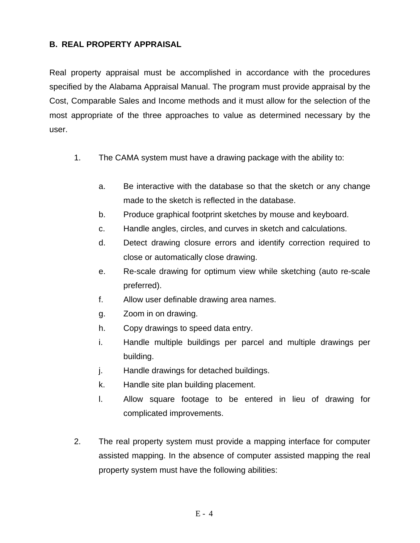## **B. REAL PROPERTY APPRAISAL**

Real property appraisal must be accomplished in accordance with the procedures specified by the Alabama Appraisal Manual. The program must provide appraisal by the Cost, Comparable Sales and Income methods and it must allow for the selection of the most appropriate of the three approaches to value as determined necessary by the user.

- 1. The CAMA system must have a drawing package with the ability to:
	- a. Be interactive with the database so that the sketch or any change made to the sketch is reflected in the database.
	- b. Produce graphical footprint sketches by mouse and keyboard.
	- c. Handle angles, circles, and curves in sketch and calculations.
	- d. Detect drawing closure errors and identify correction required to close or automatically close drawing.
	- e. Re-scale drawing for optimum view while sketching (auto re-scale preferred).
	- f. Allow user definable drawing area names.
	- g. Zoom in on drawing.
	- h. Copy drawings to speed data entry.
	- i. Handle multiple buildings per parcel and multiple drawings per building.
	- j. Handle drawings for detached buildings.
	- k. Handle site plan building placement.
	- l. Allow square footage to be entered in lieu of drawing for complicated improvements.
- 2. The real property system must provide a mapping interface for computer assisted mapping. In the absence of computer assisted mapping the real property system must have the following abilities: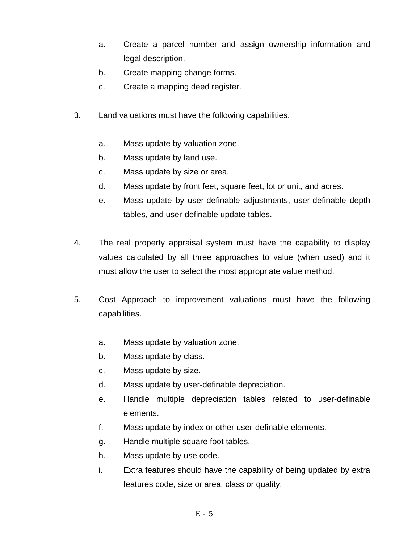- a. Create a parcel number and assign ownership information and legal description.
- b. Create mapping change forms.
- c. Create a mapping deed register.
- 3. Land valuations must have the following capabilities.
	- a. Mass update by valuation zone.
	- b. Mass update by land use.
	- c. Mass update by size or area.
	- d. Mass update by front feet, square feet, lot or unit, and acres.
	- e. Mass update by user-definable adjustments, user-definable depth tables, and user-definable update tables.
- 4. The real property appraisal system must have the capability to display values calculated by all three approaches to value (when used) and it must allow the user to select the most appropriate value method.
- 5. Cost Approach to improvement valuations must have the following capabilities.
	- a. Mass update by valuation zone.
	- b. Mass update by class.
	- c. Mass update by size.
	- d. Mass update by user-definable depreciation.
	- e. Handle multiple depreciation tables related to user-definable elements.
	- f. Mass update by index or other user-definable elements.
	- g. Handle multiple square foot tables.
	- h. Mass update by use code.
	- i. Extra features should have the capability of being updated by extra features code, size or area, class or quality.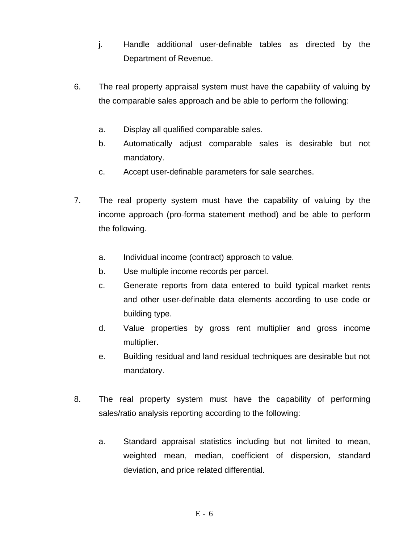- j. Handle additional user-definable tables as directed by the Department of Revenue.
- 6. The real property appraisal system must have the capability of valuing by the comparable sales approach and be able to perform the following:
	- a. Display all qualified comparable sales.
	- b. Automatically adjust comparable sales is desirable but not mandatory.
	- c. Accept user-definable parameters for sale searches.
- 7. The real property system must have the capability of valuing by the income approach (pro-forma statement method) and be able to perform the following.
	- a. Individual income (contract) approach to value.
	- b. Use multiple income records per parcel.
	- c. Generate reports from data entered to build typical market rents and other user-definable data elements according to use code or building type.
	- d. Value properties by gross rent multiplier and gross income multiplier.
	- e. Building residual and land residual techniques are desirable but not mandatory.
- 8. The real property system must have the capability of performing sales/ratio analysis reporting according to the following:
	- a. Standard appraisal statistics including but not limited to mean, weighted mean, median, coefficient of dispersion, standard deviation, and price related differential.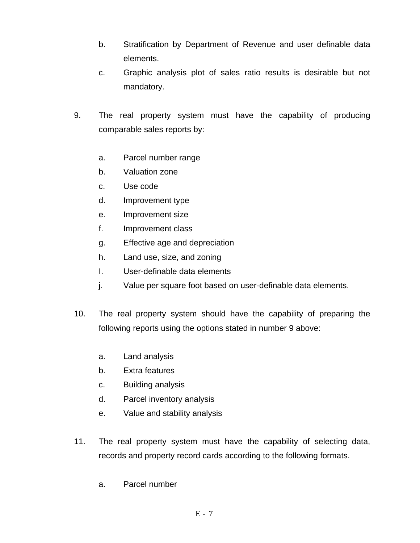- b. Stratification by Department of Revenue and user definable data elements.
- c. Graphic analysis plot of sales ratio results is desirable but not mandatory.
- 9. The real property system must have the capability of producing comparable sales reports by:
	- a. Parcel number range
	- b. Valuation zone
	- c. Use code
	- d. Improvement type
	- e. Improvement size
	- f. Improvement class
	- g. Effective age and depreciation
	- h. Land use, size, and zoning
	- I. User-definable data elements
	- j. Value per square foot based on user-definable data elements.
- 10. The real property system should have the capability of preparing the following reports using the options stated in number 9 above:
	- a. Land analysis
	- b. Extra features
	- c. Building analysis
	- d. Parcel inventory analysis
	- e. Value and stability analysis
- 11. The real property system must have the capability of selecting data, records and property record cards according to the following formats.
	- a. Parcel number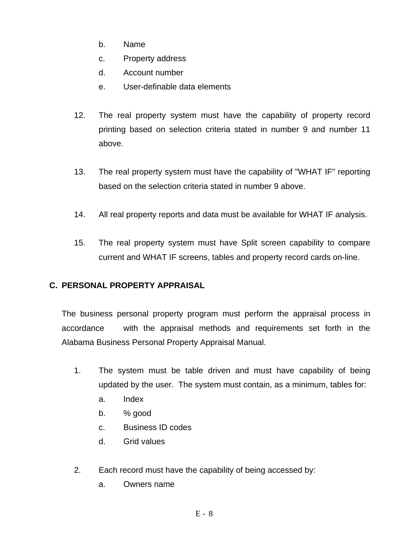- b. Name
- c. Property address
- d. Account number
- e. User-definable data elements
- 12. The real property system must have the capability of property record printing based on selection criteria stated in number 9 and number 11 above.
- 13. The real property system must have the capability of "WHAT IF" reporting based on the selection criteria stated in number 9 above.
- 14. All real property reports and data must be available for WHAT IF analysis.
- 15. The real property system must have Split screen capability to compare current and WHAT IF screens, tables and property record cards on-line.

# **C. PERSONAL PROPERTY APPRAISAL**

The business personal property program must perform the appraisal process in accordance with the appraisal methods and requirements set forth in the Alabama Business Personal Property Appraisal Manual.

- 1. The system must be table driven and must have capability of being updated by the user. The system must contain, as a minimum, tables for:
	- a. Index
	- b.  $% \text{ good}$
	- c. Business ID codes
	- d. Grid values
- 2. Each record must have the capability of being accessed by:
	- a. Owners name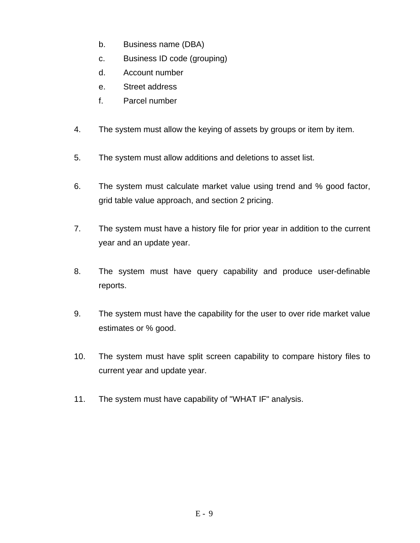- b. Business name (DBA)
- c. Business ID code (grouping)
- d. Account number
- e. Street address
- f. Parcel number
- 4. The system must allow the keying of assets by groups or item by item.
- 5. The system must allow additions and deletions to asset list.
- 6. The system must calculate market value using trend and % good factor, grid table value approach, and section 2 pricing.
- 7. The system must have a history file for prior year in addition to the current year and an update year.
- 8. The system must have query capability and produce user-definable reports.
- 9. The system must have the capability for the user to over ride market value estimates or % good.
- 10. The system must have split screen capability to compare history files to current year and update year.
- 11. The system must have capability of "WHAT IF" analysis.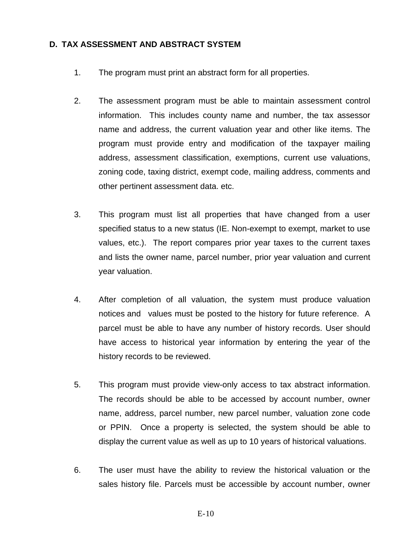#### **D. TAX ASSESSMENT AND ABSTRACT SYSTEM**

- 1. The program must print an abstract form for all properties.
- 2. The assessment program must be able to maintain assessment control information. This includes county name and number, the tax assessor name and address, the current valuation year and other like items. The program must provide entry and modification of the taxpayer mailing address, assessment classification, exemptions, current use valuations, zoning code, taxing district, exempt code, mailing address, comments and other pertinent assessment data. etc.
- 3. This program must list all properties that have changed from a user specified status to a new status (IE. Non-exempt to exempt, market to use values, etc.). The report compares prior year taxes to the current taxes and lists the owner name, parcel number, prior year valuation and current year valuation.
- 4. After completion of all valuation, the system must produce valuation notices and values must be posted to the history for future reference. A parcel must be able to have any number of history records. User should have access to historical year information by entering the year of the history records to be reviewed.
- 5. This program must provide view-only access to tax abstract information. The records should be able to be accessed by account number, owner name, address, parcel number, new parcel number, valuation zone code or PPIN. Once a property is selected, the system should be able to display the current value as well as up to 10 years of historical valuations.
- 6. The user must have the ability to review the historical valuation or the sales history file. Parcels must be accessible by account number, owner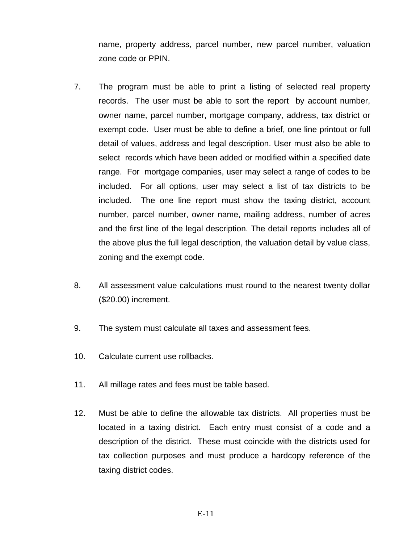name, property address, parcel number, new parcel number, valuation zone code or PPIN.

- 7. The program must be able to print a listing of selected real property records. The user must be able to sort the report by account number, owner name, parcel number, mortgage company, address, tax district or exempt code. User must be able to define a brief, one line printout or full detail of values, address and legal description. User must also be able to select records which have been added or modified within a specified date range. For mortgage companies, user may select a range of codes to be included. For all options, user may select a list of tax districts to be included. The one line report must show the taxing district, account number, parcel number, owner name, mailing address, number of acres and the first line of the legal description. The detail reports includes all of the above plus the full legal description, the valuation detail by value class, zoning and the exempt code.
- 8. All assessment value calculations must round to the nearest twenty dollar (\$20.00) increment.
- 9. The system must calculate all taxes and assessment fees.
- 10. Calculate current use rollbacks.
- 11. All millage rates and fees must be table based.
- 12. Must be able to define the allowable tax districts. All properties must be located in a taxing district. Each entry must consist of a code and a description of the district. These must coincide with the districts used for tax collection purposes and must produce a hardcopy reference of the taxing district codes.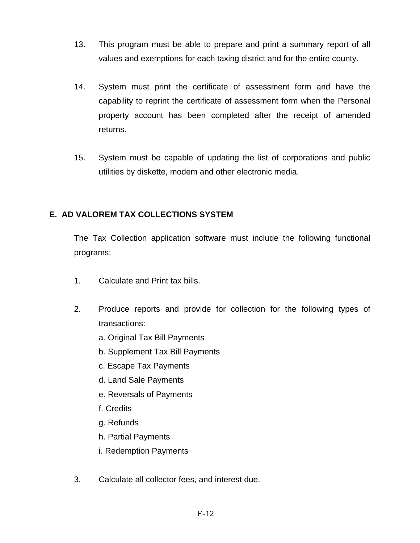- 13. This program must be able to prepare and print a summary report of all values and exemptions for each taxing district and for the entire county.
- 14. System must print the certificate of assessment form and have the capability to reprint the certificate of assessment form when the Personal property account has been completed after the receipt of amended returns.
- 15. System must be capable of updating the list of corporations and public utilities by diskette, modem and other electronic media.

## **E. AD VALOREM TAX COLLECTIONS SYSTEM**

The Tax Collection application software must include the following functional programs:

- 1. Calculate and Print tax bills.
- 2. Produce reports and provide for collection for the following types of transactions:
	- a. Original Tax Bill Payments
	- b. Supplement Tax Bill Payments
	- c. Escape Tax Payments
	- d. Land Sale Payments
	- e. Reversals of Payments
	- f. Credits
	- g. Refunds
	- h. Partial Payments
	- i. Redemption Payments
- 3. Calculate all collector fees, and interest due.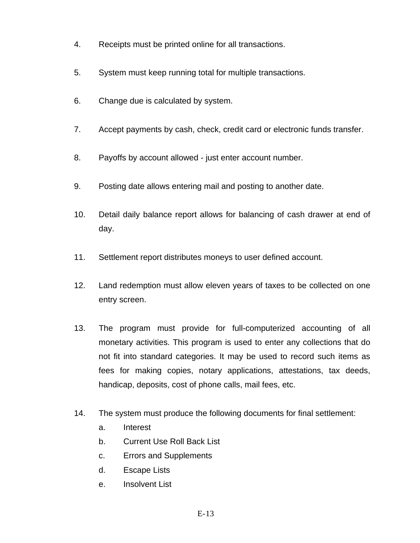- 4. Receipts must be printed online for all transactions.
- 5. System must keep running total for multiple transactions.
- 6. Change due is calculated by system.
- 7. Accept payments by cash, check, credit card or electronic funds transfer.
- 8. Payoffs by account allowed just enter account number.
- 9. Posting date allows entering mail and posting to another date.
- 10. Detail daily balance report allows for balancing of cash drawer at end of day.
- 11. Settlement report distributes moneys to user defined account.
- 12. Land redemption must allow eleven years of taxes to be collected on one entry screen.
- 13. The program must provide for full-computerized accounting of all monetary activities. This program is used to enter any collections that do not fit into standard categories. It may be used to record such items as fees for making copies, notary applications, attestations, tax deeds, handicap, deposits, cost of phone calls, mail fees, etc.
- 14. The system must produce the following documents for final settlement:
	- a. Interest
	- b. Current Use Roll Back List
	- c. Errors and Supplements
	- d. Escape Lists
	- e. Insolvent List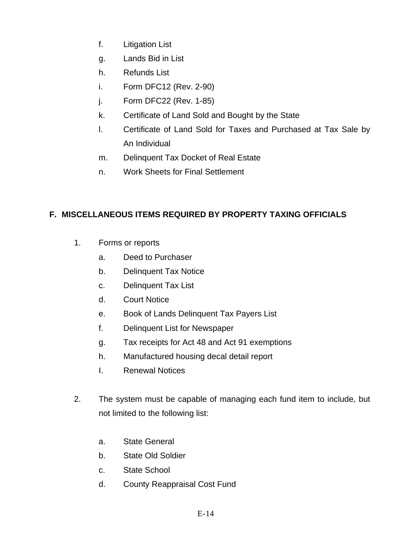- f. Litigation List
- g. Lands Bid in List
- h. Refunds List
- i. Form DFC12 (Rev. 2-90)
- j. Form DFC22 (Rev. 1-85)
- k. Certificate of Land Sold and Bought by the State
- l. Certificate of Land Sold for Taxes and Purchased at Tax Sale by An Individual
- m. Delinquent Tax Docket of Real Estate
- n. Work Sheets for Final Settlement

# **F. MISCELLANEOUS ITEMS REQUIRED BY PROPERTY TAXING OFFICIALS**

- 1. Forms or reports
	- a. Deed to Purchaser
	- b. Delinquent Tax Notice
	- c. Delinquent Tax List
	- d. Court Notice
	- e. Book of Lands Delinquent Tax Payers List
	- f. Delinquent List for Newspaper
	- g. Tax receipts for Act 48 and Act 91 exemptions
	- h. Manufactured housing decal detail report
	- I. Renewal Notices
- 2. The system must be capable of managing each fund item to include, but not limited to the following list:
	- a. State General
	- b. State Old Soldier
	- c. State School
	- d. County Reappraisal Cost Fund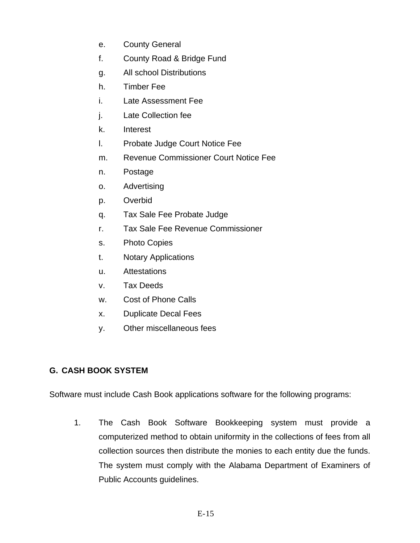- e. County General
- f. County Road & Bridge Fund
- g. All school Distributions
- h. Timber Fee
- i. Late Assessment Fee
- j. Late Collection fee
- k. Interest
- l. Probate Judge Court Notice Fee
- m. Revenue Commissioner Court Notice Fee
- n. Postage
- o. Advertising
- p. Overbid
- q. Tax Sale Fee Probate Judge
- r. Tax Sale Fee Revenue Commissioner
- s. Photo Copies
- t. Notary Applications
- u. Attestations
- v. Tax Deeds
- w. Cost of Phone Calls
- x. Duplicate Decal Fees
- y. Other miscellaneous fees

# **G. CASH BOOK SYSTEM**

Software must include Cash Book applications software for the following programs:

1. The Cash Book Software Bookkeeping system must provide a computerized method to obtain uniformity in the collections of fees from all collection sources then distribute the monies to each entity due the funds. The system must comply with the Alabama Department of Examiners of Public Accounts guidelines.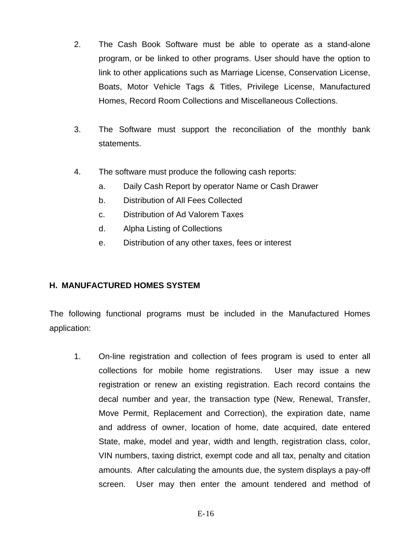- 2. The Cash Book Software must be able to operate as a stand-alone program, or be linked to other programs. User should have the option to link to other applications such as Marriage License, Conservation License, Boats, Motor Vehicle Tags & Titles, Privilege License, Manufactured Homes, Record Room Collections and Miscellaneous Collections.
- 3. The Software must support the reconciliation of the monthly bank statements.
- 4. The software must produce the following cash reports:
	- a. Daily Cash Report by operator Name or Cash Drawer
	- b. Distribution of All Fees Collected
	- c. Distribution of Ad Valorem Taxes
	- d. Alpha Listing of Collections
	- e. Distribution of any other taxes, fees or interest

## **H. MANUFACTURED HOMES SYSTEM**

The following functional programs must be included in the Manufactured Homes application:

1. On-line registration and collection of fees program is used to enter all collections for mobile home registrations. User may issue a new registration or renew an existing registration. Each record contains the decal number and year, the transaction type (New, Renewal, Transfer, Move Permit, Replacement and Correction), the expiration date, name and address of owner, location of home, date acquired, date entered State, make, model and year, width and length, registration class, color, VIN numbers, taxing district, exempt code and all tax, penalty and citation amounts. After calculating the amounts due, the system displays a pay-off screen. User may then enter the amount tendered and method of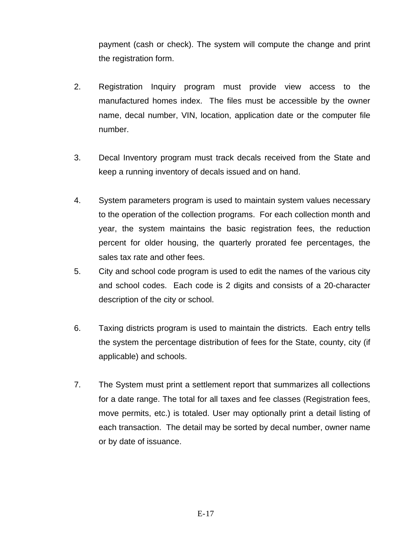payment (cash or check). The system will compute the change and print the registration form.

- 2. Registration Inquiry program must provide view access to the manufactured homes index. The files must be accessible by the owner name, decal number, VIN, location, application date or the computer file number.
- 3. Decal Inventory program must track decals received from the State and keep a running inventory of decals issued and on hand.
- 4. System parameters program is used to maintain system values necessary to the operation of the collection programs. For each collection month and year, the system maintains the basic registration fees, the reduction percent for older housing, the quarterly prorated fee percentages, the sales tax rate and other fees.
- 5. City and school code program is used to edit the names of the various city and school codes. Each code is 2 digits and consists of a 20-character description of the city or school.
- 6. Taxing districts program is used to maintain the districts. Each entry tells the system the percentage distribution of fees for the State, county, city (if applicable) and schools.
- 7. The System must print a settlement report that summarizes all collections for a date range. The total for all taxes and fee classes (Registration fees, move permits, etc.) is totaled. User may optionally print a detail listing of each transaction. The detail may be sorted by decal number, owner name or by date of issuance.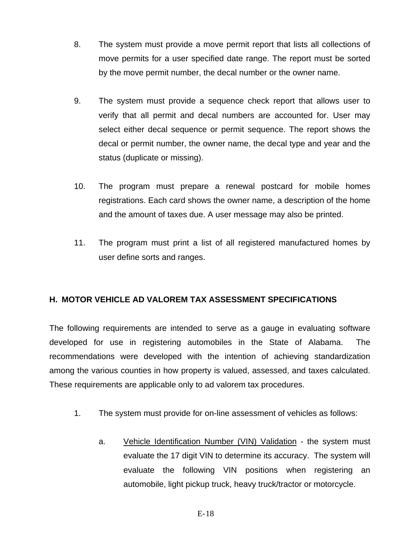- 8. The system must provide a move permit report that lists all collections of move permits for a user specified date range. The report must be sorted by the move permit number, the decal number or the owner name.
- 9. The system must provide a sequence check report that allows user to verify that all permit and decal numbers are accounted for. User may select either decal sequence or permit sequence. The report shows the decal or permit number, the owner name, the decal type and year and the status (duplicate or missing).
- 10. The program must prepare a renewal postcard for mobile homes registrations. Each card shows the owner name, a description of the home and the amount of taxes due. A user message may also be printed.
- 11. The program must print a list of all registered manufactured homes by user define sorts and ranges.

## **H. MOTOR VEHICLE AD VALOREM TAX ASSESSMENT SPECIFICATIONS**

The following requirements are intended to serve as a gauge in evaluating software developed for use in registering automobiles in the State of Alabama. The recommendations were developed with the intention of achieving standardization among the various counties in how property is valued, assessed, and taxes calculated. These requirements are applicable only to ad valorem tax procedures.

- 1. The system must provide for on-line assessment of vehicles as follows:
	- a. Vehicle Identification Number (VIN) Validation the system must evaluate the 17 digit VIN to determine its accuracy. The system will evaluate the following VIN positions when registering an automobile, light pickup truck, heavy truck/tractor or motorcycle.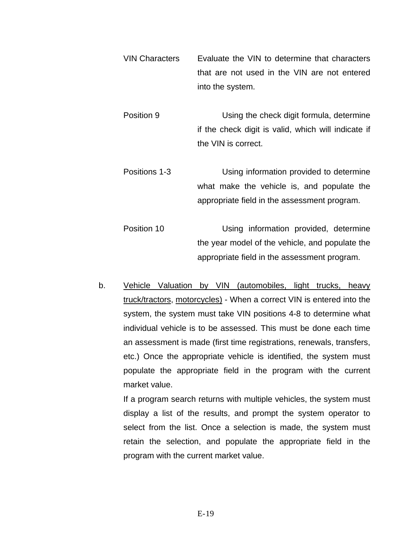- VIN Characters Evaluate the VIN to determine that characters that are not used in the VIN are not entered into the system.
- Position 9 Using the check digit formula, determine if the check digit is valid, which will indicate if the VIN is correct.
- Positions 1-3 Using information provided to determine what make the vehicle is, and populate the appropriate field in the assessment program.
- Position 10 Using information provided, determine the year model of the vehicle, and populate the appropriate field in the assessment program.
- b. Vehicle Valuation by VIN (automobiles, light trucks, heavy truck/tractors, motorcycles) - When a correct VIN is entered into the system, the system must take VIN positions 4-8 to determine what individual vehicle is to be assessed. This must be done each time an assessment is made (first time registrations, renewals, transfers, etc.) Once the appropriate vehicle is identified, the system must populate the appropriate field in the program with the current market value.

If a program search returns with multiple vehicles, the system must display a list of the results, and prompt the system operator to select from the list. Once a selection is made, the system must retain the selection, and populate the appropriate field in the program with the current market value.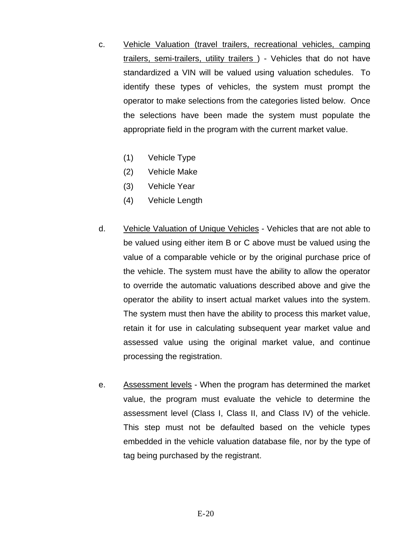- c. Vehicle Valuation (travel trailers, recreational vehicles, camping trailers, semi-trailers, utility trailers ) - Vehicles that do not have standardized a VIN will be valued using valuation schedules. To identify these types of vehicles, the system must prompt the operator to make selections from the categories listed below. Once the selections have been made the system must populate the appropriate field in the program with the current market value.
	- (1) Vehicle Type
	- (2) Vehicle Make
	- (3) Vehicle Year
	- (4) Vehicle Length
- d. Vehicle Valuation of Unique Vehicles Vehicles that are not able to be valued using either item B or C above must be valued using the value of a comparable vehicle or by the original purchase price of the vehicle. The system must have the ability to allow the operator to override the automatic valuations described above and give the operator the ability to insert actual market values into the system. The system must then have the ability to process this market value, retain it for use in calculating subsequent year market value and assessed value using the original market value, and continue processing the registration.
- e. Assessment levels When the program has determined the market value, the program must evaluate the vehicle to determine the assessment level (Class I, Class II, and Class IV) of the vehicle. This step must not be defaulted based on the vehicle types embedded in the vehicle valuation database file, nor by the type of tag being purchased by the registrant.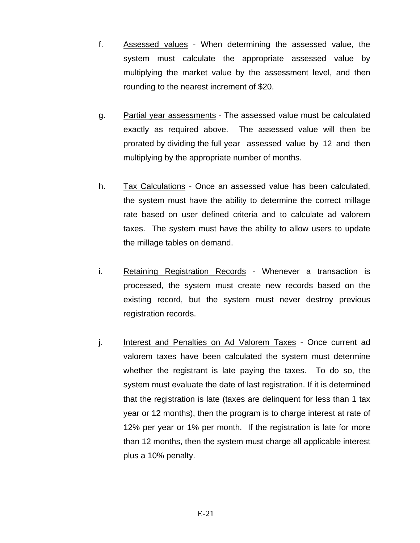- f. Assessed values When determining the assessed value, the system must calculate the appropriate assessed value by multiplying the market value by the assessment level, and then rounding to the nearest increment of \$20.
- g. Partial year assessments The assessed value must be calculated exactly as required above. The assessed value will then be prorated by dividing the full year assessed value by 12 and then multiplying by the appropriate number of months.
- h. Tax Calculations Once an assessed value has been calculated, the system must have the ability to determine the correct millage rate based on user defined criteria and to calculate ad valorem taxes. The system must have the ability to allow users to update the millage tables on demand.
- i. Retaining Registration Records Whenever a transaction is processed, the system must create new records based on the existing record, but the system must never destroy previous registration records.
- j. Interest and Penalties on Ad Valorem Taxes Once current ad valorem taxes have been calculated the system must determine whether the registrant is late paying the taxes. To do so, the system must evaluate the date of last registration. If it is determined that the registration is late (taxes are delinquent for less than 1 tax year or 12 months), then the program is to charge interest at rate of 12% per year or 1% per month. If the registration is late for more than 12 months, then the system must charge all applicable interest plus a 10% penalty.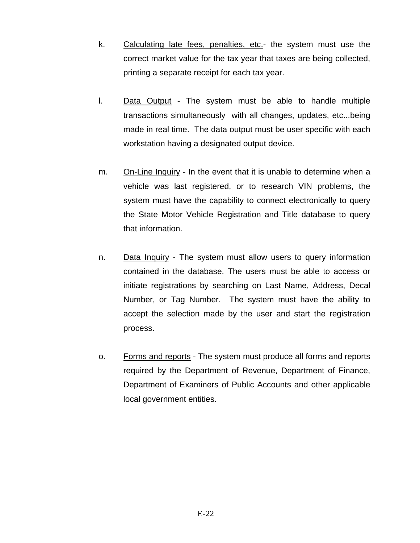- k. Calculating late fees, penalties, etc.- the system must use the correct market value for the tax year that taxes are being collected, printing a separate receipt for each tax year.
- l. Data Output The system must be able to handle multiple transactions simultaneously with all changes, updates, etc...being made in real time. The data output must be user specific with each workstation having a designated output device.
- m. On-Line Inquiry In the event that it is unable to determine when a vehicle was last registered, or to research VIN problems, the system must have the capability to connect electronically to query the State Motor Vehicle Registration and Title database to query that information.
- n. Data Inquiry The system must allow users to query information contained in the database. The users must be able to access or initiate registrations by searching on Last Name, Address, Decal Number, or Tag Number. The system must have the ability to accept the selection made by the user and start the registration process.
- o. Forms and reports The system must produce all forms and reports required by the Department of Revenue, Department of Finance, Department of Examiners of Public Accounts and other applicable local government entities.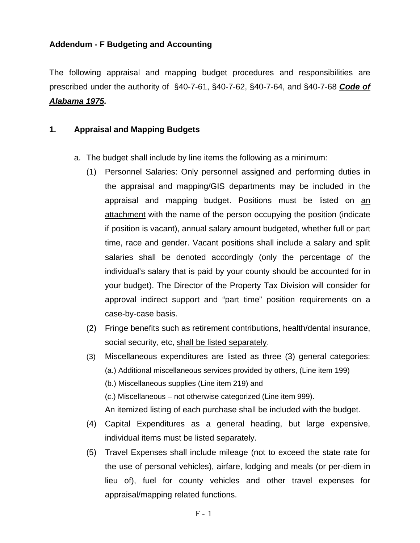## **Addendum - F Budgeting and Accounting**

The following appraisal and mapping budget procedures and responsibilities are prescribed under the authority of §40-7-61, §40-7-62, §40-7-64, and §40-7-68 *Code of Alabama 1975.*

#### **1. Appraisal and Mapping Budgets**

- a. The budget shall include by line items the following as a minimum:
	- (1) Personnel Salaries: Only personnel assigned and performing duties in the appraisal and mapping/GIS departments may be included in the appraisal and mapping budget. Positions must be listed on an attachment with the name of the person occupying the position (indicate if position is vacant), annual salary amount budgeted, whether full or part time, race and gender. Vacant positions shall include a salary and split salaries shall be denoted accordingly (only the percentage of the individual's salary that is paid by your county should be accounted for in your budget). The Director of the Property Tax Division will consider for approval indirect support and "part time" position requirements on a case-by-case basis.
	- (2) Fringe benefits such as retirement contributions, health/dental insurance, social security, etc, shall be listed separately.
	- (3) Miscellaneous expenditures are listed as three (3) general categories: (a.) Additional miscellaneous services provided by others, (Line item 199)
		- (b.) Miscellaneous supplies (Line item 219) and
		- (c.) Miscellaneous not otherwise categorized (Line item 999).
		- An itemized listing of each purchase shall be included with the budget.
	- (4) Capital Expenditures as a general heading, but large expensive, individual items must be listed separately.
	- (5) Travel Expenses shall include mileage (not to exceed the state rate for the use of personal vehicles), airfare, lodging and meals (or per-diem in lieu of), fuel for county vehicles and other travel expenses for appraisal/mapping related functions.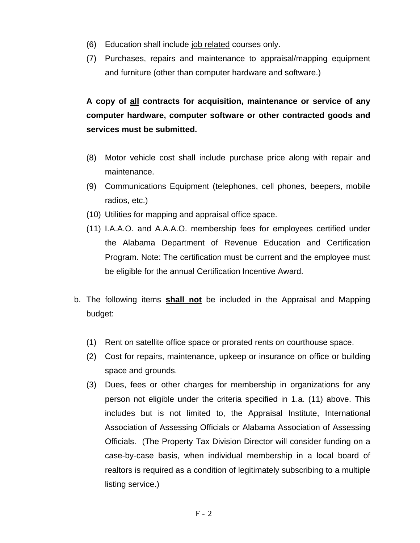- (6) Education shall include job related courses only.
- (7) Purchases, repairs and maintenance to appraisal/mapping equipment and furniture (other than computer hardware and software.)

**A copy of all contracts for acquisition, maintenance or service of any computer hardware, computer software or other contracted goods and services must be submitted.** 

- (8) Motor vehicle cost shall include purchase price along with repair and maintenance.
- (9) Communications Equipment (telephones, cell phones, beepers, mobile radios, etc.)
- (10) Utilities for mapping and appraisal office space.
- (11) I.A.A.O. and A.A.A.O. membership fees for employees certified under the Alabama Department of Revenue Education and Certification Program. Note: The certification must be current and the employee must be eligible for the annual Certification Incentive Award.
- b. The following items **shall not** be included in the Appraisal and Mapping budget:
	- (1) Rent on satellite office space or prorated rents on courthouse space.
	- (2) Cost for repairs, maintenance, upkeep or insurance on office or building space and grounds.
	- (3) Dues, fees or other charges for membership in organizations for any person not eligible under the criteria specified in 1.a. (11) above. This includes but is not limited to, the Appraisal Institute, International Association of Assessing Officials or Alabama Association of Assessing Officials. (The Property Tax Division Director will consider funding on a case-by-case basis, when individual membership in a local board of realtors is required as a condition of legitimately subscribing to a multiple listing service.)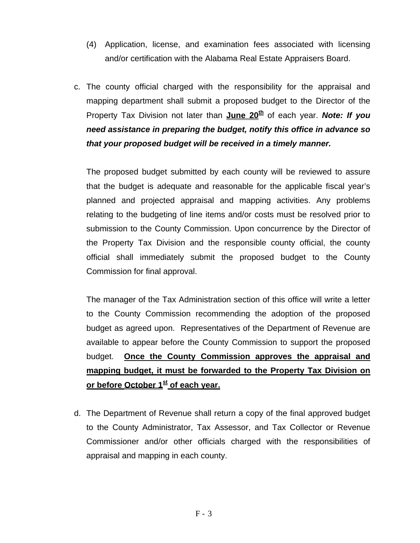- (4) Application, license, and examination fees associated with licensing and/or certification with the Alabama Real Estate Appraisers Board.
- c. The county official charged with the responsibility for the appraisal and mapping department shall submit a proposed budget to the Director of the Property Tax Division not later than **June 20<sup>th</sup>** of each year. **Note: If you** *need assistance in preparing the budget, notify this office in advance so that your proposed budget will be received in a timely manner.*

The proposed budget submitted by each county will be reviewed to assure that the budget is adequate and reasonable for the applicable fiscal year's planned and projected appraisal and mapping activities. Any problems relating to the budgeting of line items and/or costs must be resolved prior to submission to the County Commission. Upon concurrence by the Director of the Property Tax Division and the responsible county official, the county official shall immediately submit the proposed budget to the County Commission for final approval.

The manager of the Tax Administration section of this office will write a letter to the County Commission recommending the adoption of the proposed budget as agreed upon. Representatives of the Department of Revenue are available to appear before the County Commission to support the proposed budget. **Once the County Commission approves the appraisal and mapping budget, it must be forwarded to the Property Tax Division on**  or before October 1<sup>st</sup> of each year.

d. The Department of Revenue shall return a copy of the final approved budget to the County Administrator, Tax Assessor, and Tax Collector or Revenue Commissioner and/or other officials charged with the responsibilities of appraisal and mapping in each county.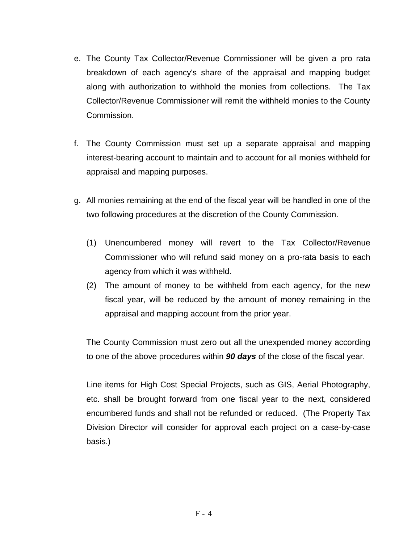- e. The County Tax Collector/Revenue Commissioner will be given a pro rata breakdown of each agency's share of the appraisal and mapping budget along with authorization to withhold the monies from collections. The Tax Collector/Revenue Commissioner will remit the withheld monies to the County Commission.
- f. The County Commission must set up a separate appraisal and mapping interest-bearing account to maintain and to account for all monies withheld for appraisal and mapping purposes.
- g. All monies remaining at the end of the fiscal year will be handled in one of the two following procedures at the discretion of the County Commission.
	- (1) Unencumbered money will revert to the Tax Collector/Revenue Commissioner who will refund said money on a pro-rata basis to each agency from which it was withheld.
	- (2) The amount of money to be withheld from each agency, for the new fiscal year, will be reduced by the amount of money remaining in the appraisal and mapping account from the prior year.

The County Commission must zero out all the unexpended money according to one of the above procedures within *90 days* of the close of the fiscal year.

Line items for High Cost Special Projects, such as GIS, Aerial Photography, etc. shall be brought forward from one fiscal year to the next, considered encumbered funds and shall not be refunded or reduced. (The Property Tax Division Director will consider for approval each project on a case-by-case basis.)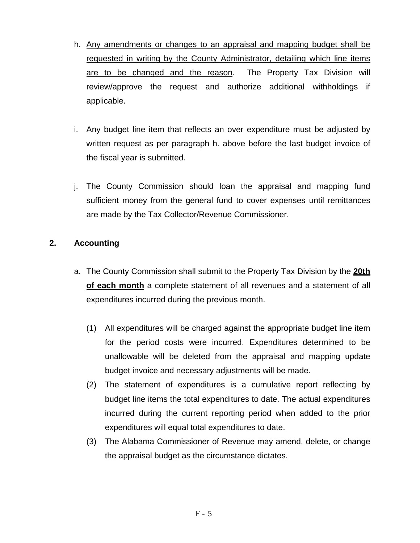- h. Any amendments or changes to an appraisal and mapping budget shall be requested in writing by the County Administrator, detailing which line items are to be changed and the reason. The Property Tax Division will review/approve the request and authorize additional withholdings if applicable.
- i. Any budget line item that reflects an over expenditure must be adjusted by written request as per paragraph h. above before the last budget invoice of the fiscal year is submitted.
- j. The County Commission should loan the appraisal and mapping fund sufficient money from the general fund to cover expenses until remittances are made by the Tax Collector/Revenue Commissioner.

## **2. Accounting**

- a. The County Commission shall submit to the Property Tax Division by the **20th of each month** a complete statement of all revenues and a statement of all expenditures incurred during the previous month.
	- (1) All expenditures will be charged against the appropriate budget line item for the period costs were incurred. Expenditures determined to be unallowable will be deleted from the appraisal and mapping update budget invoice and necessary adjustments will be made.
	- (2) The statement of expenditures is a cumulative report reflecting by budget line items the total expenditures to date. The actual expenditures incurred during the current reporting period when added to the prior expenditures will equal total expenditures to date.
	- (3) The Alabama Commissioner of Revenue may amend, delete, or change the appraisal budget as the circumstance dictates.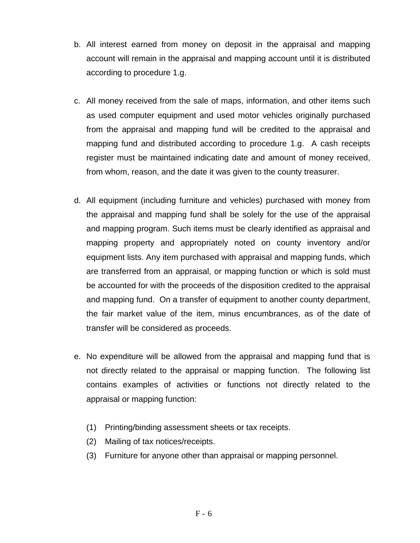- b. All interest earned from money on deposit in the appraisal and mapping account will remain in the appraisal and mapping account until it is distributed according to procedure 1.g.
- c. All money received from the sale of maps, information, and other items such as used computer equipment and used motor vehicles originally purchased from the appraisal and mapping fund will be credited to the appraisal and mapping fund and distributed according to procedure 1.g. A cash receipts register must be maintained indicating date and amount of money received, from whom, reason, and the date it was given to the county treasurer.
- d. All equipment (including furniture and vehicles) purchased with money from the appraisal and mapping fund shall be solely for the use of the appraisal and mapping program. Such items must be clearly identified as appraisal and mapping property and appropriately noted on county inventory and/or equipment lists. Any item purchased with appraisal and mapping funds, which are transferred from an appraisal, or mapping function or which is sold must be accounted for with the proceeds of the disposition credited to the appraisal and mapping fund. On a transfer of equipment to another county department, the fair market value of the item, minus encumbrances, as of the date of transfer will be considered as proceeds.
- e. No expenditure will be allowed from the appraisal and mapping fund that is not directly related to the appraisal or mapping function. The following list contains examples of activities or functions not directly related to the appraisal or mapping function:
	- (1) Printing/binding assessment sheets or tax receipts.
	- (2) Mailing of tax notices/receipts.
	- (3) Furniture for anyone other than appraisal or mapping personnel.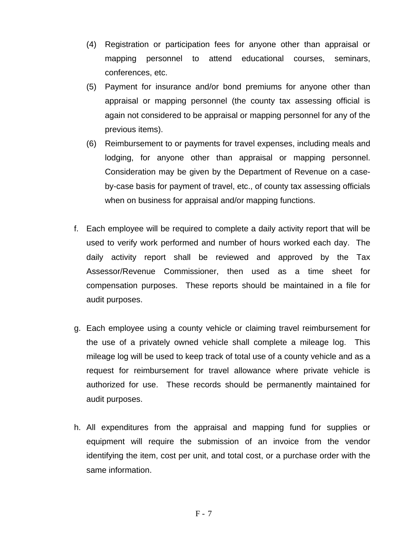- (4) Registration or participation fees for anyone other than appraisal or mapping personnel to attend educational courses, seminars, conferences, etc.
- (5) Payment for insurance and/or bond premiums for anyone other than appraisal or mapping personnel (the county tax assessing official is again not considered to be appraisal or mapping personnel for any of the previous items).
- (6) Reimbursement to or payments for travel expenses, including meals and lodging, for anyone other than appraisal or mapping personnel. Consideration may be given by the Department of Revenue on a caseby-case basis for payment of travel, etc., of county tax assessing officials when on business for appraisal and/or mapping functions.
- f. Each employee will be required to complete a daily activity report that will be used to verify work performed and number of hours worked each day. The daily activity report shall be reviewed and approved by the Tax Assessor/Revenue Commissioner, then used as a time sheet for compensation purposes. These reports should be maintained in a file for audit purposes.
- g. Each employee using a county vehicle or claiming travel reimbursement for the use of a privately owned vehicle shall complete a mileage log. This mileage log will be used to keep track of total use of a county vehicle and as a request for reimbursement for travel allowance where private vehicle is authorized for use. These records should be permanently maintained for audit purposes.
- h. All expenditures from the appraisal and mapping fund for supplies or equipment will require the submission of an invoice from the vendor identifying the item, cost per unit, and total cost, or a purchase order with the same information.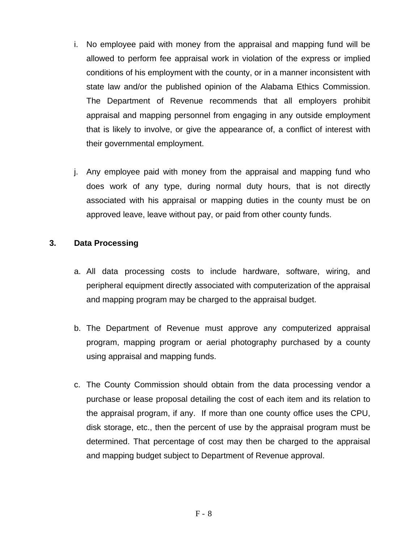- i. No employee paid with money from the appraisal and mapping fund will be allowed to perform fee appraisal work in violation of the express or implied conditions of his employment with the county, or in a manner inconsistent with state law and/or the published opinion of the Alabama Ethics Commission. The Department of Revenue recommends that all employers prohibit appraisal and mapping personnel from engaging in any outside employment that is likely to involve, or give the appearance of, a conflict of interest with their governmental employment.
- j. Any employee paid with money from the appraisal and mapping fund who does work of any type, during normal duty hours, that is not directly associated with his appraisal or mapping duties in the county must be on approved leave, leave without pay, or paid from other county funds.

#### **3. Data Processing**

- a. All data processing costs to include hardware, software, wiring, and peripheral equipment directly associated with computerization of the appraisal and mapping program may be charged to the appraisal budget.
- b. The Department of Revenue must approve any computerized appraisal program, mapping program or aerial photography purchased by a county using appraisal and mapping funds.
- c. The County Commission should obtain from the data processing vendor a purchase or lease proposal detailing the cost of each item and its relation to the appraisal program, if any. If more than one county office uses the CPU, disk storage, etc., then the percent of use by the appraisal program must be determined. That percentage of cost may then be charged to the appraisal and mapping budget subject to Department of Revenue approval.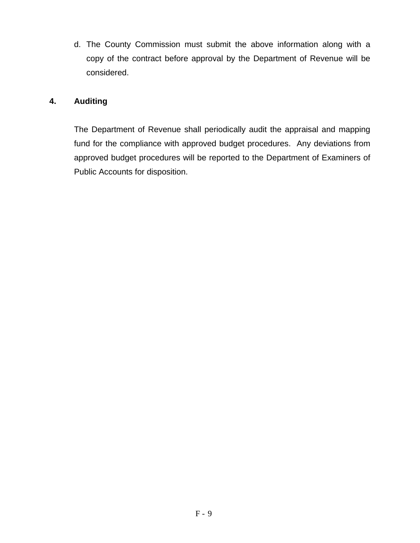d. The County Commission must submit the above information along with a copy of the contract before approval by the Department of Revenue will be considered.

## **4. Auditing**

The Department of Revenue shall periodically audit the appraisal and mapping fund for the compliance with approved budget procedures. Any deviations from approved budget procedures will be reported to the Department of Examiners of Public Accounts for disposition.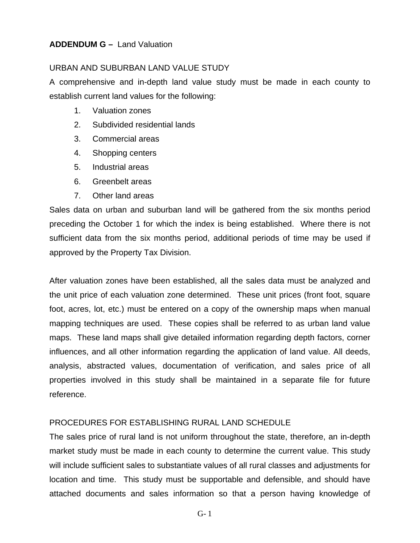#### **ADDENDUM G –** Land Valuation

#### URBAN AND SUBURBAN LAND VALUE STUDY

A comprehensive and in-depth land value study must be made in each county to establish current land values for the following:

- 1. Valuation zones
- 2. Subdivided residential lands
- 3. Commercial areas
- 4. Shopping centers
- 5. Industrial areas
- 6. Greenbelt areas
- 7. Other land areas

Sales data on urban and suburban land will be gathered from the six months period preceding the October 1 for which the index is being established. Where there is not sufficient data from the six months period, additional periods of time may be used if approved by the Property Tax Division.

After valuation zones have been established, all the sales data must be analyzed and the unit price of each valuation zone determined. These unit prices (front foot, square foot, acres, lot, etc.) must be entered on a copy of the ownership maps when manual mapping techniques are used. These copies shall be referred to as urban land value maps. These land maps shall give detailed information regarding depth factors, corner influences, and all other information regarding the application of land value. All deeds, analysis, abstracted values, documentation of verification, and sales price of all properties involved in this study shall be maintained in a separate file for future reference.

## PROCEDURES FOR ESTABLISHING RURAL LAND SCHEDULE

The sales price of rural land is not uniform throughout the state, therefore, an in-depth market study must be made in each county to determine the current value. This study will include sufficient sales to substantiate values of all rural classes and adjustments for location and time. This study must be supportable and defensible, and should have attached documents and sales information so that a person having knowledge of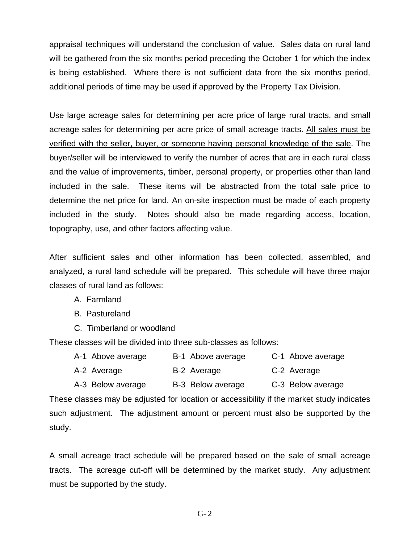appraisal techniques will understand the conclusion of value. Sales data on rural land will be gathered from the six months period preceding the October 1 for which the index is being established. Where there is not sufficient data from the six months period, additional periods of time may be used if approved by the Property Tax Division.

Use large acreage sales for determining per acre price of large rural tracts, and small acreage sales for determining per acre price of small acreage tracts. All sales must be verified with the seller, buyer, or someone having personal knowledge of the sale. The buyer/seller will be interviewed to verify the number of acres that are in each rural class and the value of improvements, timber, personal property, or properties other than land included in the sale. These items will be abstracted from the total sale price to determine the net price for land. An on-site inspection must be made of each property included in the study. Notes should also be made regarding access, location, topography, use, and other factors affecting value.

After sufficient sales and other information has been collected, assembled, and analyzed, a rural land schedule will be prepared. This schedule will have three major classes of rural land as follows:

A. Farmland

B. Pastureland

C. Timberland or woodland

These classes will be divided into three sub-classes as follows:

- A-1 Above average B-1 Above average C-1 Above average
- A-2 Average **B-2 Average C-2 Average**
- A-3 Below average B-3 Below average C-3 Below average

These classes may be adjusted for location or accessibility if the market study indicates such adjustment. The adjustment amount or percent must also be supported by the study.

A small acreage tract schedule will be prepared based on the sale of small acreage tracts. The acreage cut-off will be determined by the market study. Any adjustment must be supported by the study.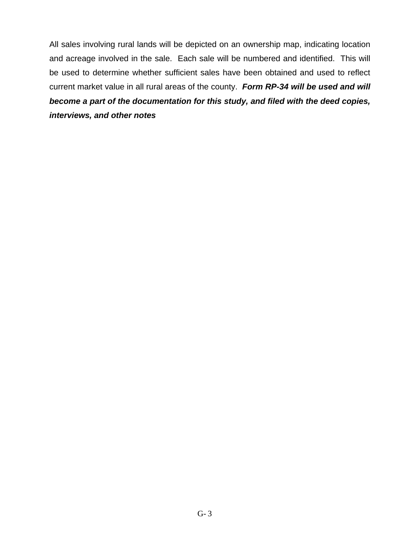All sales involving rural lands will be depicted on an ownership map, indicating location and acreage involved in the sale. Each sale will be numbered and identified. This will be used to determine whether sufficient sales have been obtained and used to reflect current market value in all rural areas of the county. *Form RP-34 will be used and will become a part of the documentation for this study, and filed with the deed copies, interviews, and other notes*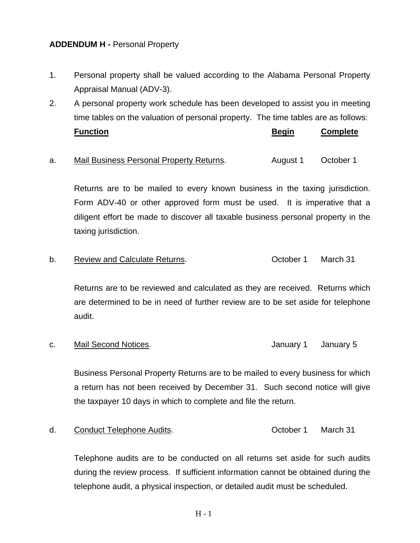#### **ADDENDUM H -** Personal Property

- 1. Personal property shall be valued according to the Alabama Personal Property Appraisal Manual (ADV-3).
- 2. A personal property work schedule has been developed to assist you in meeting time tables on the valuation of personal property. The time tables are as follows: **Function Begin Complete**
- a. Mail Business Personal Property Returns. August 1 October 1

Returns are to be mailed to every known business in the taxing jurisdiction. Form ADV-40 or other approved form must be used. It is imperative that a diligent effort be made to discover all taxable business personal property in the taxing jurisdiction.

b. Review and Calculate Returns. The Section of Care Returns of Care March 31

Returns are to be reviewed and calculated as they are received. Returns which are determined to be in need of further review are to be set aside for telephone audit.

c. Mail Second Notices. The Contract of the Manuary 1 January 5

Business Personal Property Returns are to be mailed to every business for which a return has not been received by December 31. Such second notice will give the taxpayer 10 days in which to complete and file the return.

d. Conduct Telephone Audits. The Conduct of Conduct Telephone Audits.

Telephone audits are to be conducted on all returns set aside for such audits during the review process. If sufficient information cannot be obtained during the telephone audit, a physical inspection, or detailed audit must be scheduled.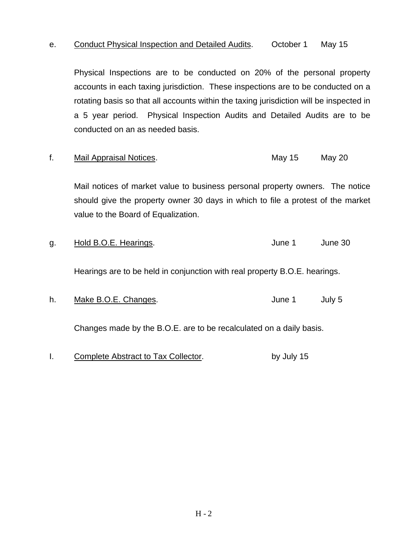#### e. Conduct Physical Inspection and Detailed Audits. October 1 May 15

Physical Inspections are to be conducted on 20% of the personal property accounts in each taxing jurisdiction. These inspections are to be conducted on a rotating basis so that all accounts within the taxing jurisdiction will be inspected in a 5 year period. Physical Inspection Audits and Detailed Audits are to be conducted on an as needed basis.

| Mail Appraisal Notices. | May 15 | May 20 |
|-------------------------|--------|--------|
|                         |        |        |

Mail notices of market value to business personal property owners. The notice should give the property owner 30 days in which to file a protest of the market value to the Board of Equalization.

| g. | Hold B.O.E. Hearings.                                                      | June 1 | June 30 |  |
|----|----------------------------------------------------------------------------|--------|---------|--|
|    | Hearings are to be held in conjunction with real property B.O.E. hearings. |        |         |  |
| h. | Make B.O.E. Changes.                                                       | June 1 | July 5  |  |
|    | Changes made by the B.O.E. are to be recalculated on a daily basis.        |        |         |  |

I. Complete Abstract to Tax Collector. by July 15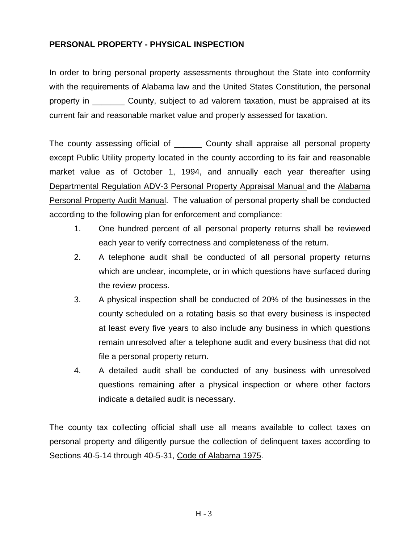### **PERSONAL PROPERTY - PHYSICAL INSPECTION**

In order to bring personal property assessments throughout the State into conformity with the requirements of Alabama law and the United States Constitution, the personal property in \_\_\_\_\_\_\_ County, subject to ad valorem taxation, must be appraised at its current fair and reasonable market value and properly assessed for taxation.

The county assessing official of **Example 20 County shall appraise all personal property** except Public Utility property located in the county according to its fair and reasonable market value as of October 1, 1994, and annually each year thereafter using Departmental Regulation ADV-3 Personal Property Appraisal Manual and the Alabama Personal Property Audit Manual. The valuation of personal property shall be conducted according to the following plan for enforcement and compliance:

- 1. One hundred percent of all personal property returns shall be reviewed each year to verify correctness and completeness of the return.
- 2. A telephone audit shall be conducted of all personal property returns which are unclear, incomplete, or in which questions have surfaced during the review process.
- 3. A physical inspection shall be conducted of 20% of the businesses in the county scheduled on a rotating basis so that every business is inspected at least every five years to also include any business in which questions remain unresolved after a telephone audit and every business that did not file a personal property return.
- 4. A detailed audit shall be conducted of any business with unresolved questions remaining after a physical inspection or where other factors indicate a detailed audit is necessary.

The county tax collecting official shall use all means available to collect taxes on personal property and diligently pursue the collection of delinquent taxes according to Sections 40-5-14 through 40-5-31, Code of Alabama 1975.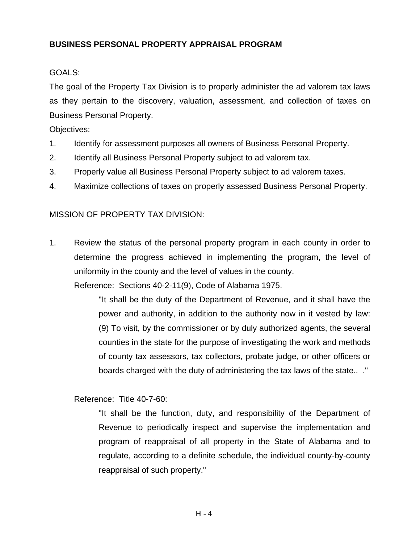# **BUSINESS PERSONAL PROPERTY APPRAISAL PROGRAM**

### GOALS:

The goal of the Property Tax Division is to properly administer the ad valorem tax laws as they pertain to the discovery, valuation, assessment, and collection of taxes on Business Personal Property.

Objectives:

- 1. Identify for assessment purposes all owners of Business Personal Property.
- 2. Identify all Business Personal Property subject to ad valorem tax.
- 3. Properly value all Business Personal Property subject to ad valorem taxes.
- 4. Maximize collections of taxes on properly assessed Business Personal Property.

### MISSION OF PROPERTY TAX DIVISION:

1. Review the status of the personal property program in each county in order to determine the progress achieved in implementing the program, the level of uniformity in the county and the level of values in the county.

Reference: Sections 40-2-11(9), Code of Alabama 1975.

"It shall be the duty of the Department of Revenue, and it shall have the power and authority, in addition to the authority now in it vested by law: (9) To visit, by the commissioner or by duly authorized agents, the several counties in the state for the purpose of investigating the work and methods of county tax assessors, tax collectors, probate judge, or other officers or boards charged with the duty of administering the tax laws of the state.. ."

Reference: Title 40-7-60:

"It shall be the function, duty, and responsibility of the Department of Revenue to periodically inspect and supervise the implementation and program of reappraisal of all property in the State of Alabama and to regulate, according to a definite schedule, the individual county-by-county reappraisal of such property."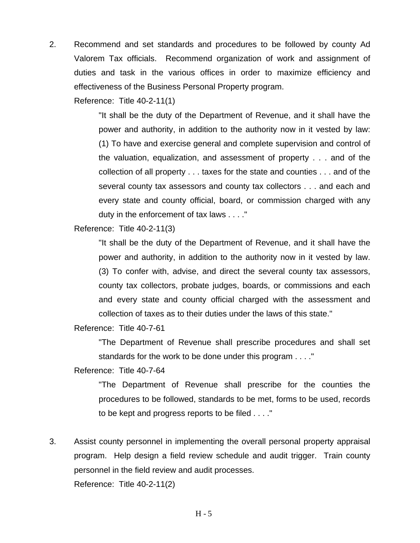2. Recommend and set standards and procedures to be followed by county Ad Valorem Tax officials. Recommend organization of work and assignment of duties and task in the various offices in order to maximize efficiency and effectiveness of the Business Personal Property program.

Reference: Title 40-2-11(1)

"It shall be the duty of the Department of Revenue, and it shall have the power and authority, in addition to the authority now in it vested by law: (1) To have and exercise general and complete supervision and control of the valuation, equalization, and assessment of property . . . and of the collection of all property . . . taxes for the state and counties . . . and of the several county tax assessors and county tax collectors . . . and each and every state and county official, board, or commission charged with any duty in the enforcement of tax laws . . . ."

Reference: Title 40-2-11(3)

"It shall be the duty of the Department of Revenue, and it shall have the power and authority, in addition to the authority now in it vested by law. (3) To confer with, advise, and direct the several county tax assessors, county tax collectors, probate judges, boards, or commissions and each and every state and county official charged with the assessment and collection of taxes as to their duties under the laws of this state."

Reference: Title 40-7-61

"The Department of Revenue shall prescribe procedures and shall set standards for the work to be done under this program . . . ."

Reference: Title 40-7-64

"The Department of Revenue shall prescribe for the counties the procedures to be followed, standards to be met, forms to be used, records to be kept and progress reports to be filed . . . ."

3. Assist county personnel in implementing the overall personal property appraisal program. Help design a field review schedule and audit trigger. Train county personnel in the field review and audit processes. Reference: Title 40-2-11(2)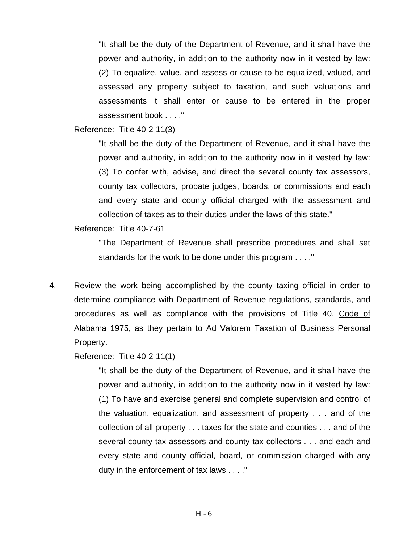"It shall be the duty of the Department of Revenue, and it shall have the power and authority, in addition to the authority now in it vested by law: (2) To equalize, value, and assess or cause to be equalized, valued, and assessed any property subject to taxation, and such valuations and assessments it shall enter or cause to be entered in the proper assessment book . . . ."

Reference: Title 40-2-11(3)

"It shall be the duty of the Department of Revenue, and it shall have the power and authority, in addition to the authority now in it vested by law: (3) To confer with, advise, and direct the several county tax assessors, county tax collectors, probate judges, boards, or commissions and each and every state and county official charged with the assessment and collection of taxes as to their duties under the laws of this state."

Reference: Title 40-7-61

"The Department of Revenue shall prescribe procedures and shall set standards for the work to be done under this program . . . ."

4. Review the work being accomplished by the county taxing official in order to determine compliance with Department of Revenue regulations, standards, and procedures as well as compliance with the provisions of Title 40, Code of Alabama 1975, as they pertain to Ad Valorem Taxation of Business Personal Property.

Reference: Title 40-2-11(1)

"It shall be the duty of the Department of Revenue, and it shall have the power and authority, in addition to the authority now in it vested by law: (1) To have and exercise general and complete supervision and control of the valuation, equalization, and assessment of property . . . and of the collection of all property . . . taxes for the state and counties . . . and of the several county tax assessors and county tax collectors . . . and each and every state and county official, board, or commission charged with any duty in the enforcement of tax laws . . . ."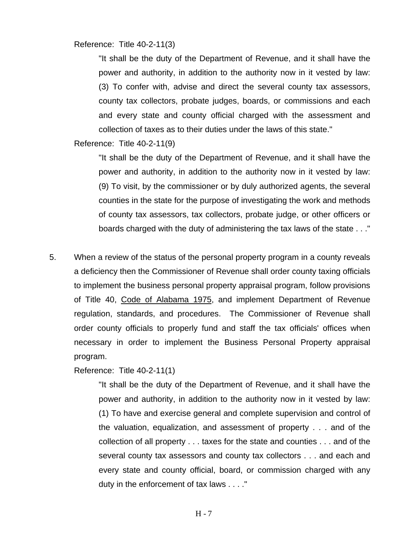Reference: Title 40-2-11(3)

"It shall be the duty of the Department of Revenue, and it shall have the power and authority, in addition to the authority now in it vested by law: (3) To confer with, advise and direct the several county tax assessors, county tax collectors, probate judges, boards, or commissions and each and every state and county official charged with the assessment and collection of taxes as to their duties under the laws of this state."

Reference: Title 40-2-11(9)

"It shall be the duty of the Department of Revenue, and it shall have the power and authority, in addition to the authority now in it vested by law: (9) To visit, by the commissioner or by duly authorized agents, the several counties in the state for the purpose of investigating the work and methods of county tax assessors, tax collectors, probate judge, or other officers or boards charged with the duty of administering the tax laws of the state . . ."

5. When a review of the status of the personal property program in a county reveals a deficiency then the Commissioner of Revenue shall order county taxing officials to implement the business personal property appraisal program, follow provisions of Title 40, Code of Alabama 1975, and implement Department of Revenue regulation, standards, and procedures. The Commissioner of Revenue shall order county officials to properly fund and staff the tax officials' offices when necessary in order to implement the Business Personal Property appraisal program.

Reference: Title 40-2-11(1)

"It shall be the duty of the Department of Revenue, and it shall have the power and authority, in addition to the authority now in it vested by law: (1) To have and exercise general and complete supervision and control of the valuation, equalization, and assessment of property . . . and of the collection of all property . . . taxes for the state and counties . . . and of the several county tax assessors and county tax collectors . . . and each and every state and county official, board, or commission charged with any duty in the enforcement of tax laws . . . ."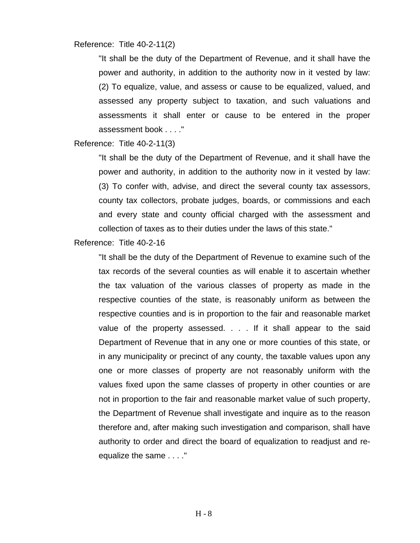Reference: Title 40-2-11(2)

"It shall be the duty of the Department of Revenue, and it shall have the power and authority, in addition to the authority now in it vested by law: (2) To equalize, value, and assess or cause to be equalized, valued, and assessed any property subject to taxation, and such valuations and assessments it shall enter or cause to be entered in the proper assessment book . . . ."

Reference: Title 40-2-11(3)

"It shall be the duty of the Department of Revenue, and it shall have the power and authority, in addition to the authority now in it vested by law: (3) To confer with, advise, and direct the several county tax assessors, county tax collectors, probate judges, boards, or commissions and each and every state and county official charged with the assessment and collection of taxes as to their duties under the laws of this state."

Reference: Title 40-2-16

"It shall be the duty of the Department of Revenue to examine such of the tax records of the several counties as will enable it to ascertain whether the tax valuation of the various classes of property as made in the respective counties of the state, is reasonably uniform as between the respective counties and is in proportion to the fair and reasonable market value of the property assessed. . . . If it shall appear to the said Department of Revenue that in any one or more counties of this state, or in any municipality or precinct of any county, the taxable values upon any one or more classes of property are not reasonably uniform with the values fixed upon the same classes of property in other counties or are not in proportion to the fair and reasonable market value of such property, the Department of Revenue shall investigate and inquire as to the reason therefore and, after making such investigation and comparison, shall have authority to order and direct the board of equalization to readjust and reequalize the same . . . ."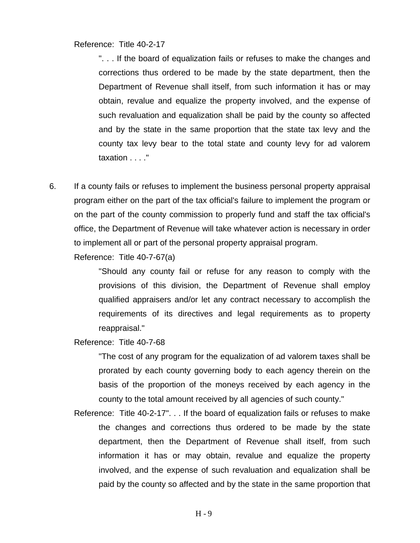Reference: Title 40-2-17

". . . If the board of equalization fails or refuses to make the changes and corrections thus ordered to be made by the state department, then the Department of Revenue shall itself, from such information it has or may obtain, revalue and equalize the property involved, and the expense of such revaluation and equalization shall be paid by the county so affected and by the state in the same proportion that the state tax levy and the county tax levy bear to the total state and county levy for ad valorem taxation . . . ."

6. If a county fails or refuses to implement the business personal property appraisal program either on the part of the tax official's failure to implement the program or on the part of the county commission to properly fund and staff the tax official's office, the Department of Revenue will take whatever action is necessary in order to implement all or part of the personal property appraisal program.

Reference: Title 40-7-67(a)

"Should any county fail or refuse for any reason to comply with the provisions of this division, the Department of Revenue shall employ qualified appraisers and/or let any contract necessary to accomplish the requirements of its directives and legal requirements as to property reappraisal."

Reference: Title 40-7-68

"The cost of any program for the equalization of ad valorem taxes shall be prorated by each county governing body to each agency therein on the basis of the proportion of the moneys received by each agency in the county to the total amount received by all agencies of such county."

Reference: Title 40-2-17". . . If the board of equalization fails or refuses to make the changes and corrections thus ordered to be made by the state department, then the Department of Revenue shall itself, from such information it has or may obtain, revalue and equalize the property involved, and the expense of such revaluation and equalization shall be paid by the county so affected and by the state in the same proportion that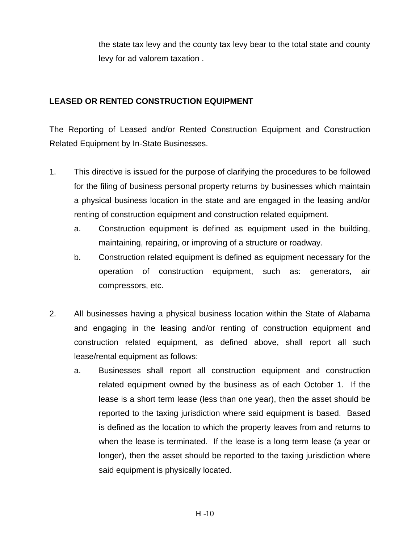the state tax levy and the county tax levy bear to the total state and county levy for ad valorem taxation .

### **LEASED OR RENTED CONSTRUCTION EQUIPMENT**

The Reporting of Leased and/or Rented Construction Equipment and Construction Related Equipment by In-State Businesses.

- 1. This directive is issued for the purpose of clarifying the procedures to be followed for the filing of business personal property returns by businesses which maintain a physical business location in the state and are engaged in the leasing and/or renting of construction equipment and construction related equipment.
	- a. Construction equipment is defined as equipment used in the building, maintaining, repairing, or improving of a structure or roadway.
	- b. Construction related equipment is defined as equipment necessary for the operation of construction equipment, such as: generators, air compressors, etc.
- 2. All businesses having a physical business location within the State of Alabama and engaging in the leasing and/or renting of construction equipment and construction related equipment, as defined above, shall report all such lease/rental equipment as follows:
	- a. Businesses shall report all construction equipment and construction related equipment owned by the business as of each October 1. If the lease is a short term lease (less than one year), then the asset should be reported to the taxing jurisdiction where said equipment is based. Based is defined as the location to which the property leaves from and returns to when the lease is terminated. If the lease is a long term lease (a year or longer), then the asset should be reported to the taxing jurisdiction where said equipment is physically located.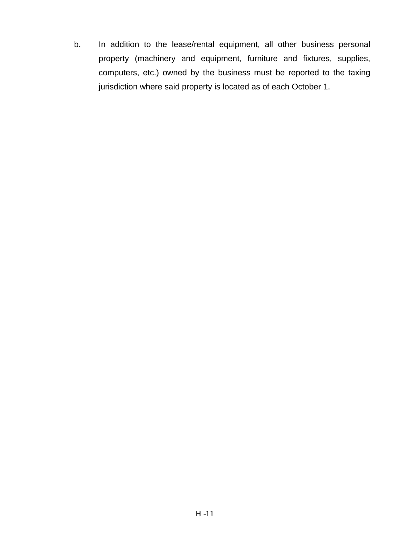b. In addition to the lease/rental equipment, all other business personal property (machinery and equipment, furniture and fixtures, supplies, computers, etc.) owned by the business must be reported to the taxing jurisdiction where said property is located as of each October 1.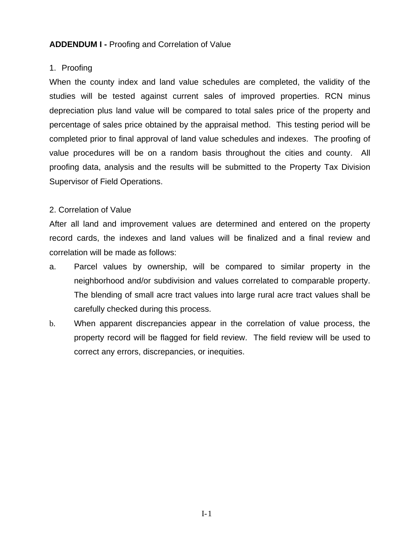#### **ADDENDUM I -** Proofing and Correlation of Value

#### 1. Proofing

When the county index and land value schedules are completed, the validity of the studies will be tested against current sales of improved properties. RCN minus depreciation plus land value will be compared to total sales price of the property and percentage of sales price obtained by the appraisal method. This testing period will be completed prior to final approval of land value schedules and indexes. The proofing of value procedures will be on a random basis throughout the cities and county. All proofing data, analysis and the results will be submitted to the Property Tax Division Supervisor of Field Operations.

### 2. Correlation of Value

After all land and improvement values are determined and entered on the property record cards, the indexes and land values will be finalized and a final review and correlation will be made as follows:

- a. Parcel values by ownership, will be compared to similar property in the neighborhood and/or subdivision and values correlated to comparable property. The blending of small acre tract values into large rural acre tract values shall be carefully checked during this process.
- b. When apparent discrepancies appear in the correlation of value process, the property record will be flagged for field review. The field review will be used to correct any errors, discrepancies, or inequities.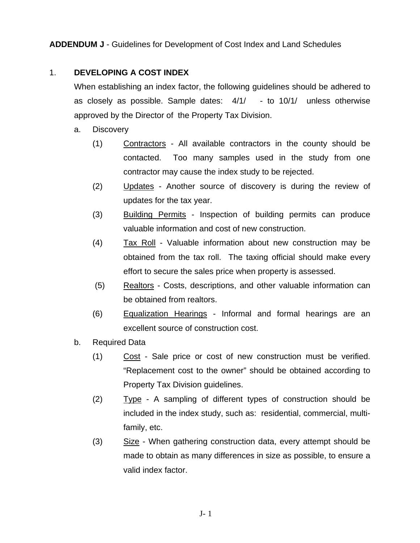### 1. **DEVELOPING A COST INDEX**

When establishing an index factor, the following guidelines should be adhered to as closely as possible. Sample dates: 4/1/ - to 10/1/ unless otherwise approved by the Director of the Property Tax Division.

- a. Discovery
	- (1) Contractors All available contractors in the county should be contacted. Too many samples used in the study from one contractor may cause the index study to be rejected.
	- (2) Updates Another source of discovery is during the review of updates for the tax year.
	- (3) Building Permits Inspection of building permits can produce valuable information and cost of new construction.
	- (4) Tax Roll Valuable information about new construction may be obtained from the tax roll. The taxing official should make every effort to secure the sales price when property is assessed.
	- (5) Realtors Costs, descriptions, and other valuable information can be obtained from realtors.
	- (6) Equalization Hearings Informal and formal hearings are an excellent source of construction cost.
- b. Required Data
	- (1) Cost Sale price or cost of new construction must be verified. "Replacement cost to the owner" should be obtained according to Property Tax Division guidelines.
	- (2) Type A sampling of different types of construction should be included in the index study, such as: residential, commercial, multifamily, etc.
	- (3) Size When gathering construction data, every attempt should be made to obtain as many differences in size as possible, to ensure a valid index factor.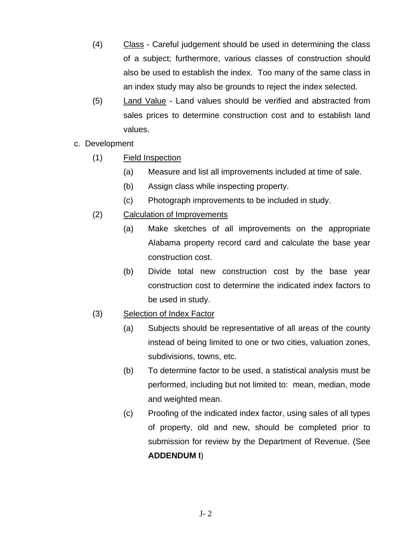- (4) Class Careful judgement should be used in determining the class of a subject; furthermore, various classes of construction should also be used to establish the index. Too many of the same class in an index study may also be grounds to reject the index selected.
- (5) Land Value Land values should be verified and abstracted from sales prices to determine construction cost and to establish land values.
- c. Development
	- (1) Field Inspection
		- (a) Measure and list all improvements included at time of sale.
		- (b) Assign class while inspecting property.
		- (c) Photograph improvements to be included in study.
	- (2) Calculation of Improvements
		- (a) Make sketches of all improvements on the appropriate Alabama property record card and calculate the base year construction cost.
		- (b) Divide total new construction cost by the base year construction cost to determine the indicated index factors to be used in study.
	- (3) Selection of Index Factor
		- (a) Subjects should be representative of all areas of the county instead of being limited to one or two cities, valuation zones, subdivisions, towns, etc.
		- (b) To determine factor to be used, a statistical analysis must be performed, including but not limited to: mean, median, mode and weighted mean.
		- (c) Proofing of the indicated index factor, using sales of all types of property, old and new, should be completed prior to submission for review by the Department of Revenue. (See **ADDENDUM I**)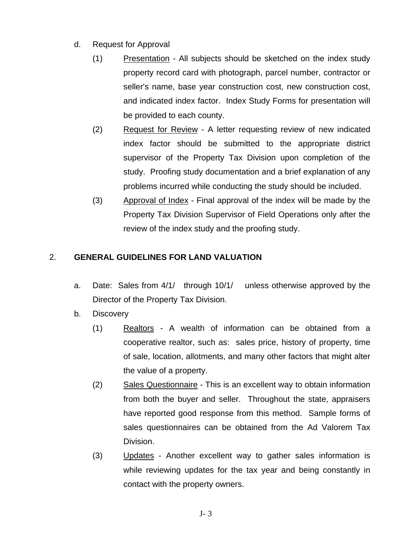- d. Request for Approval
	- (1) Presentation All subjects should be sketched on the index study property record card with photograph, parcel number, contractor or seller's name, base year construction cost, new construction cost, and indicated index factor. Index Study Forms for presentation will be provided to each county.
	- (2) Request for Review A letter requesting review of new indicated index factor should be submitted to the appropriate district supervisor of the Property Tax Division upon completion of the study. Proofing study documentation and a brief explanation of any problems incurred while conducting the study should be included.
	- (3) Approval of Index Final approval of the index will be made by the Property Tax Division Supervisor of Field Operations only after the review of the index study and the proofing study.

# 2. **GENERAL GUIDELINES FOR LAND VALUATION**

- a. Date: Sales from 4/1/ through 10/1/ unless otherwise approved by the Director of the Property Tax Division.
- b. Discovery
	- (1) Realtors A wealth of information can be obtained from a cooperative realtor, such as: sales price, history of property, time of sale, location, allotments, and many other factors that might alter the value of a property.
	- (2) Sales Questionnaire This is an excellent way to obtain information from both the buyer and seller. Throughout the state, appraisers have reported good response from this method. Sample forms of sales questionnaires can be obtained from the Ad Valorem Tax Division.
	- (3) Updates Another excellent way to gather sales information is while reviewing updates for the tax year and being constantly in contact with the property owners.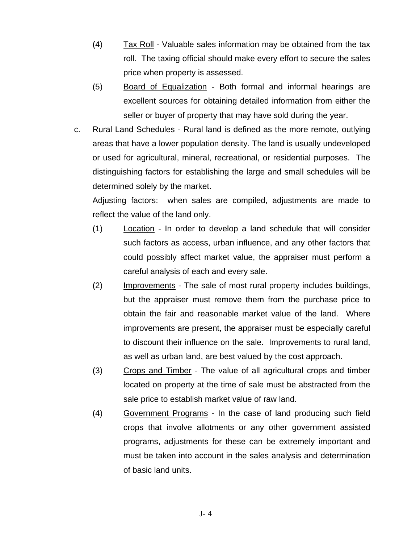- (4) Tax Roll Valuable sales information may be obtained from the tax roll. The taxing official should make every effort to secure the sales price when property is assessed.
- (5) Board of Equalization Both formal and informal hearings are excellent sources for obtaining detailed information from either the seller or buyer of property that may have sold during the year.
- c. Rural Land Schedules Rural land is defined as the more remote, outlying areas that have a lower population density. The land is usually undeveloped or used for agricultural, mineral, recreational, or residential purposes. The distinguishing factors for establishing the large and small schedules will be determined solely by the market.

Adjusting factors: when sales are compiled, adjustments are made to reflect the value of the land only.

- (1) Location In order to develop a land schedule that will consider such factors as access, urban influence, and any other factors that could possibly affect market value, the appraiser must perform a careful analysis of each and every sale.
- (2) Improvements The sale of most rural property includes buildings, but the appraiser must remove them from the purchase price to obtain the fair and reasonable market value of the land. Where improvements are present, the appraiser must be especially careful to discount their influence on the sale. Improvements to rural land, as well as urban land, are best valued by the cost approach.
- (3) Crops and Timber The value of all agricultural crops and timber located on property at the time of sale must be abstracted from the sale price to establish market value of raw land.
- (4) Government Programs In the case of land producing such field crops that involve allotments or any other government assisted programs, adjustments for these can be extremely important and must be taken into account in the sales analysis and determination of basic land units.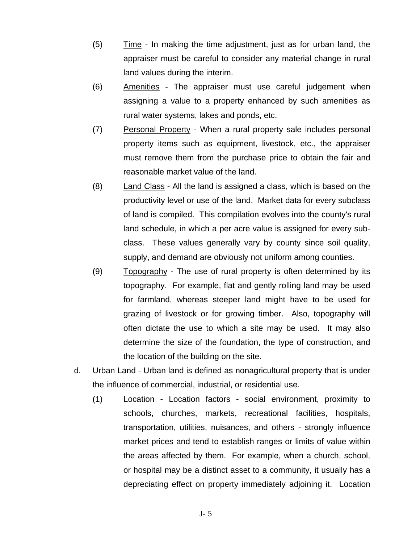- (5) Time In making the time adjustment, just as for urban land, the appraiser must be careful to consider any material change in rural land values during the interim.
- (6) Amenities The appraiser must use careful judgement when assigning a value to a property enhanced by such amenities as rural water systems, lakes and ponds, etc.
- (7) Personal Property When a rural property sale includes personal property items such as equipment, livestock, etc., the appraiser must remove them from the purchase price to obtain the fair and reasonable market value of the land.
- (8) Land Class All the land is assigned a class, which is based on the productivity level or use of the land. Market data for every subclass of land is compiled. This compilation evolves into the county's rural land schedule, in which a per acre value is assigned for every subclass. These values generally vary by county since soil quality, supply, and demand are obviously not uniform among counties.
- (9) Topography The use of rural property is often determined by its topography. For example, flat and gently rolling land may be used for farmland, whereas steeper land might have to be used for grazing of livestock or for growing timber. Also, topography will often dictate the use to which a site may be used. It may also determine the size of the foundation, the type of construction, and the location of the building on the site.
- d. Urban Land Urban land is defined as nonagricultural property that is under the influence of commercial, industrial, or residential use.
	- (1) Location Location factors social environment, proximity to schools, churches, markets, recreational facilities, hospitals, transportation, utilities, nuisances, and others - strongly influence market prices and tend to establish ranges or limits of value within the areas affected by them. For example, when a church, school, or hospital may be a distinct asset to a community, it usually has a depreciating effect on property immediately adjoining it. Location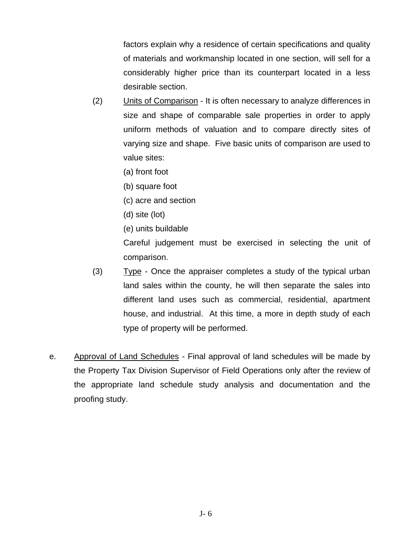factors explain why a residence of certain specifications and quality of materials and workmanship located in one section, will sell for a considerably higher price than its counterpart located in a less desirable section.

- (2) Units of Comparison It is often necessary to analyze differences in size and shape of comparable sale properties in order to apply uniform methods of valuation and to compare directly sites of varying size and shape. Five basic units of comparison are used to value sites:
	- (a) front foot
	- (b) square foot
	- (c) acre and section
	- (d) site (lot)
	- (e) units buildable

Careful judgement must be exercised in selecting the unit of comparison.

- (3) Type Once the appraiser completes a study of the typical urban land sales within the county, he will then separate the sales into different land uses such as commercial, residential, apartment house, and industrial. At this time, a more in depth study of each type of property will be performed.
- e. Approval of Land Schedules Final approval of land schedules will be made by the Property Tax Division Supervisor of Field Operations only after the review of the appropriate land schedule study analysis and documentation and the proofing study.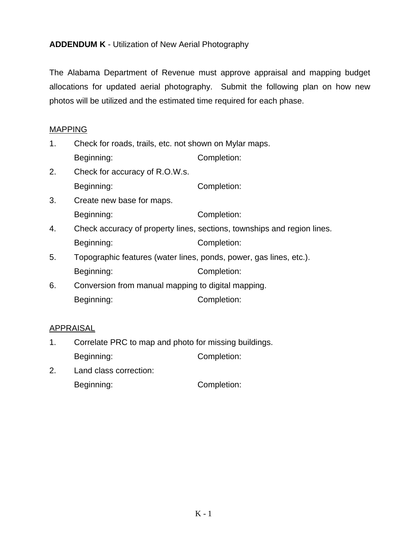**ADDENDUM K** - Utilization of New Aerial Photography

The Alabama Department of Revenue must approve appraisal and mapping budget allocations for updated aerial photography. Submit the following plan on how new photos will be utilized and the estimated time required for each phase.

### MAPPING

- 1. Check for roads, trails, etc. not shown on Mylar maps. Beginning: Completion:
- 2. Check for accuracy of R.O.W.s.

Beginning: Completion:

- 3. Create new base for maps. Beginning: Completion:
- 4. Check accuracy of property lines, sections, townships and region lines. Beginning: Completion:
- 5. Topographic features (water lines, ponds, power, gas lines, etc.). Beginning: Completion:
- 6. Conversion from manual mapping to digital mapping. Beginning: Completion:

### APPRAISAL

- 1. Correlate PRC to map and photo for missing buildings. Beginning: Completion:
- 2. Land class correction: Beginning: Completion: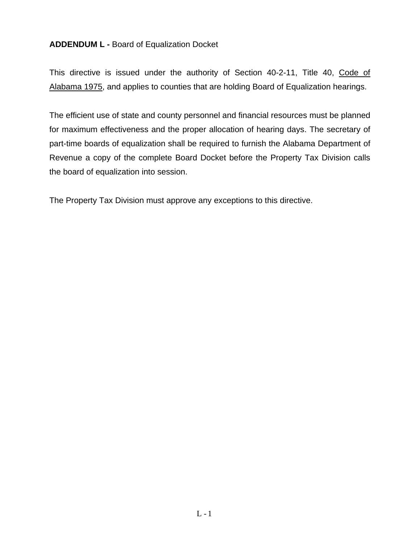### **ADDENDUM L -** Board of Equalization Docket

This directive is issued under the authority of Section 40-2-11, Title 40, Code of Alabama 1975, and applies to counties that are holding Board of Equalization hearings.

The efficient use of state and county personnel and financial resources must be planned for maximum effectiveness and the proper allocation of hearing days. The secretary of part-time boards of equalization shall be required to furnish the Alabama Department of Revenue a copy of the complete Board Docket before the Property Tax Division calls the board of equalization into session.

The Property Tax Division must approve any exceptions to this directive.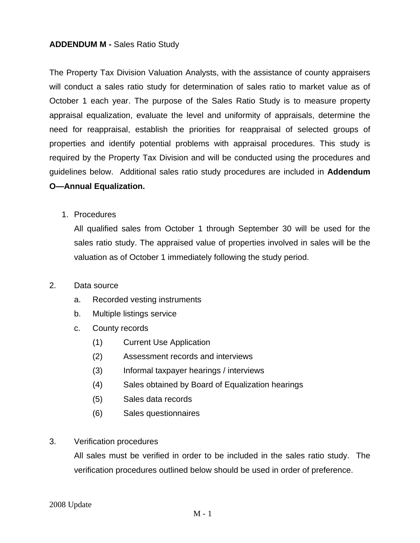#### **ADDENDUM M -** Sales Ratio Study

The Property Tax Division Valuation Analysts, with the assistance of county appraisers will conduct a sales ratio study for determination of sales ratio to market value as of October 1 each year. The purpose of the Sales Ratio Study is to measure property appraisal equalization, evaluate the level and uniformity of appraisals, determine the need for reappraisal, establish the priorities for reappraisal of selected groups of properties and identify potential problems with appraisal procedures. This study is required by the Property Tax Division and will be conducted using the procedures and guidelines below. Additional sales ratio study procedures are included in **Addendum O—Annual Equalization.**

1. Procedures

All qualified sales from October 1 through September 30 will be used for the sales ratio study. The appraised value of properties involved in sales will be the valuation as of October 1 immediately following the study period.

#### 2. Data source

- a. Recorded vesting instruments
- b. Multiple listings service
- c. County records
	- (1) Current Use Application
	- (2) Assessment records and interviews
	- (3) Informal taxpayer hearings / interviews
	- (4) Sales obtained by Board of Equalization hearings
	- (5) Sales data records
	- (6) Sales questionnaires
- 3. Verification procedures

All sales must be verified in order to be included in the sales ratio study. The verification procedures outlined below should be used in order of preference.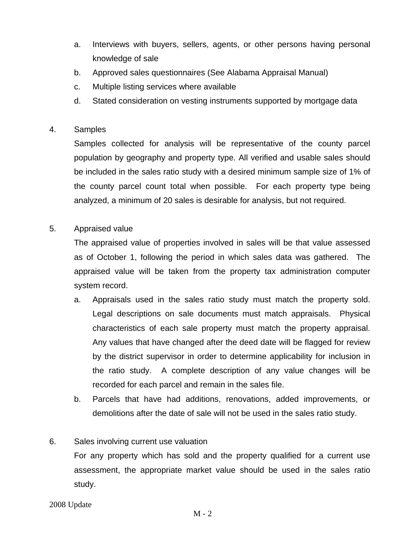- a. Interviews with buyers, sellers, agents, or other persons having personal knowledge of sale
- b. Approved sales questionnaires (See Alabama Appraisal Manual)
- c. Multiple listing services where available
- d. Stated consideration on vesting instruments supported by mortgage data

### 4. Samples

Samples collected for analysis will be representative of the county parcel population by geography and property type. All verified and usable sales should be included in the sales ratio study with a desired minimum sample size of 1% of the county parcel count total when possible. For each property type being analyzed, a minimum of 20 sales is desirable for analysis, but not required.

### 5. Appraised value

The appraised value of properties involved in sales will be that value assessed as of October 1, following the period in which sales data was gathered. The appraised value will be taken from the property tax administration computer system record.

- a. Appraisals used in the sales ratio study must match the property sold. Legal descriptions on sale documents must match appraisals. Physical characteristics of each sale property must match the property appraisal. Any values that have changed after the deed date will be flagged for review by the district supervisor in order to determine applicability for inclusion in the ratio study. A complete description of any value changes will be recorded for each parcel and remain in the sales file.
- b. Parcels that have had additions, renovations, added improvements, or demolitions after the date of sale will not be used in the sales ratio study.

#### 6. Sales involving current use valuation

For any property which has sold and the property qualified for a current use assessment, the appropriate market value should be used in the sales ratio study.

2008 Update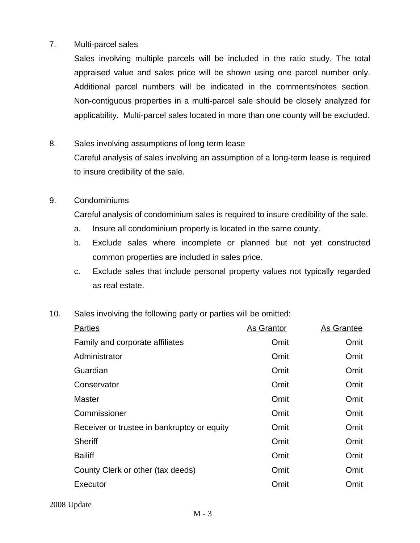#### 7. Multi-parcel sales

Sales involving multiple parcels will be included in the ratio study. The total appraised value and sales price will be shown using one parcel number only. Additional parcel numbers will be indicated in the comments/notes section. Non-contiguous properties in a multi-parcel sale should be closely analyzed for applicability. Multi-parcel sales located in more than one county will be excluded.

### 8. Sales involving assumptions of long term lease

Careful analysis of sales involving an assumption of a long-term lease is required to insure credibility of the sale.

#### 9. Condominiums

Careful analysis of condominium sales is required to insure credibility of the sale.

- a. Insure all condominium property is located in the same county.
- b. Exclude sales where incomplete or planned but not yet constructed common properties are included in sales price.
- c. Exclude sales that include personal property values not typically regarded as real estate.
- 10. Sales involving the following party or parties will be omitted:

| <b>Parties</b>                              | As Grantor | As Grantee |
|---------------------------------------------|------------|------------|
| Family and corporate affiliates             | Omit       | Omit       |
| Administrator                               | Omit       | Omit       |
| Guardian                                    | Omit       | Omit       |
| Conservator                                 | Omit       | Omit       |
| <b>Master</b>                               | Omit       | Omit       |
| Commissioner                                | Omit       | Omit       |
| Receiver or trustee in bankruptcy or equity | Omit       | Omit       |
| <b>Sheriff</b>                              | Omit       | Omit       |
| <b>Bailiff</b>                              | Omit       | Omit       |
| County Clerk or other (tax deeds)           | Omit       | Omit       |
| Executor                                    | Omit       | Omit       |
|                                             |            |            |

2008 Update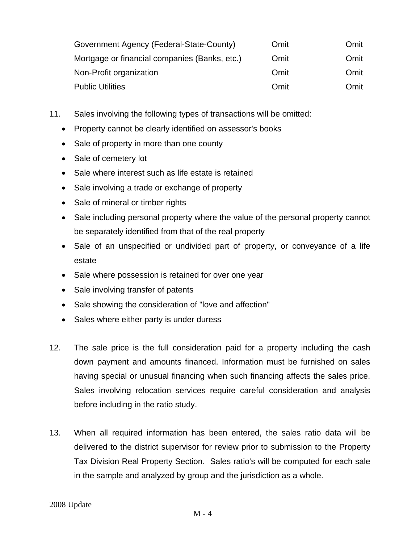| Government Agency (Federal-State-County)      | Omit | Omit |
|-----------------------------------------------|------|------|
| Mortgage or financial companies (Banks, etc.) | Omit | Omit |
| Non-Profit organization                       | Omit | Omit |
| <b>Public Utilities</b>                       | Omit | Omit |

- 11. Sales involving the following types of transactions will be omitted:
	- Property cannot be clearly identified on assessor's books
	- Sale of property in more than one county
	- Sale of cemetery lot
	- Sale where interest such as life estate is retained
	- Sale involving a trade or exchange of property
	- Sale of mineral or timber rights
	- Sale including personal property where the value of the personal property cannot be separately identified from that of the real property
	- Sale of an unspecified or undivided part of property, or conveyance of a life estate
	- Sale where possession is retained for over one year
	- Sale involving transfer of patents
	- Sale showing the consideration of "love and affection"
	- Sales where either party is under duress
- 12. The sale price is the full consideration paid for a property including the cash down payment and amounts financed. Information must be furnished on sales having special or unusual financing when such financing affects the sales price. Sales involving relocation services require careful consideration and analysis before including in the ratio study.
- 13. When all required information has been entered, the sales ratio data will be delivered to the district supervisor for review prior to submission to the Property Tax Division Real Property Section. Sales ratio's will be computed for each sale in the sample and analyzed by group and the jurisdiction as a whole.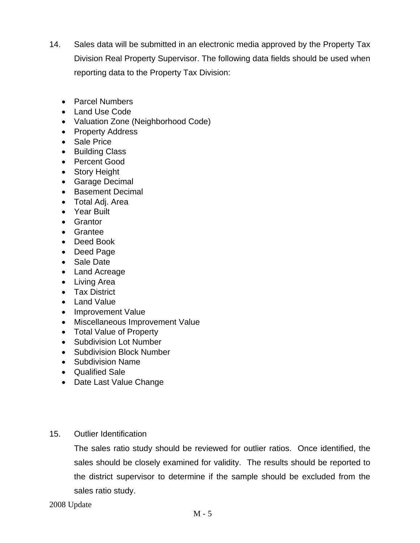- 14. Sales data will be submitted in an electronic media approved by the Property Tax Division Real Property Supervisor. The following data fields should be used when reporting data to the Property Tax Division:
	- Parcel Numbers
	- Land Use Code
	- Valuation Zone (Neighborhood Code)
	- Property Address
	- Sale Price
	- Building Class
	- Percent Good
	- Story Height
	- Garage Decimal
	- Basement Decimal
	- Total Adj. Area
	- Year Built
	- Grantor
	- Grantee
	- Deed Book
	- Deed Page
	- Sale Date
	- Land Acreage
	- Living Area
	- Tax District
	- Land Value
	- Improvement Value
	- Miscellaneous Improvement Value
	- Total Value of Property
	- Subdivision Lot Number
	- Subdivision Block Number
	- Subdivision Name
	- Qualified Sale
	- Date Last Value Change
- 15. Outlier Identification

The sales ratio study should be reviewed for outlier ratios. Once identified, the sales should be closely examined for validity. The results should be reported to the district supervisor to determine if the sample should be excluded from the sales ratio study.

2008 Update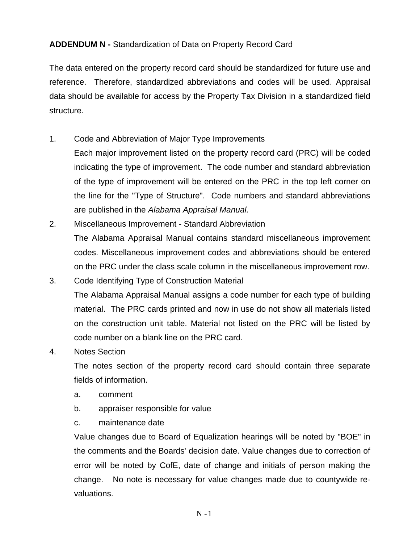# **ADDENDUM N -** Standardization of Data on Property Record Card

The data entered on the property record card should be standardized for future use and reference. Therefore, standardized abbreviations and codes will be used. Appraisal data should be available for access by the Property Tax Division in a standardized field structure.

- 1. Code and Abbreviation of Major Type Improvements
	- Each major improvement listed on the property record card (PRC) will be coded indicating the type of improvement. The code number and standard abbreviation of the type of improvement will be entered on the PRC in the top left corner on the line for the "Type of Structure". Code numbers and standard abbreviations are published in the *Alabama Appraisal Manual.*
- 2. Miscellaneous Improvement Standard Abbreviation The Alabama Appraisal Manual contains standard miscellaneous improvement codes. Miscellaneous improvement codes and abbreviations should be entered on the PRC under the class scale column in the miscellaneous improvement row.
- 3. Code Identifying Type of Construction Material The Alabama Appraisal Manual assigns a code number for each type of building material. The PRC cards printed and now in use do not show all materials listed on the construction unit table. Material not listed on the PRC will be listed by code number on a blank line on the PRC card.
- 4. Notes Section

The notes section of the property record card should contain three separate fields of information.

- a. comment
- b. appraiser responsible for value
- c. maintenance date

 Value changes due to Board of Equalization hearings will be noted by "BOE" in the comments and the Boards' decision date. Value changes due to correction of error will be noted by CofE, date of change and initials of person making the change. No note is necessary for value changes made due to countywide revaluations.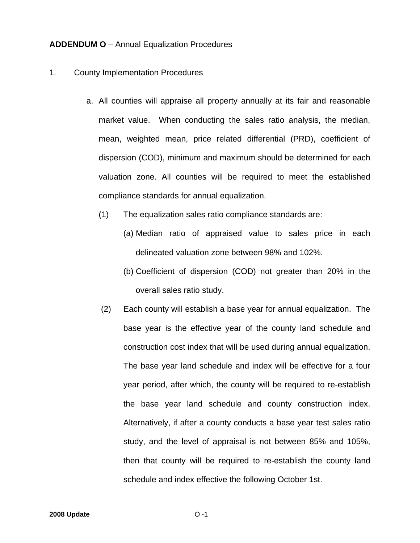#### **ADDENDUM O** – Annual Equalization Procedures

#### 1. County Implementation Procedures

- a. All counties will appraise all property annually at its fair and reasonable market value. When conducting the sales ratio analysis, the median, mean, weighted mean, price related differential (PRD), coefficient of dispersion (COD), minimum and maximum should be determined for each valuation zone. All counties will be required to meet the established compliance standards for annual equalization.
	- (1) The equalization sales ratio compliance standards are:
		- (a) Median ratio of appraised value to sales price in each delineated valuation zone between 98% and 102%.
		- (b) Coefficient of dispersion (COD) not greater than 20% in the overall sales ratio study.
	- (2) Each county will establish a base year for annual equalization. The base year is the effective year of the county land schedule and construction cost index that will be used during annual equalization. The base year land schedule and index will be effective for a four year period, after which, the county will be required to re-establish the base year land schedule and county construction index. Alternatively, if after a county conducts a base year test sales ratio study, and the level of appraisal is not between 85% and 105%, then that county will be required to re-establish the county land schedule and index effective the following October 1st.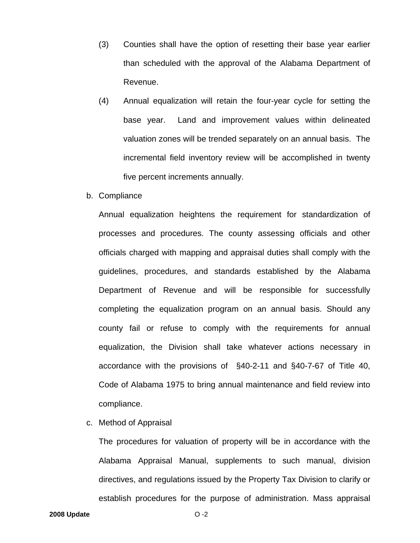- (3) Counties shall have the option of resetting their base year earlier than scheduled with the approval of the Alabama Department of Revenue.
- (4) Annual equalization will retain the four-year cycle for setting the base year. Land and improvement values within delineated valuation zones will be trended separately on an annual basis. The incremental field inventory review will be accomplished in twenty five percent increments annually.
- b. Compliance

Annual equalization heightens the requirement for standardization of processes and procedures. The county assessing officials and other officials charged with mapping and appraisal duties shall comply with the guidelines, procedures, and standards established by the Alabama Department of Revenue and will be responsible for successfully completing the equalization program on an annual basis. Should any county fail or refuse to comply with the requirements for annual equalization, the Division shall take whatever actions necessary in accordance with the provisions of §40-2-11 and §40-7-67 of Title 40, Code of Alabama 1975 to bring annual maintenance and field review into compliance.

c. Method of Appraisal

 The procedures for valuation of property will be in accordance with the Alabama Appraisal Manual, supplements to such manual, division directives, and regulations issued by the Property Tax Division to clarify or establish procedures for the purpose of administration. Mass appraisal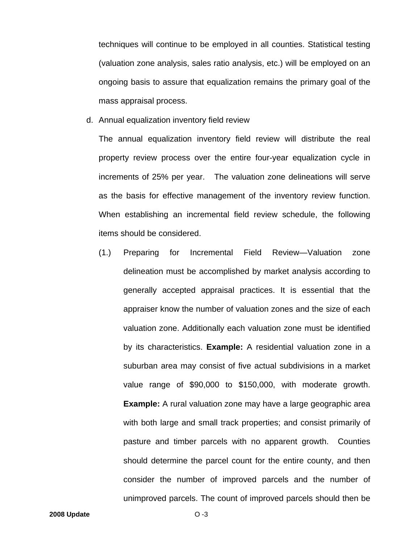techniques will continue to be employed in all counties. Statistical testing (valuation zone analysis, sales ratio analysis, etc.) will be employed on an ongoing basis to assure that equalization remains the primary goal of the mass appraisal process.

d. Annual equalization inventory field review

The annual equalization inventory field review will distribute the real property review process over the entire four-year equalization cycle in increments of 25% per year. The valuation zone delineations will serve as the basis for effective management of the inventory review function. When establishing an incremental field review schedule, the following items should be considered.

(1.) Preparing for Incremental Field Review—Valuation zone delineation must be accomplished by market analysis according to generally accepted appraisal practices. It is essential that the appraiser know the number of valuation zones and the size of each valuation zone. Additionally each valuation zone must be identified by its characteristics. **Example:** A residential valuation zone in a suburban area may consist of five actual subdivisions in a market value range of \$90,000 to \$150,000, with moderate growth. **Example:** A rural valuation zone may have a large geographic area with both large and small track properties; and consist primarily of pasture and timber parcels with no apparent growth. Counties should determine the parcel count for the entire county, and then consider the number of improved parcels and the number of unimproved parcels. The count of improved parcels should then be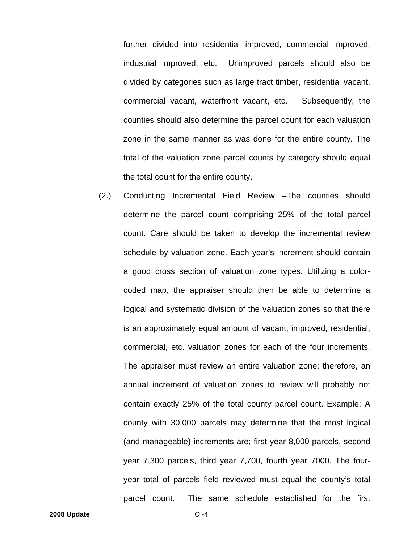further divided into residential improved, commercial improved, industrial improved, etc. Unimproved parcels should also be divided by categories such as large tract timber, residential vacant, commercial vacant, waterfront vacant, etc. Subsequently, the counties should also determine the parcel count for each valuation zone in the same manner as was done for the entire county. The total of the valuation zone parcel counts by category should equal the total count for the entire county.

(2.) Conducting Incremental Field Review –The counties should determine the parcel count comprising 25% of the total parcel count. Care should be taken to develop the incremental review schedule by valuation zone. Each year's increment should contain a good cross section of valuation zone types. Utilizing a colorcoded map, the appraiser should then be able to determine a logical and systematic division of the valuation zones so that there is an approximately equal amount of vacant, improved, residential, commercial, etc. valuation zones for each of the four increments. The appraiser must review an entire valuation zone; therefore, an annual increment of valuation zones to review will probably not contain exactly 25% of the total county parcel count. Example: A county with 30,000 parcels may determine that the most logical (and manageable) increments are; first year 8,000 parcels, second year 7,300 parcels, third year 7,700, fourth year 7000. The fouryear total of parcels field reviewed must equal the county's total parcel count. The same schedule established for the first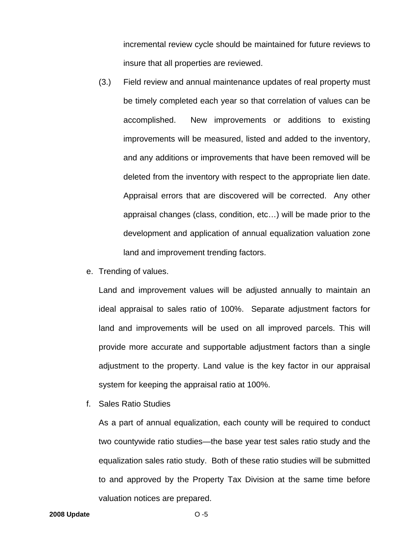incremental review cycle should be maintained for future reviews to insure that all properties are reviewed.

- (3.) Field review and annual maintenance updates of real property must be timely completed each year so that correlation of values can be accomplished. New improvements or additions to existing improvements will be measured, listed and added to the inventory, and any additions or improvements that have been removed will be deleted from the inventory with respect to the appropriate lien date. Appraisal errors that are discovered will be corrected. Any other appraisal changes (class, condition, etc…) will be made prior to the development and application of annual equalization valuation zone land and improvement trending factors.
- e. Trending of values.

Land and improvement values will be adjusted annually to maintain an ideal appraisal to sales ratio of 100%. Separate adjustment factors for land and improvements will be used on all improved parcels. This will provide more accurate and supportable adjustment factors than a single adjustment to the property. Land value is the key factor in our appraisal system for keeping the appraisal ratio at 100%.

f. Sales Ratio Studies

As a part of annual equalization, each county will be required to conduct two countywide ratio studies—the base year test sales ratio study and the equalization sales ratio study. Both of these ratio studies will be submitted to and approved by the Property Tax Division at the same time before valuation notices are prepared.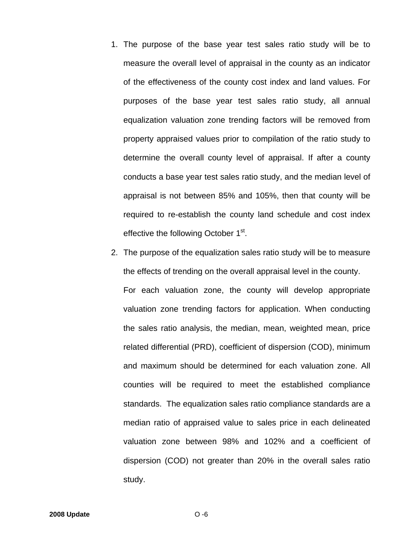- 1. The purpose of the base year test sales ratio study will be to measure the overall level of appraisal in the county as an indicator of the effectiveness of the county cost index and land values. For purposes of the base year test sales ratio study, all annual equalization valuation zone trending factors will be removed from property appraised values prior to compilation of the ratio study to determine the overall county level of appraisal. If after a county conducts a base year test sales ratio study, and the median level of appraisal is not between 85% and 105%, then that county will be required to re-establish the county land schedule and cost index effective the following October 1<sup>st</sup>.
- 2. The purpose of the equalization sales ratio study will be to measure the effects of trending on the overall appraisal level in the county. For each valuation zone, the county will develop appropriate valuation zone trending factors for application. When conducting the sales ratio analysis, the median, mean, weighted mean, price related differential (PRD), coefficient of dispersion (COD), minimum and maximum should be determined for each valuation zone. All counties will be required to meet the established compliance standards. The equalization sales ratio compliance standards are a median ratio of appraised value to sales price in each delineated valuation zone between 98% and 102% and a coefficient of dispersion (COD) not greater than 20% in the overall sales ratio study.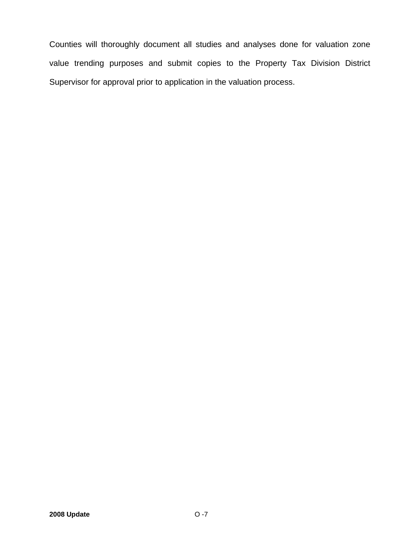Counties will thoroughly document all studies and analyses done for valuation zone value trending purposes and submit copies to the Property Tax Division District Supervisor for approval prior to application in the valuation process.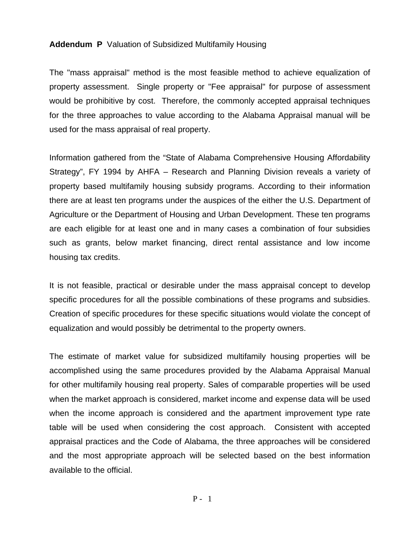#### **Addendum P** Valuation of Subsidized Multifamily Housing

The "mass appraisal" method is the most feasible method to achieve equalization of property assessment. Single property or "Fee appraisal" for purpose of assessment would be prohibitive by cost. Therefore, the commonly accepted appraisal techniques for the three approaches to value according to the Alabama Appraisal manual will be used for the mass appraisal of real property.

Information gathered from the "State of Alabama Comprehensive Housing Affordability Strategy", FY 1994 by AHFA – Research and Planning Division reveals a variety of property based multifamily housing subsidy programs. According to their information there are at least ten programs under the auspices of the either the U.S. Department of Agriculture or the Department of Housing and Urban Development. These ten programs are each eligible for at least one and in many cases a combination of four subsidies such as grants, below market financing, direct rental assistance and low income housing tax credits.

It is not feasible, practical or desirable under the mass appraisal concept to develop specific procedures for all the possible combinations of these programs and subsidies. Creation of specific procedures for these specific situations would violate the concept of equalization and would possibly be detrimental to the property owners.

The estimate of market value for subsidized multifamily housing properties will be accomplished using the same procedures provided by the Alabama Appraisal Manual for other multifamily housing real property. Sales of comparable properties will be used when the market approach is considered, market income and expense data will be used when the income approach is considered and the apartment improvement type rate table will be used when considering the cost approach. Consistent with accepted appraisal practices and the Code of Alabama, the three approaches will be considered and the most appropriate approach will be selected based on the best information available to the official.